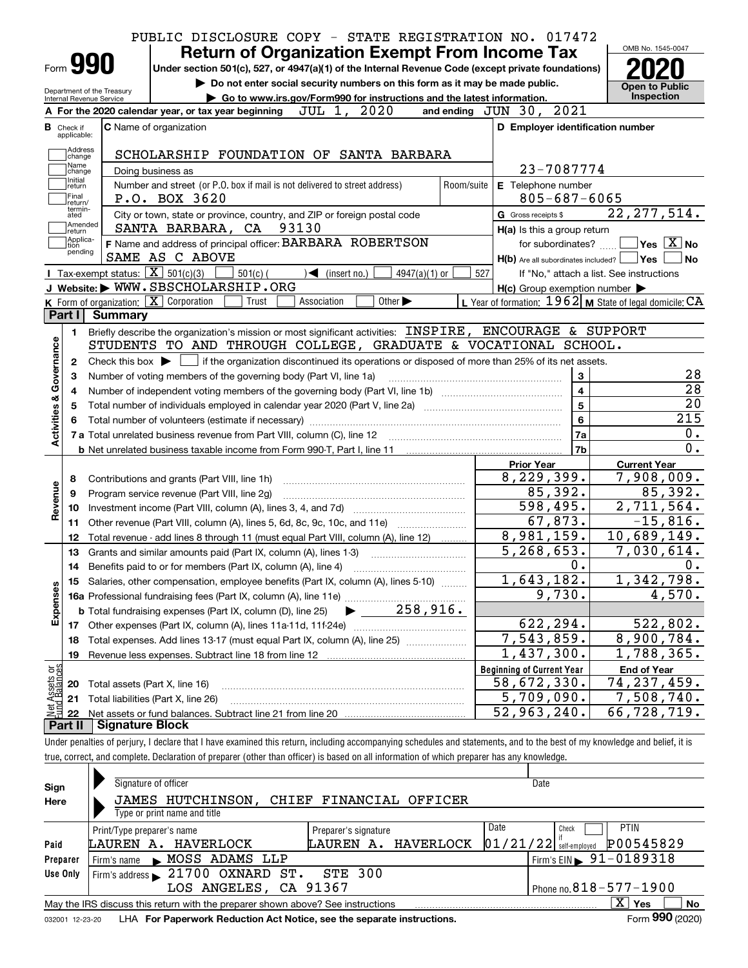|                                                                                           | Form <b>990</b>                                            | <b>Return of Organization Exempt From Income Tax</b><br>Under section 501(c), 527, or 4947(a)(1) of the Internal Revenue Code (except private foundations) |                                                           |                                                                                                                                                                            |  |  |  |  |  |
|-------------------------------------------------------------------------------------------|------------------------------------------------------------|------------------------------------------------------------------------------------------------------------------------------------------------------------|-----------------------------------------------------------|----------------------------------------------------------------------------------------------------------------------------------------------------------------------------|--|--|--|--|--|
|                                                                                           | Department of the Treasury                                 | Do not enter social security numbers on this form as it may be made public.                                                                                |                                                           | Open to Public                                                                                                                                                             |  |  |  |  |  |
|                                                                                           | Internal Revenue Service                                   | ► Go to www.irs.gov/Form990 for instructions and the latest information.                                                                                   |                                                           | Inspection                                                                                                                                                                 |  |  |  |  |  |
|                                                                                           |                                                            | JUL 1, 2020<br>A For the 2020 calendar year, or tax year beginning                                                                                         | and ending JUN 30, 2021                                   |                                                                                                                                                                            |  |  |  |  |  |
|                                                                                           | <b>B</b> Check if<br>applicable:                           | <b>C</b> Name of organization                                                                                                                              | D Employer identification number                          |                                                                                                                                                                            |  |  |  |  |  |
|                                                                                           | Address<br>]change                                         | SCHOLARSHIP FOUNDATION OF SANTA BARBARA                                                                                                                    |                                                           |                                                                                                                                                                            |  |  |  |  |  |
|                                                                                           | Name<br>change                                             | Doing business as                                                                                                                                          | 23-7087774                                                |                                                                                                                                                                            |  |  |  |  |  |
|                                                                                           | Initial<br>return<br>Final<br>return/                      | Number and street (or P.O. box if mail is not delivered to street address)<br>Room/suite<br>P.O. BOX 3620                                                  | E Telephone number<br>$805 - 687 - 6065$                  |                                                                                                                                                                            |  |  |  |  |  |
|                                                                                           | termin-<br>ated                                            | City or town, state or province, country, and ZIP or foreign postal code                                                                                   | G Gross receipts \$                                       | 22, 277, 514.                                                                                                                                                              |  |  |  |  |  |
|                                                                                           | Amended<br>return                                          | SANTA BARBARA, CA<br>93130                                                                                                                                 | H(a) Is this a group return                               |                                                                                                                                                                            |  |  |  |  |  |
|                                                                                           | Applica-<br>tion<br>pending                                | F Name and address of principal officer: BARBARA ROBERTSON                                                                                                 | for subordinates?                                         | $\sqrt{}$ Yes $\sqrt{}$ X $\sqrt{}$ No                                                                                                                                     |  |  |  |  |  |
|                                                                                           |                                                            | SAME AS C ABOVE                                                                                                                                            | $H(b)$ Are all subordinates included? $\Box$ Yes          | No                                                                                                                                                                         |  |  |  |  |  |
|                                                                                           | <b>I</b> Tax-exempt status: $\boxed{\mathbf{X}}$ 501(c)(3) | $\sqrt{\bullet}$ (insert no.)<br>$501(c)$ (<br>$4947(a)(1)$ or                                                                                             | 527                                                       | If "No," attach a list. See instructions                                                                                                                                   |  |  |  |  |  |
|                                                                                           |                                                            | J Website: WWW.SBSCHOLARSHIP.ORG                                                                                                                           | $H(c)$ Group exemption number $\blacktriangleright$       |                                                                                                                                                                            |  |  |  |  |  |
|                                                                                           | K Form of organization: X Corporation                      | Association<br>Other $\blacktriangleright$<br>Trust                                                                                                        | L Year of formation: $1962$ M State of legal domicile: CA |                                                                                                                                                                            |  |  |  |  |  |
|                                                                                           | Part I<br><b>Summary</b>                                   |                                                                                                                                                            |                                                           |                                                                                                                                                                            |  |  |  |  |  |
|                                                                                           | 1.                                                         | Briefly describe the organization's mission or most significant activities: INSPIRE, ENCOURAGE & SUPPORT                                                   |                                                           |                                                                                                                                                                            |  |  |  |  |  |
| Activities & Governance<br>STUDENTS TO AND THROUGH COLLEGE, GRADUATE & VOCATIONAL SCHOOL. |                                                            |                                                                                                                                                            |                                                           |                                                                                                                                                                            |  |  |  |  |  |
|                                                                                           | 2                                                          | Check this box $\blacktriangleright$ $\Box$ if the organization discontinued its operations or disposed of more than 25% of its net assets.                |                                                           |                                                                                                                                                                            |  |  |  |  |  |
|                                                                                           | З                                                          | Number of voting members of the governing body (Part VI, line 1a)                                                                                          | 3                                                         | 28                                                                                                                                                                         |  |  |  |  |  |
|                                                                                           | 4                                                          |                                                                                                                                                            | $\overline{\mathbf{4}}$                                   | $\overline{28}$                                                                                                                                                            |  |  |  |  |  |
|                                                                                           |                                                            |                                                                                                                                                            | 5                                                         | $\overline{20}$                                                                                                                                                            |  |  |  |  |  |
|                                                                                           |                                                            | Total number of volunteers (estimate if necessary)                                                                                                         | 6                                                         | 215                                                                                                                                                                        |  |  |  |  |  |
|                                                                                           |                                                            |                                                                                                                                                            | 7a                                                        | 0.                                                                                                                                                                         |  |  |  |  |  |
|                                                                                           |                                                            |                                                                                                                                                            | 7 <sub>b</sub>                                            |                                                                                                                                                                            |  |  |  |  |  |
|                                                                                           |                                                            |                                                                                                                                                            |                                                           |                                                                                                                                                                            |  |  |  |  |  |
|                                                                                           | 8                                                          |                                                                                                                                                            | <b>Prior Year</b>                                         | <b>Current Year</b>                                                                                                                                                        |  |  |  |  |  |
|                                                                                           |                                                            | Contributions and grants (Part VIII, line 1h)                                                                                                              | 8,229,399.                                                |                                                                                                                                                                            |  |  |  |  |  |
|                                                                                           | 9                                                          | Program service revenue (Part VIII, line 2g)                                                                                                               | 85,392.                                                   |                                                                                                                                                                            |  |  |  |  |  |
|                                                                                           | 10                                                         |                                                                                                                                                            | 598,495.                                                  |                                                                                                                                                                            |  |  |  |  |  |
|                                                                                           | 11                                                         | Other revenue (Part VIII, column (A), lines 5, 6d, 8c, 9c, 10c, and 11e)                                                                                   | 67,873.                                                   |                                                                                                                                                                            |  |  |  |  |  |
|                                                                                           | 12                                                         | Total revenue - add lines 8 through 11 (must equal Part VIII, column (A), line 12)                                                                         | 8,981,159.                                                |                                                                                                                                                                            |  |  |  |  |  |
|                                                                                           | 13                                                         | Grants and similar amounts paid (Part IX, column (A), lines 1-3)                                                                                           | $\overline{5,268,653}$ .                                  |                                                                                                                                                                            |  |  |  |  |  |
|                                                                                           | 14                                                         | Benefits paid to or for members (Part IX, column (A), line 4)                                                                                              | 0.                                                        |                                                                                                                                                                            |  |  |  |  |  |
| Revenue                                                                                   |                                                            | 15 Salaries, other compensation, employee benefits (Part IX, column (A), lines 5-10)                                                                       | $\overline{1,643,182}$ .                                  |                                                                                                                                                                            |  |  |  |  |  |
|                                                                                           |                                                            |                                                                                                                                                            | 9,730.                                                    |                                                                                                                                                                            |  |  |  |  |  |
|                                                                                           |                                                            | 258,916.<br><b>b</b> Total fundraising expenses (Part IX, column (D), line 25)                                                                             |                                                           |                                                                                                                                                                            |  |  |  |  |  |
|                                                                                           | 17                                                         |                                                                                                                                                            | 622,294.                                                  |                                                                                                                                                                            |  |  |  |  |  |
|                                                                                           | 18                                                         | Total expenses. Add lines 13-17 (must equal Part IX, column (A), line 25) [                                                                                | $\overline{7,543,859}$ .                                  |                                                                                                                                                                            |  |  |  |  |  |
|                                                                                           | 19                                                         |                                                                                                                                                            | 1,437,300.                                                |                                                                                                                                                                            |  |  |  |  |  |
| Expenses                                                                                  |                                                            |                                                                                                                                                            | <b>Beginning of Current Year</b>                          | <b>End of Year</b>                                                                                                                                                         |  |  |  |  |  |
|                                                                                           | 20                                                         | Total assets (Part X, line 16)                                                                                                                             | 58,672,330.                                               | 0.<br>7,908,009.<br>85,392.<br>2,711,564.<br>$-15,816$ .<br>10,689,149.<br>7,030,614.<br>0.<br>1,342,798.<br>4,570.<br>522,802.<br>8,900,784.<br>1,788,365.<br>74,237,459. |  |  |  |  |  |
| Net Assets or<br>Eund Balances                                                            | 21                                                         | Total liabilities (Part X, line 26)                                                                                                                        | $\overline{5,709,090}$ .<br>52,963,240.                   | 7,508,740.<br>66,728,719.                                                                                                                                                  |  |  |  |  |  |

true, correct, and complete. Declaration of preparer (other than officer) is based on all information of which preparer has any knowledge.

| Sign     | Signature of officer                                                                                         |                        | Date                                         |  |  |  |  |  |  |  |  |  |
|----------|--------------------------------------------------------------------------------------------------------------|------------------------|----------------------------------------------|--|--|--|--|--|--|--|--|--|
| Here     | JAMES HUTCHINSON,<br>FINANCIAL OFFICER<br>CHIEF                                                              |                        |                                              |  |  |  |  |  |  |  |  |  |
|          | Type or print name and title                                                                                 |                        |                                              |  |  |  |  |  |  |  |  |  |
|          | Print/Type preparer's name                                                                                   | Preparer's signature   | Date<br><b>PTIN</b><br>Check                 |  |  |  |  |  |  |  |  |  |
| Paid     | LAUREN A. HAVERLOCK                                                                                          | HAVERLOCK<br>LAUREN A. | P00545829<br>$01/21/22$ self-employed        |  |  |  |  |  |  |  |  |  |
| Preparer | MOSS ADAMS LLP<br>Firm's name<br>$\blacksquare$                                                              |                        | $\frac{1}{2}$ Firm's EIN $\geq 91 - 0189318$ |  |  |  |  |  |  |  |  |  |
| Use Only | 21700 OXNARD<br>ST.<br>Firm's address $\blacktriangleright$                                                  | <b>STE 300</b>         |                                              |  |  |  |  |  |  |  |  |  |
|          | Phone no. $818 - 577 - 1900$<br>LOS ANGELES, CA 91367                                                        |                        |                                              |  |  |  |  |  |  |  |  |  |
|          | $\overline{X}$ Yes<br>No<br>May the IRS discuss this return with the preparer shown above? See instructions  |                        |                                              |  |  |  |  |  |  |  |  |  |
|          | Form 990 (2020)<br>LHA For Paperwork Reduction Act Notice, see the separate instructions.<br>032001 12-23-20 |                        |                                              |  |  |  |  |  |  |  |  |  |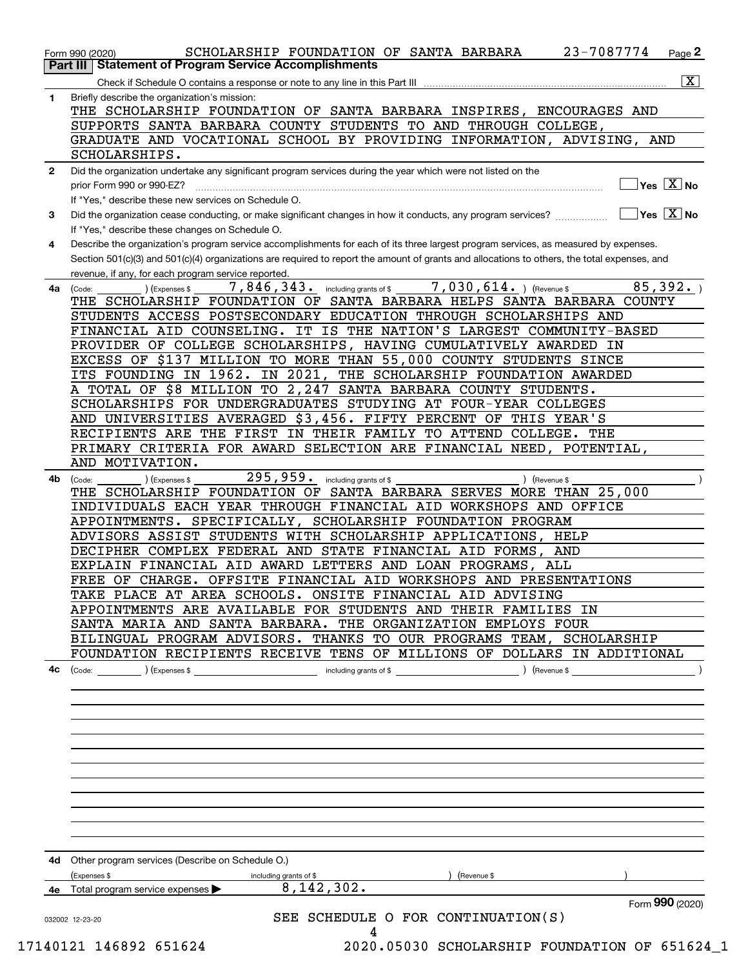|              | $\overline{\mathbf{x}}$                                                                                                                                      |
|--------------|--------------------------------------------------------------------------------------------------------------------------------------------------------------|
| 1            | Briefly describe the organization's mission:                                                                                                                 |
|              | THE SCHOLARSHIP FOUNDATION OF SANTA BARBARA INSPIRES, ENCOURAGES AND                                                                                         |
|              | SUPPORTS SANTA BARBARA COUNTY STUDENTS TO AND THROUGH COLLEGE,                                                                                               |
|              | GRADUATE AND VOCATIONAL SCHOOL BY PROVIDING INFORMATION, ADVISING, AND                                                                                       |
|              | SCHOLARSHIPS.                                                                                                                                                |
| $\mathbf{2}$ | Did the organization undertake any significant program services during the year which were not listed on the                                                 |
|              | $Yes \quad X$ No<br>prior Form 990 or 990-EZ?                                                                                                                |
|              | If "Yes," describe these new services on Schedule O.                                                                                                         |
| 3            | $\sqrt{\mathsf{Yes}\ \boxed{\mathrm{X}}}$ No<br>Did the organization cease conducting, or make significant changes in how it conducts, any program services? |
|              | If "Yes," describe these changes on Schedule O.                                                                                                              |
| 4            | Describe the organization's program service accomplishments for each of its three largest program services, as measured by expenses.                         |
|              | Section 501(c)(3) and 501(c)(4) organizations are required to report the amount of grants and allocations to others, the total expenses, and                 |
|              | revenue, if any, for each program service reported.<br>85,392.<br>7,846,343.<br>$7,030,614.$ ) (Revenue \$                                                   |
| 4a           | ) (Expenses \$<br>including grants of \$<br>(Code:<br>THE SCHOLARSHIP FOUNDATION OF SANTA BARBARA HELPS SANTA BARBARA COUNTY                                 |
|              | STUDENTS ACCESS POSTSECONDARY EDUCATION THROUGH SCHOLARSHIPS AND                                                                                             |
|              | FINANCIAL AID COUNSELING. IT IS THE NATION'S LARGEST COMMUNITY-BASED                                                                                         |
|              | PROVIDER OF COLLEGE SCHOLARSHIPS, HAVING CUMULATIVELY AWARDED IN                                                                                             |
|              | EXCESS OF \$137 MILLION TO MORE THAN 55,000 COUNTY STUDENTS SINCE                                                                                            |
|              | ITS FOUNDING IN 1962. IN 2021,<br>THE SCHOLARSHIP FOUNDATION AWARDED                                                                                         |
|              | A TOTAL OF \$8 MILLION TO 2,247<br>SANTA BARBARA COUNTY STUDENTS.                                                                                            |
|              | SCHOLARSHIPS FOR UNDERGRADUATES STUDYING AT FOUR-YEAR COLLEGES                                                                                               |
|              | AND UNIVERSITIES AVERAGED \$3,456. FIFTY PERCENT OF THIS YEAR'S                                                                                              |
|              | RECIPIENTS ARE THE FIRST IN THEIR FAMILY TO ATTEND COLLEGE. THE                                                                                              |
|              | PRIMARY CRITERIA FOR AWARD SELECTION ARE FINANCIAL NEED, POTENTIAL,                                                                                          |
|              | AND MOTIVATION.                                                                                                                                              |
| 4b           | 295, 959. including grants of \$<br>) (Expenses \$<br>) (Revenue \$<br>(Code:                                                                                |
|              | THE SCHOLARSHIP FOUNDATION OF SANTA BARBARA SERVES MORE THAN 25,000                                                                                          |
|              | INDIVIDUALS EACH YEAR THROUGH FINANCIAL AID WORKSHOPS AND OFFICE                                                                                             |
|              | APPOINTMENTS. SPECIFICALLY, SCHOLARSHIP FOUNDATION PROGRAM                                                                                                   |
|              | ADVISORS ASSIST STUDENTS WITH SCHOLARSHIP APPLICATIONS,<br>HELP<br>DECIPHER COMPLEX FEDERAL AND STATE FINANCIAL AID FORMS,<br>AND                            |
|              | EXPLAIN FINANCIAL AID AWARD LETTERS AND LOAN PROGRAMS, ALL                                                                                                   |
|              | FREE OF CHARGE. OFFSITE FINANCIAL AID WORKSHOPS AND PRESENTATIONS                                                                                            |
|              | TAKE PLACE AT AREA SCHOOLS. ONSITE FINANCIAL AID ADVISING                                                                                                    |
|              | APPOINTMENTS ARE AVAILABLE FOR STUDENTS AND THEIR FAMILIES IN                                                                                                |
|              | THE ORGANIZATION EMPLOYS FOUR<br>SANTA MARIA AND SANTA BARBARA.                                                                                              |
|              | BILINGUAL PROGRAM ADVISORS. THANKS TO OUR PROGRAMS TEAM, SCHOLARSHIP                                                                                         |
|              | FOUNDATION RECIPIENTS RECEIVE TENS OF MILLIONS OF DOLLARS IN ADDITIONAL                                                                                      |
| 4c           |                                                                                                                                                              |
|              |                                                                                                                                                              |
|              |                                                                                                                                                              |
|              |                                                                                                                                                              |
|              |                                                                                                                                                              |
|              |                                                                                                                                                              |
|              |                                                                                                                                                              |
|              |                                                                                                                                                              |
|              |                                                                                                                                                              |
|              |                                                                                                                                                              |
|              |                                                                                                                                                              |
|              |                                                                                                                                                              |
|              | 4d Other program services (Describe on Schedule O.)                                                                                                          |
|              | (Expenses \$<br>(Revenue \$<br>including grants of \$                                                                                                        |
|              | 8,142,302.<br>Total program service expenses                                                                                                                 |
|              | Form 990 (2020)                                                                                                                                              |
|              |                                                                                                                                                              |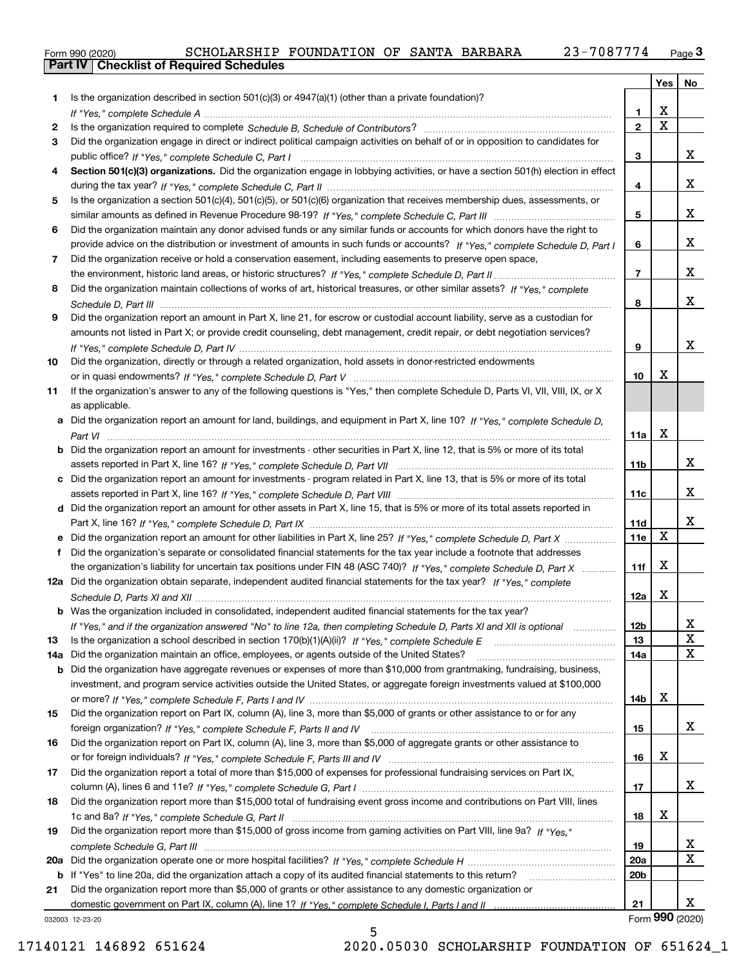|  | Form 990 (2020) |
|--|-----------------|

|     |                                                                                                                                  |                 | Yes $ $     | No              |
|-----|----------------------------------------------------------------------------------------------------------------------------------|-----------------|-------------|-----------------|
| 1   | Is the organization described in section $501(c)(3)$ or $4947(a)(1)$ (other than a private foundation)?                          |                 |             |                 |
|     | If "Yes," complete Schedule A measured and the complete schedule A measured and the Schedule A measured and the                  | 1.              | х           |                 |
| 2   |                                                                                                                                  | $\mathbf{2}$    | $\mathbf X$ |                 |
| 3   | Did the organization engage in direct or indirect political campaign activities on behalf of or in opposition to candidates for  |                 |             |                 |
|     |                                                                                                                                  | 3               |             | x               |
| 4   | Section 501(c)(3) organizations. Did the organization engage in lobbying activities, or have a section 501(h) election in effect |                 |             |                 |
|     |                                                                                                                                  | 4               |             | x               |
| 5   | Is the organization a section 501(c)(4), 501(c)(5), or 501(c)(6) organization that receives membership dues, assessments, or     |                 |             |                 |
|     |                                                                                                                                  | 5               |             | x               |
| 6   | Did the organization maintain any donor advised funds or any similar funds or accounts for which donors have the right to        |                 |             |                 |
|     | provide advice on the distribution or investment of amounts in such funds or accounts? If "Yes," complete Schedule D, Part I     | 6               |             | x               |
| 7   | Did the organization receive or hold a conservation easement, including easements to preserve open space,                        |                 |             |                 |
|     |                                                                                                                                  | $\overline{7}$  |             | x               |
| 8   | Did the organization maintain collections of works of art, historical treasures, or other similar assets? If "Yes," complete     |                 |             |                 |
|     |                                                                                                                                  | 8               |             | x               |
| 9   | Did the organization report an amount in Part X, line 21, for escrow or custodial account liability, serve as a custodian for    |                 |             |                 |
|     | amounts not listed in Part X; or provide credit counseling, debt management, credit repair, or debt negotiation services?        |                 |             |                 |
|     |                                                                                                                                  | 9               |             | x               |
| 10  | Did the organization, directly or through a related organization, hold assets in donor-restricted endowments                     |                 |             |                 |
|     |                                                                                                                                  | 10              | х           |                 |
| 11  | If the organization's answer to any of the following questions is "Yes," then complete Schedule D, Parts VI, VII, VIII, IX, or X |                 |             |                 |
|     | as applicable.                                                                                                                   |                 |             |                 |
|     | a Did the organization report an amount for land, buildings, and equipment in Part X, line 10? If "Yes," complete Schedule D.    |                 | х           |                 |
|     | Did the organization report an amount for investments - other securities in Part X, line 12, that is 5% or more of its total     | 11a             |             |                 |
|     |                                                                                                                                  | 11 <sub>b</sub> |             | x               |
|     | c Did the organization report an amount for investments - program related in Part X, line 13, that is 5% or more of its total    |                 |             |                 |
|     |                                                                                                                                  | 11c             |             | x               |
|     | d Did the organization report an amount for other assets in Part X, line 15, that is 5% or more of its total assets reported in  |                 |             |                 |
|     |                                                                                                                                  | 11d             |             | x               |
|     |                                                                                                                                  | <b>11e</b>      | X           |                 |
| f   | Did the organization's separate or consolidated financial statements for the tax year include a footnote that addresses          |                 |             |                 |
|     | the organization's liability for uncertain tax positions under FIN 48 (ASC 740)? If "Yes," complete Schedule D, Part X           | 11f             | X           |                 |
|     | 12a Did the organization obtain separate, independent audited financial statements for the tax year? If "Yes," complete          |                 |             |                 |
|     |                                                                                                                                  | 12a             | x           |                 |
|     | <b>b</b> Was the organization included in consolidated, independent audited financial statements for the tax year?               |                 |             |                 |
|     | If "Yes," and if the organization answered "No" to line 12a, then completing Schedule D, Parts XI and XII is optional            | 12 <sub>b</sub> |             | 47              |
| 13  |                                                                                                                                  | 13              |             | X               |
| 14a | Did the organization maintain an office, employees, or agents outside of the United States?                                      | 14a             |             | X               |
| b   | Did the organization have aggregate revenues or expenses of more than \$10,000 from grantmaking, fundraising, business,          |                 |             |                 |
|     | investment, and program service activities outside the United States, or aggregate foreign investments valued at \$100,000       |                 |             |                 |
|     |                                                                                                                                  | 14b             | X           |                 |
| 15  | Did the organization report on Part IX, column (A), line 3, more than \$5,000 of grants or other assistance to or for any        |                 |             |                 |
|     |                                                                                                                                  | 15              |             | x               |
| 16  | Did the organization report on Part IX, column (A), line 3, more than \$5,000 of aggregate grants or other assistance to         |                 |             |                 |
|     |                                                                                                                                  | 16              | X           |                 |
| 17  | Did the organization report a total of more than \$15,000 of expenses for professional fundraising services on Part IX,          |                 |             |                 |
|     |                                                                                                                                  | 17              |             | x               |
| 18  | Did the organization report more than \$15,000 total of fundraising event gross income and contributions on Part VIII, lines     |                 |             |                 |
|     |                                                                                                                                  | 18              | X           |                 |
| 19  | Did the organization report more than \$15,000 of gross income from gaming activities on Part VIII, line 9a? If "Yes."           |                 |             |                 |
|     |                                                                                                                                  | 19              |             | X               |
| 20a |                                                                                                                                  | 20a             |             | X               |
|     | b If "Yes" to line 20a, did the organization attach a copy of its audited financial statements to this return?                   | 20b             |             |                 |
| 21  | Did the organization report more than \$5,000 of grants or other assistance to any domestic organization or                      |                 |             |                 |
|     |                                                                                                                                  | 21              |             | x               |
|     | 032003 12-23-20                                                                                                                  |                 |             | Form 990 (2020) |

5

032003 12-23-20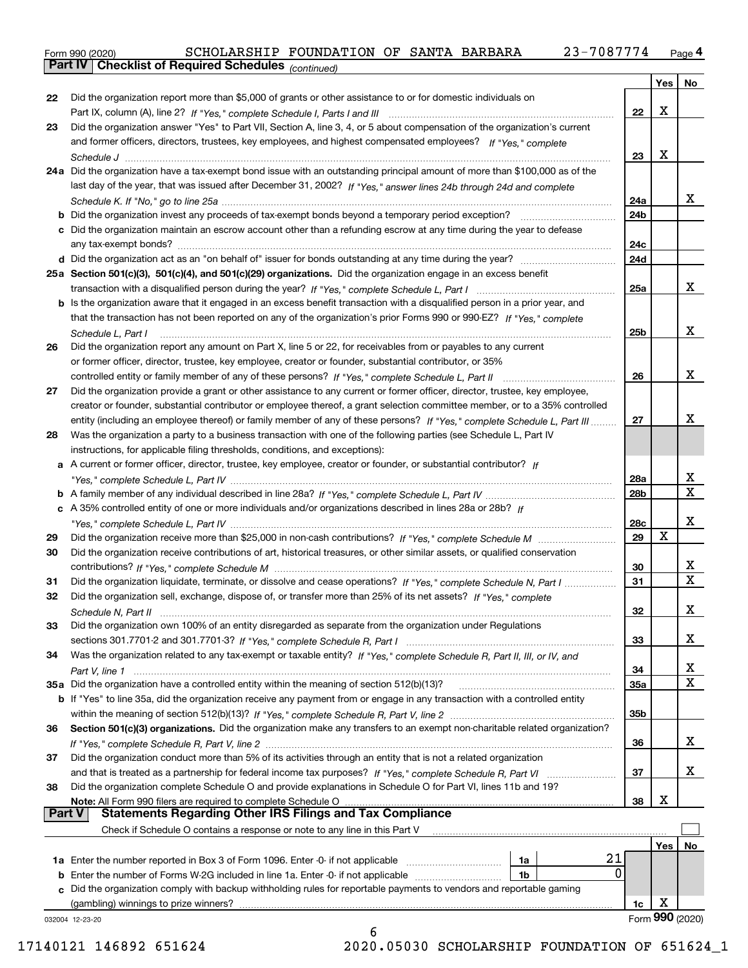|  | Form 990 (2020) |
|--|-----------------|
|  |                 |

*(continued)*

|               |                                                                                                                                                                                                    |                 | Yes | No                      |
|---------------|----------------------------------------------------------------------------------------------------------------------------------------------------------------------------------------------------|-----------------|-----|-------------------------|
| 22            | Did the organization report more than \$5,000 of grants or other assistance to or for domestic individuals on                                                                                      |                 |     |                         |
|               | Part IX, column (A), line 2? If "Yes," complete Schedule I, Parts I and III [11] [11] [12] [12] [12] Part IX, column (A), line 2? If "Yes," complete Schedule I, Parts I and III                   | 22              | х   |                         |
| 23            | Did the organization answer "Yes" to Part VII, Section A, line 3, 4, or 5 about compensation of the organization's current                                                                         |                 |     |                         |
|               | and former officers, directors, trustees, key employees, and highest compensated employees? If "Yes," complete                                                                                     |                 |     |                         |
|               |                                                                                                                                                                                                    | 23              | х   |                         |
|               | 24a Did the organization have a tax-exempt bond issue with an outstanding principal amount of more than \$100,000 as of the                                                                        |                 |     |                         |
|               | last day of the year, that was issued after December 31, 2002? If "Yes," answer lines 24b through 24d and complete                                                                                 |                 |     |                         |
|               |                                                                                                                                                                                                    | 24a             |     | x                       |
|               | <b>b</b> Did the organization invest any proceeds of tax-exempt bonds beyond a temporary period exception?                                                                                         | 24 <sub>b</sub> |     |                         |
|               | c Did the organization maintain an escrow account other than a refunding escrow at any time during the year to defease                                                                             |                 |     |                         |
|               | any tax-exempt bonds?                                                                                                                                                                              | 24c             |     |                         |
|               |                                                                                                                                                                                                    | 24d             |     |                         |
|               | 25a Section 501(c)(3), 501(c)(4), and 501(c)(29) organizations. Did the organization engage in an excess benefit                                                                                   |                 |     |                         |
|               |                                                                                                                                                                                                    | 25a             |     | x                       |
|               | b Is the organization aware that it engaged in an excess benefit transaction with a disqualified person in a prior year, and                                                                       |                 |     |                         |
|               | that the transaction has not been reported on any of the organization's prior Forms 990 or 990-EZ? If "Yes," complete                                                                              |                 |     |                         |
|               | Schedule L. Part I                                                                                                                                                                                 | 25 <sub>b</sub> |     | x                       |
| 26            | Did the organization report any amount on Part X, line 5 or 22, for receivables from or payables to any current                                                                                    |                 |     |                         |
|               | or former officer, director, trustee, key employee, creator or founder, substantial contributor, or 35%                                                                                            |                 |     | x                       |
|               | controlled entity or family member of any of these persons? If "Yes," complete Schedule L, Part II                                                                                                 | 26              |     |                         |
| 27            | Did the organization provide a grant or other assistance to any current or former officer, director, trustee, key employee,                                                                        |                 |     |                         |
|               | creator or founder, substantial contributor or employee thereof, a grant selection committee member, or to a 35% controlled                                                                        |                 |     | x                       |
|               | entity (including an employee thereof) or family member of any of these persons? If "Yes," complete Schedule L, Part III                                                                           | 27              |     |                         |
| 28            | Was the organization a party to a business transaction with one of the following parties (see Schedule L, Part IV                                                                                  |                 |     |                         |
|               | instructions, for applicable filing thresholds, conditions, and exceptions):<br>a A current or former officer, director, trustee, key employee, creator or founder, or substantial contributor? If |                 |     |                         |
|               |                                                                                                                                                                                                    | 28a             |     | x                       |
|               |                                                                                                                                                                                                    | 28 <sub>b</sub> |     | X                       |
|               | c A 35% controlled entity of one or more individuals and/or organizations described in lines 28a or 28b? If                                                                                        |                 |     |                         |
|               |                                                                                                                                                                                                    | 28c             |     | x                       |
| 29            |                                                                                                                                                                                                    | 29              | X   |                         |
| 30            | Did the organization receive contributions of art, historical treasures, or other similar assets, or qualified conservation                                                                        |                 |     |                         |
|               |                                                                                                                                                                                                    | 30              |     | x                       |
| 31            | Did the organization liquidate, terminate, or dissolve and cease operations? If "Yes," complete Schedule N, Part I                                                                                 | 31              |     | $\overline{\mathbf{x}}$ |
| 32            | Did the organization sell, exchange, dispose of, or transfer more than 25% of its net assets? If "Yes," complete                                                                                   |                 |     |                         |
|               |                                                                                                                                                                                                    | 32              |     | х                       |
| 33            | Did the organization own 100% of an entity disregarded as separate from the organization under Regulations                                                                                         |                 |     |                         |
|               |                                                                                                                                                                                                    | 33              |     | x                       |
| 34            | Was the organization related to any tax-exempt or taxable entity? If "Yes," complete Schedule R, Part II, III, or IV, and                                                                          |                 |     |                         |
|               |                                                                                                                                                                                                    | 34              |     | X                       |
|               | 35a Did the organization have a controlled entity within the meaning of section 512(b)(13)?                                                                                                        | 35a             |     | X                       |
|               | b If "Yes" to line 35a, did the organization receive any payment from or engage in any transaction with a controlled entity                                                                        |                 |     |                         |
|               |                                                                                                                                                                                                    | 35b             |     |                         |
| 36            | Section 501(c)(3) organizations. Did the organization make any transfers to an exempt non-charitable related organization?                                                                         |                 |     |                         |
|               |                                                                                                                                                                                                    | 36              |     | X.                      |
| 37            | Did the organization conduct more than 5% of its activities through an entity that is not a related organization                                                                                   |                 |     |                         |
|               |                                                                                                                                                                                                    | 37              |     | X.                      |
| 38            | Did the organization complete Schedule O and provide explanations in Schedule O for Part VI, lines 11b and 19?                                                                                     |                 |     |                         |
| <b>Part V</b> | Note: All Form 990 filers are required to complete Schedule O<br><b>Statements Regarding Other IRS Filings and Tax Compliance</b>                                                                  | 38              | х   |                         |
|               | Check if Schedule O contains a response or note to any line in this Part V                                                                                                                         |                 |     |                         |
|               |                                                                                                                                                                                                    |                 |     |                         |
|               | 21<br>1a                                                                                                                                                                                           |                 | Yes | No                      |
| b             | 0<br>Enter the number of Forms W-2G included in line 1a. Enter -0- if not applicable<br>1b                                                                                                         |                 |     |                         |
| c             | Did the organization comply with backup withholding rules for reportable payments to vendors and reportable gaming                                                                                 |                 |     |                         |
|               | (gambling) winnings to prize winners?                                                                                                                                                              | 1c              | х   |                         |
|               | 032004 12-23-20                                                                                                                                                                                    |                 |     | Form 990 (2020)         |
|               | 6                                                                                                                                                                                                  |                 |     |                         |

17140121 146892 651624 2020.05030 SCHOLARSHIP FOUNDATION OF 651624\_1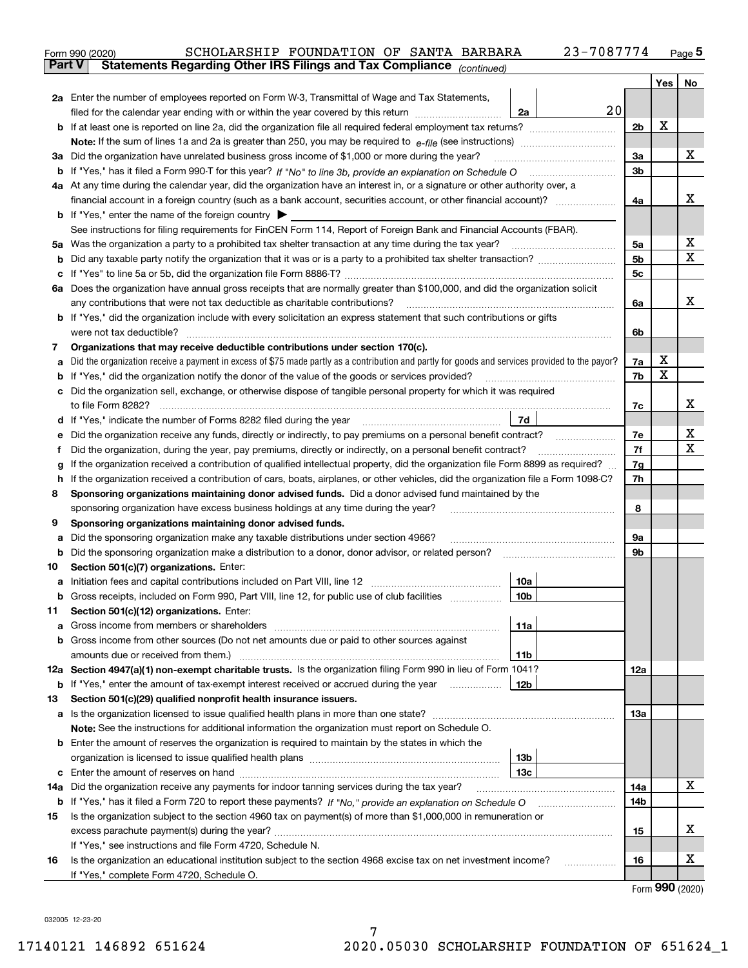|               | 23-7087774<br>SCHOLARSHIP FOUNDATION OF SANTA BARBARA<br>Form 990 (2020)                                                                                                                                                               |     |     | Page $5$         |  |  |  |
|---------------|----------------------------------------------------------------------------------------------------------------------------------------------------------------------------------------------------------------------------------------|-----|-----|------------------|--|--|--|
| <b>Part V</b> | Statements Regarding Other IRS Filings and Tax Compliance (continued)                                                                                                                                                                  |     |     |                  |  |  |  |
|               |                                                                                                                                                                                                                                        |     | Yes | No               |  |  |  |
|               | 2a Enter the number of employees reported on Form W-3, Transmittal of Wage and Tax Statements,                                                                                                                                         |     |     |                  |  |  |  |
|               | 20<br>filed for the calendar year ending with or within the year covered by this return<br>2a                                                                                                                                          |     |     |                  |  |  |  |
|               |                                                                                                                                                                                                                                        | 2b  | х   |                  |  |  |  |
|               |                                                                                                                                                                                                                                        |     |     |                  |  |  |  |
|               | 3a Did the organization have unrelated business gross income of \$1,000 or more during the year?                                                                                                                                       | За  |     | х                |  |  |  |
|               |                                                                                                                                                                                                                                        | 3b  |     |                  |  |  |  |
|               | 4a At any time during the calendar year, did the organization have an interest in, or a signature or other authority over, a                                                                                                           |     |     |                  |  |  |  |
|               |                                                                                                                                                                                                                                        | 4a  |     | х                |  |  |  |
|               | <b>b</b> If "Yes," enter the name of the foreign country $\blacktriangleright$                                                                                                                                                         |     |     |                  |  |  |  |
|               | See instructions for filing requirements for FinCEN Form 114, Report of Foreign Bank and Financial Accounts (FBAR).                                                                                                                    |     |     |                  |  |  |  |
|               |                                                                                                                                                                                                                                        | 5а  |     | х                |  |  |  |
| b             |                                                                                                                                                                                                                                        | 5b  |     | Χ                |  |  |  |
| c             |                                                                                                                                                                                                                                        | 5c  |     |                  |  |  |  |
|               | 6a Does the organization have annual gross receipts that are normally greater than \$100,000, and did the organization solicit                                                                                                         |     |     |                  |  |  |  |
|               |                                                                                                                                                                                                                                        | 6a  |     | х                |  |  |  |
|               | <b>b</b> If "Yes," did the organization include with every solicitation an express statement that such contributions or gifts                                                                                                          |     |     |                  |  |  |  |
|               | were not tax deductible?                                                                                                                                                                                                               | 6b  |     |                  |  |  |  |
| 7             | Organizations that may receive deductible contributions under section 170(c).                                                                                                                                                          |     |     |                  |  |  |  |
| а             | Did the organization receive a payment in excess of \$75 made partly as a contribution and partly for goods and services provided to the payor?                                                                                        | 7a  | X   |                  |  |  |  |
|               | <b>b</b> If "Yes," did the organization notify the donor of the value of the goods or services provided?                                                                                                                               | 7b  | x   |                  |  |  |  |
|               | c Did the organization sell, exchange, or otherwise dispose of tangible personal property for which it was required                                                                                                                    |     |     |                  |  |  |  |
|               |                                                                                                                                                                                                                                        | 7c  |     | х                |  |  |  |
|               | 7d  <br>d If "Yes," indicate the number of Forms 8282 filed during the year [11] [11] No. 2010 [12] Henry Marian Marian Marian Marian Marian Marian Marian Marian Marian Marian Marian Marian Marian Marian Marian Marian Marian Maria |     |     |                  |  |  |  |
| е             |                                                                                                                                                                                                                                        | 7e  |     | х                |  |  |  |
| f             | Did the organization, during the year, pay premiums, directly or indirectly, on a personal benefit contract?                                                                                                                           | 7f  |     | Χ                |  |  |  |
| g             | If the organization received a contribution of qualified intellectual property, did the organization file Form 8899 as required?                                                                                                       | 7g  |     |                  |  |  |  |
| h.            | If the organization received a contribution of cars, boats, airplanes, or other vehicles, did the organization file a Form 1098-C?                                                                                                     | 7h  |     |                  |  |  |  |
| 8             | Sponsoring organizations maintaining donor advised funds. Did a donor advised fund maintained by the                                                                                                                                   |     |     |                  |  |  |  |
|               | sponsoring organization have excess business holdings at any time during the year?                                                                                                                                                     | 8   |     |                  |  |  |  |
| 9             | Sponsoring organizations maintaining donor advised funds.                                                                                                                                                                              |     |     |                  |  |  |  |
| а             | Did the sponsoring organization make any taxable distributions under section 4966?                                                                                                                                                     | 9а  |     |                  |  |  |  |
| b             | Did the sponsoring organization make a distribution to a donor, donor advisor, or related person?                                                                                                                                      | 9b  |     |                  |  |  |  |
| 10            | Section 501(c)(7) organizations. Enter:                                                                                                                                                                                                |     |     |                  |  |  |  |
|               | 10a<br>a Initiation fees and capital contributions included on Part VIII, line 12 [111] [11] [12] [11] [12] [11] [12] [11] [12] [11] [12] [11] [12] [11] [12] [11] [12] [11] [12] [11] [12] [11] [12] [11] [12] [11] [12] [11] [12] [  |     |     |                  |  |  |  |
|               | 10b <br>Gross receipts, included on Form 990, Part VIII, line 12, for public use of club facilities                                                                                                                                    |     |     |                  |  |  |  |
| 11            | Section 501(c)(12) organizations. Enter:                                                                                                                                                                                               |     |     |                  |  |  |  |
| a             | Gross income from members or shareholders<br>11a                                                                                                                                                                                       |     |     |                  |  |  |  |
|               | b Gross income from other sources (Do not net amounts due or paid to other sources against                                                                                                                                             |     |     |                  |  |  |  |
|               | 11b                                                                                                                                                                                                                                    |     |     |                  |  |  |  |
|               | 12a Section 4947(a)(1) non-exempt charitable trusts. Is the organization filing Form 990 in lieu of Form 1041?                                                                                                                         | 12a |     |                  |  |  |  |
|               | 12b<br><b>b</b> If "Yes," enter the amount of tax-exempt interest received or accrued during the year                                                                                                                                  |     |     |                  |  |  |  |
| 13            | Section 501(c)(29) qualified nonprofit health insurance issuers.                                                                                                                                                                       |     |     |                  |  |  |  |
|               | <b>a</b> Is the organization licensed to issue qualified health plans in more than one state?                                                                                                                                          | 13a |     |                  |  |  |  |
|               | Note: See the instructions for additional information the organization must report on Schedule O.                                                                                                                                      |     |     |                  |  |  |  |
|               | <b>b</b> Enter the amount of reserves the organization is required to maintain by the states in which the                                                                                                                              |     |     |                  |  |  |  |
|               | 13b                                                                                                                                                                                                                                    |     |     |                  |  |  |  |
|               | 13с                                                                                                                                                                                                                                    |     |     |                  |  |  |  |
| 14a           | Did the organization receive any payments for indoor tanning services during the tax year?                                                                                                                                             |     |     |                  |  |  |  |
|               | <b>b</b> If "Yes," has it filed a Form 720 to report these payments? If "No," provide an explanation on Schedule O                                                                                                                     |     |     |                  |  |  |  |
| 15            | Is the organization subject to the section 4960 tax on payment(s) of more than \$1,000,000 in remuneration or                                                                                                                          |     |     |                  |  |  |  |
|               |                                                                                                                                                                                                                                        | 15  |     | х                |  |  |  |
|               | If "Yes," see instructions and file Form 4720, Schedule N.                                                                                                                                                                             |     |     |                  |  |  |  |
| 16            | Is the organization an educational institution subject to the section 4968 excise tax on net investment income?                                                                                                                        | 16  |     | х                |  |  |  |
|               | If "Yes," complete Form 4720, Schedule O.                                                                                                                                                                                              |     |     |                  |  |  |  |
|               |                                                                                                                                                                                                                                        |     |     | $000 \times 000$ |  |  |  |

7

Form (2020) **990**

032005 12-23-20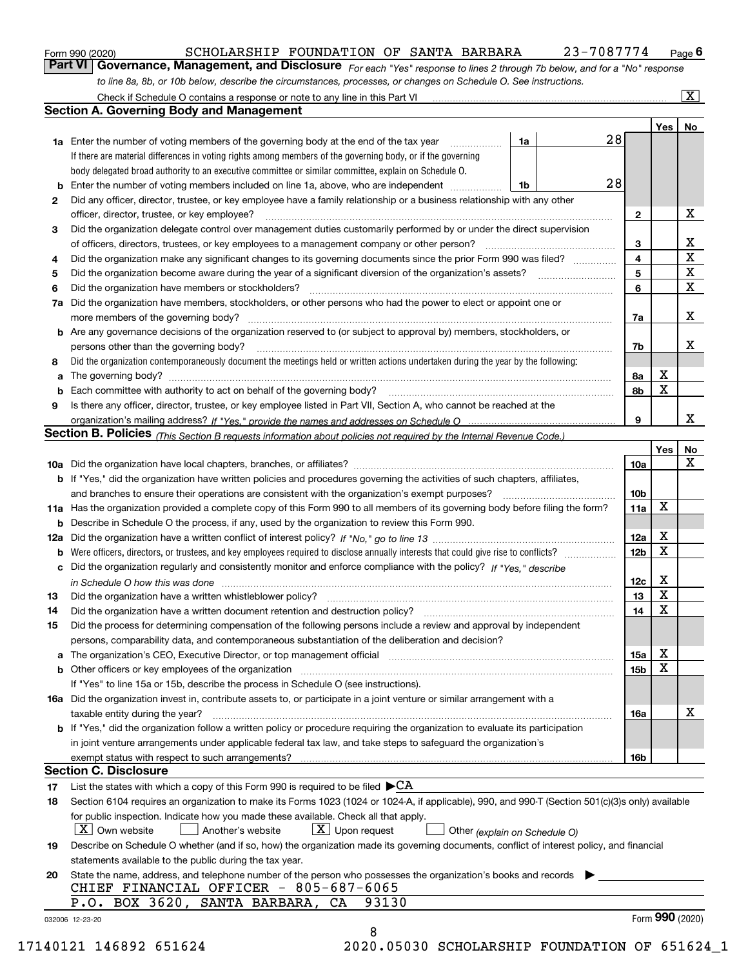|  | Form 990 (2020) |
|--|-----------------|
|  |                 |

*For each "Yes" response to lines 2 through 7b below, and for a "No" response to line 8a, 8b, or 10b below, describe the circumstances, processes, or changes on Schedule O. See instructions.* Form 990 (2020) **CHOLARSHIP FOUNDATION OF SANTA BARBARA** 23-7087774 Page 6<br>**Part VI Governance, Management, and Disclosure** For each "Yes" response to lines 2 through 7b below, and for a "No" response

|                                                                                                                                                 | Check if Schedule O contains a response or note to any line in this Part VI                                                                                           |    |    |                 |             | $\overline{\mathbf{x}}$ |  |  |  |
|-------------------------------------------------------------------------------------------------------------------------------------------------|-----------------------------------------------------------------------------------------------------------------------------------------------------------------------|----|----|-----------------|-------------|-------------------------|--|--|--|
|                                                                                                                                                 | <b>Section A. Governing Body and Management</b>                                                                                                                       |    |    |                 |             |                         |  |  |  |
|                                                                                                                                                 |                                                                                                                                                                       |    |    |                 | Yes         | No                      |  |  |  |
|                                                                                                                                                 | <b>1a</b> Enter the number of voting members of the governing body at the end of the tax year<br>.                                                                    | 1a | 28 |                 |             |                         |  |  |  |
|                                                                                                                                                 | If there are material differences in voting rights among members of the governing body, or if the governing                                                           |    |    |                 |             |                         |  |  |  |
|                                                                                                                                                 | body delegated broad authority to an executive committee or similar committee, explain on Schedule O.                                                                 |    |    |                 |             |                         |  |  |  |
| b                                                                                                                                               | Enter the number of voting members included on line 1a, above, who are independent                                                                                    | 1b | 28 |                 |             |                         |  |  |  |
| 2                                                                                                                                               | Did any officer, director, trustee, or key employee have a family relationship or a business relationship with any other                                              |    |    |                 |             |                         |  |  |  |
|                                                                                                                                                 | officer, director, trustee, or key employee?                                                                                                                          |    |    | $\mathbf{2}$    |             | X                       |  |  |  |
| 3                                                                                                                                               | Did the organization delegate control over management duties customarily performed by or under the direct supervision                                                 |    |    |                 |             |                         |  |  |  |
|                                                                                                                                                 | of officers, directors, trustees, or key employees to a management company or other person?                                                                           |    |    | 3               |             | х                       |  |  |  |
| 4                                                                                                                                               | Did the organization make any significant changes to its governing documents since the prior Form 990 was filed?                                                      |    |    | 4               |             | $\mathbf X$             |  |  |  |
| 5                                                                                                                                               |                                                                                                                                                                       |    |    | 5               |             | X                       |  |  |  |
| 6                                                                                                                                               | Did the organization have members or stockholders?                                                                                                                    |    |    |                 |             |                         |  |  |  |
|                                                                                                                                                 | Did the organization have members, stockholders, or other persons who had the power to elect or appoint one or                                                        |    |    | 6               |             | $\mathbf X$             |  |  |  |
| 7a                                                                                                                                              |                                                                                                                                                                       |    |    |                 |             |                         |  |  |  |
|                                                                                                                                                 | more members of the governing body?                                                                                                                                   |    |    | 7a              |             | х                       |  |  |  |
| b                                                                                                                                               | Are any governance decisions of the organization reserved to (or subject to approval by) members, stockholders, or                                                    |    |    |                 |             |                         |  |  |  |
|                                                                                                                                                 | persons other than the governing body?                                                                                                                                |    |    | 7b              |             | х                       |  |  |  |
| 8                                                                                                                                               | Did the organization contemporaneously document the meetings held or written actions undertaken during the year by the following:                                     |    |    |                 |             |                         |  |  |  |
| a                                                                                                                                               |                                                                                                                                                                       |    |    | 8a              | X           |                         |  |  |  |
| b                                                                                                                                               | Each committee with authority to act on behalf of the governing body?                                                                                                 |    |    | 8b              | X           |                         |  |  |  |
| 9                                                                                                                                               | Is there any officer, director, trustee, or key employee listed in Part VII, Section A, who cannot be reached at the                                                  |    |    |                 |             |                         |  |  |  |
|                                                                                                                                                 |                                                                                                                                                                       |    |    | 9               |             | x                       |  |  |  |
|                                                                                                                                                 | Section B. Policies <sub>(This Section B requests information about policies not required by the Internal Revenue Code.)</sub>                                        |    |    |                 |             |                         |  |  |  |
|                                                                                                                                                 |                                                                                                                                                                       |    |    |                 | Yes         | No                      |  |  |  |
|                                                                                                                                                 |                                                                                                                                                                       |    |    | 10a             |             | х                       |  |  |  |
|                                                                                                                                                 | <b>b</b> If "Yes," did the organization have written policies and procedures governing the activities of such chapters, affiliates,                                   |    |    |                 |             |                         |  |  |  |
|                                                                                                                                                 | and branches to ensure their operations are consistent with the organization's exempt purposes?                                                                       |    |    | 10b             |             |                         |  |  |  |
|                                                                                                                                                 | 11a Has the organization provided a complete copy of this Form 990 to all members of its governing body before filing the form?                                       |    |    | 11a             | $\mathbf X$ |                         |  |  |  |
| b                                                                                                                                               | Describe in Schedule O the process, if any, used by the organization to review this Form 990.                                                                         |    |    |                 |             |                         |  |  |  |
| 12a                                                                                                                                             |                                                                                                                                                                       |    |    |                 |             |                         |  |  |  |
| b                                                                                                                                               |                                                                                                                                                                       |    |    | 12 <sub>b</sub> | X           |                         |  |  |  |
| c                                                                                                                                               | Did the organization regularly and consistently monitor and enforce compliance with the policy? If "Yes." describe                                                    |    |    |                 |             |                         |  |  |  |
|                                                                                                                                                 | in Schedule O how this was done www.communication.com/www.communications.com/www.communications.com/                                                                  |    |    | 12c             | X           |                         |  |  |  |
| 13                                                                                                                                              | Did the organization have a written whistleblower policy?                                                                                                             |    |    | 13              | X           |                         |  |  |  |
| 14                                                                                                                                              | Did the organization have a written document retention and destruction policy?                                                                                        |    |    | 14              | X           |                         |  |  |  |
| 15                                                                                                                                              | Did the process for determining compensation of the following persons include a review and approval by independent                                                    |    |    |                 |             |                         |  |  |  |
|                                                                                                                                                 | persons, comparability data, and contemporaneous substantiation of the deliberation and decision?                                                                     |    |    |                 |             |                         |  |  |  |
| а                                                                                                                                               | The organization's CEO, Executive Director, or top management official manufactured content of the organization's CEO, Executive Director, or top management official |    |    | 15a             | Χ           |                         |  |  |  |
| b                                                                                                                                               | Other officers or key employees of the organization                                                                                                                   |    |    | 15b             | X           |                         |  |  |  |
|                                                                                                                                                 | If "Yes" to line 15a or 15b, describe the process in Schedule O (see instructions).                                                                                   |    |    |                 |             |                         |  |  |  |
|                                                                                                                                                 | 16a Did the organization invest in, contribute assets to, or participate in a joint venture or similar arrangement with a                                             |    |    |                 |             |                         |  |  |  |
|                                                                                                                                                 | taxable entity during the year?                                                                                                                                       |    |    | 16a             |             | х                       |  |  |  |
|                                                                                                                                                 | b If "Yes," did the organization follow a written policy or procedure requiring the organization to evaluate its participation                                        |    |    |                 |             |                         |  |  |  |
|                                                                                                                                                 | in joint venture arrangements under applicable federal tax law, and take steps to safeguard the organization's                                                        |    |    |                 |             |                         |  |  |  |
|                                                                                                                                                 | exempt status with respect to such arrangements?                                                                                                                      |    |    | 16b             |             |                         |  |  |  |
|                                                                                                                                                 | <b>Section C. Disclosure</b>                                                                                                                                          |    |    |                 |             |                         |  |  |  |
| 17                                                                                                                                              | List the states with which a copy of this Form 990 is required to be filed $\blacktriangleright$ CA                                                                   |    |    |                 |             |                         |  |  |  |
| 18                                                                                                                                              | Section 6104 requires an organization to make its Forms 1023 (1024 or 1024-A, if applicable), 990, and 990-T (Section 501(c)(3)s only) available                      |    |    |                 |             |                         |  |  |  |
|                                                                                                                                                 | for public inspection. Indicate how you made these available. Check all that apply.                                                                                   |    |    |                 |             |                         |  |  |  |
|                                                                                                                                                 | $\lfloor X \rfloor$ Own website<br>$X$ Upon request<br>Another's website<br>Other (explain on Schedule O)                                                             |    |    |                 |             |                         |  |  |  |
| Describe on Schedule O whether (and if so, how) the organization made its governing documents, conflict of interest policy, and financial<br>19 |                                                                                                                                                                       |    |    |                 |             |                         |  |  |  |
|                                                                                                                                                 | statements available to the public during the tax year.                                                                                                               |    |    |                 |             |                         |  |  |  |
| 20                                                                                                                                              | State the name, address, and telephone number of the person who possesses the organization's books and records                                                        |    |    |                 |             |                         |  |  |  |
|                                                                                                                                                 | CHIEF FINANCIAL OFFICER - 805-687-6065                                                                                                                                |    |    |                 |             |                         |  |  |  |
|                                                                                                                                                 | P.O. BOX 3620, SANTA BARBARA,<br>93130<br>CA                                                                                                                          |    |    |                 |             |                         |  |  |  |
|                                                                                                                                                 | 032006 12-23-20                                                                                                                                                       |    |    |                 |             | Form 990 (2020)         |  |  |  |
|                                                                                                                                                 | 8                                                                                                                                                                     |    |    |                 |             |                         |  |  |  |
|                                                                                                                                                 |                                                                                                                                                                       |    |    |                 |             |                         |  |  |  |

17140121 146892 651624 2020.05030 SCHOLARSHIP FOUNDATION OF 651624\_1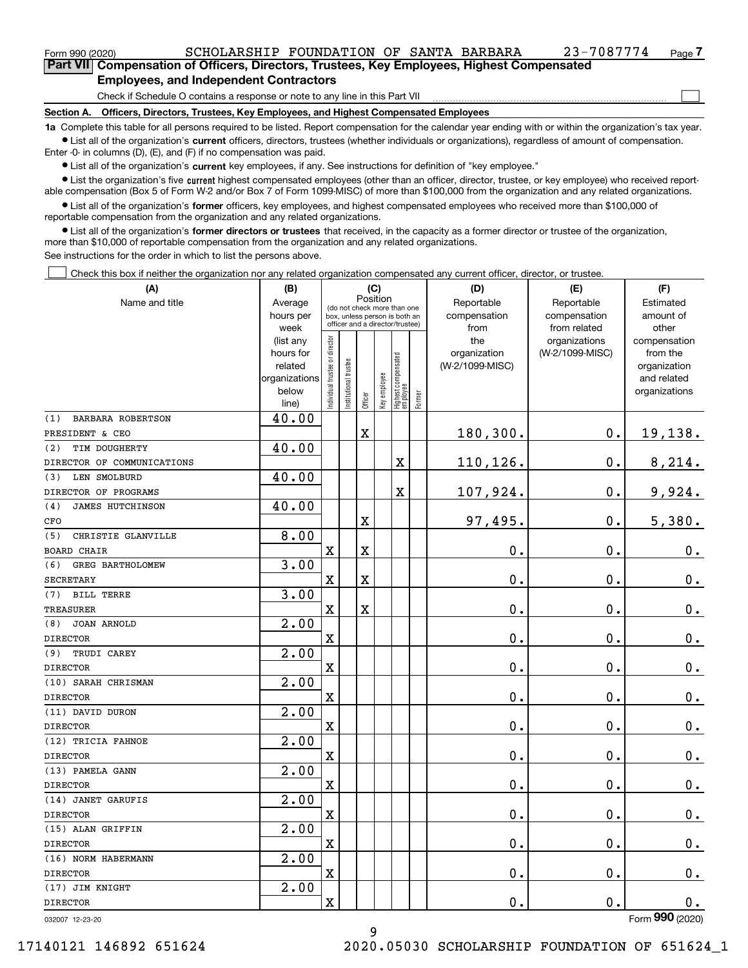| Form 990 (2020)                                                                            | SCHOLARSHIP FOUNDATION OF SANTA BARBARA                                      |  |  |  |  | 23-7087774 | Page $7$ |  |
|--------------------------------------------------------------------------------------------|------------------------------------------------------------------------------|--|--|--|--|------------|----------|--|
| Part VII Compensation of Officers, Directors, Trustees, Key Employees, Highest Compensated |                                                                              |  |  |  |  |            |          |  |
| <b>Employees, and Independent Contractors</b>                                              |                                                                              |  |  |  |  |            |          |  |
|                                                                                            | Check if Schedule O contains a response or note to any line in this Part VII |  |  |  |  |            |          |  |

**Section A. Officers, Directors, Trustees, Key Employees, and Highest Compensated Employees**

**1a**  Complete this table for all persons required to be listed. Report compensation for the calendar year ending with or within the organization's tax year. **•** List all of the organization's current officers, directors, trustees (whether individuals or organizations), regardless of amount of compensation.

Enter -0- in columns (D), (E), and (F) if no compensation was paid.

 $\bullet$  List all of the organization's  $\,$ current key employees, if any. See instructions for definition of "key employee."

**•** List the organization's five current highest compensated employees (other than an officer, director, trustee, or key employee) who received reportable compensation (Box 5 of Form W-2 and/or Box 7 of Form 1099-MISC) of more than \$100,000 from the organization and any related organizations.

**•** List all of the organization's former officers, key employees, and highest compensated employees who received more than \$100,000 of reportable compensation from the organization and any related organizations.

**former directors or trustees**  ¥ List all of the organization's that received, in the capacity as a former director or trustee of the organization, more than \$10,000 of reportable compensation from the organization and any related organizations.

See instructions for the order in which to list the persons above.

Check this box if neither the organization nor any related organization compensated any current officer, director, or trustee.  $\mathcal{L}^{\text{max}}$ 

| (A)                             | (B)                    |                               |                                                                  | (C)         |              |                                  |        | (D)                             | (E)                              | (F)                      |
|---------------------------------|------------------------|-------------------------------|------------------------------------------------------------------|-------------|--------------|----------------------------------|--------|---------------------------------|----------------------------------|--------------------------|
| Name and title                  | Average                |                               | (do not check more than one                                      | Position    |              |                                  |        | Reportable                      | Reportable                       | Estimated                |
|                                 | hours per              |                               | box, unless person is both an<br>officer and a director/trustee) |             |              |                                  |        | compensation                    | compensation                     | amount of                |
|                                 | week                   |                               |                                                                  |             |              |                                  |        | from                            | from related                     | other                    |
|                                 | (list any<br>hours for |                               |                                                                  |             |              |                                  |        | the                             | organizations<br>(W-2/1099-MISC) | compensation<br>from the |
|                                 | related                |                               |                                                                  |             |              |                                  |        | organization<br>(W-2/1099-MISC) |                                  | organization             |
|                                 | organizations          |                               |                                                                  |             |              |                                  |        |                                 |                                  | and related              |
|                                 | below                  | ndividual trustee or director | nstitutional trustee                                             |             |              |                                  |        |                                 |                                  | organizations            |
|                                 | line)                  |                               |                                                                  | Officer     | Key employee | Highest compensated<br> employee | Former |                                 |                                  |                          |
| <b>BARBARA ROBERTSON</b><br>(1) | 40.00                  |                               |                                                                  |             |              |                                  |        |                                 |                                  |                          |
| PRESIDENT & CEO                 |                        |                               |                                                                  | $\mathbf X$ |              |                                  |        | 180,300.                        | $\mathbf 0$ .                    | 19, 138.                 |
| (2)<br>TIM DOUGHERTY            | 40.00                  |                               |                                                                  |             |              |                                  |        |                                 |                                  |                          |
| DIRECTOR OF COMMUNICATIONS      |                        |                               |                                                                  |             |              | X                                |        | 110,126.                        | $\mathbf 0$ .                    | 8,214.                   |
| LEN SMOLBURD<br>(3)             | 40.00                  |                               |                                                                  |             |              |                                  |        |                                 |                                  |                          |
| DIRECTOR OF PROGRAMS            |                        |                               |                                                                  |             |              | $\overline{\textbf{X}}$          |        | 107,924.                        | 0.                               | 9,924.                   |
| <b>JAMES HUTCHINSON</b><br>(4)  | 40.00                  |                               |                                                                  |             |              |                                  |        |                                 |                                  |                          |
| CFO                             |                        |                               |                                                                  | $\mathbf X$ |              |                                  |        | 97,495.                         | 0.                               | 5,380.                   |
| (5)<br>CHRISTIE GLANVILLE       | 8.00                   |                               |                                                                  |             |              |                                  |        |                                 |                                  |                          |
| <b>BOARD CHAIR</b>              |                        | $\mathbf X$                   |                                                                  | $\rm X$     |              |                                  |        | 0.                              | 0.                               | $0_{.}$                  |
| GREG BARTHOLOMEW<br>(6)         | 3.00                   |                               |                                                                  |             |              |                                  |        |                                 |                                  |                          |
| <b>SECRETARY</b>                |                        | $\mathbf X$                   |                                                                  | $\rm X$     |              |                                  |        | 0.                              | $\mathbf 0$ .                    | $0_{.}$                  |
| <b>BILL TERRE</b><br>(7)        | 3.00                   |                               |                                                                  |             |              |                                  |        |                                 |                                  |                          |
| <b>TREASURER</b>                |                        | $\mathbf X$                   |                                                                  | $\rm X$     |              |                                  |        | 0.                              | 0.                               | $0_{.}$                  |
| JOAN ARNOLD<br>(8)              | $\overline{2.00}$      |                               |                                                                  |             |              |                                  |        |                                 |                                  |                          |
| <b>DIRECTOR</b>                 |                        | $\overline{\mathbf{X}}$       |                                                                  |             |              |                                  |        | 0.                              | $\mathbf 0$ .                    | $\mathbf 0$ .            |
| TRUDI CAREY<br>(9)              | 2.00                   |                               |                                                                  |             |              |                                  |        |                                 |                                  |                          |
| <b>DIRECTOR</b>                 |                        | $\overline{\mathbf{X}}$       |                                                                  |             |              |                                  |        | $\mathbf 0$ .                   | 0.                               | $0_{.}$                  |
| (10) SARAH CHRISMAN             | 2.00                   |                               |                                                                  |             |              |                                  |        |                                 |                                  |                          |
| <b>DIRECTOR</b>                 |                        | $\overline{\mathbf{X}}$       |                                                                  |             |              |                                  |        | $\mathbf 0$ .                   | $\mathbf 0$ .                    | $0_{.}$                  |
| (11) DAVID DURON                | 2.00                   |                               |                                                                  |             |              |                                  |        |                                 |                                  |                          |
| <b>DIRECTOR</b>                 |                        | X                             |                                                                  |             |              |                                  |        | $\mathbf 0$ .                   | $\mathbf 0$ .                    | $0_{.}$                  |
| (12) TRICIA FAHNOE              | 2.00                   |                               |                                                                  |             |              |                                  |        |                                 |                                  |                          |
| <b>DIRECTOR</b>                 |                        | X                             |                                                                  |             |              |                                  |        | 0.                              | $\mathbf 0$ .                    | $0_{\cdot}$              |
| (13) PAMELA GANN                | 2.00                   |                               |                                                                  |             |              |                                  |        |                                 |                                  |                          |
| <b>DIRECTOR</b>                 |                        | $\mathbf X$                   |                                                                  |             |              |                                  |        | 0.                              | $\mathbf 0$ .                    | $\mathbf 0$ .            |
| (14) JANET GARUFIS              | 2.00                   |                               |                                                                  |             |              |                                  |        |                                 |                                  |                          |
| <b>DIRECTOR</b>                 |                        | $\rm X$                       |                                                                  |             |              |                                  |        | 0.                              | $\mathbf 0$ .                    | $0_{.}$                  |
| (15) ALAN GRIFFIN               | $\overline{2.00}$      |                               |                                                                  |             |              |                                  |        |                                 |                                  |                          |
| <b>DIRECTOR</b>                 |                        | X                             |                                                                  |             |              |                                  |        | 0.                              | 0.                               | $\mathbf 0$ .            |
| (16) NORM HABERMANN             | $\overline{2.00}$      |                               |                                                                  |             |              |                                  |        |                                 |                                  |                          |
| <b>DIRECTOR</b>                 |                        | $\rm X$                       |                                                                  |             |              |                                  |        | 0.                              | $\mathbf 0$ .                    | $\mathbf 0$ .            |
| (17) JIM KNIGHT                 | 2.00                   |                               |                                                                  |             |              |                                  |        |                                 |                                  |                          |
| <b>DIRECTOR</b>                 |                        | $\overline{\mathbf{X}}$       |                                                                  |             |              |                                  |        | 0.                              | $\mathbf 0$ .                    | 0.                       |

032007 12-23-20

Form (2020) **990**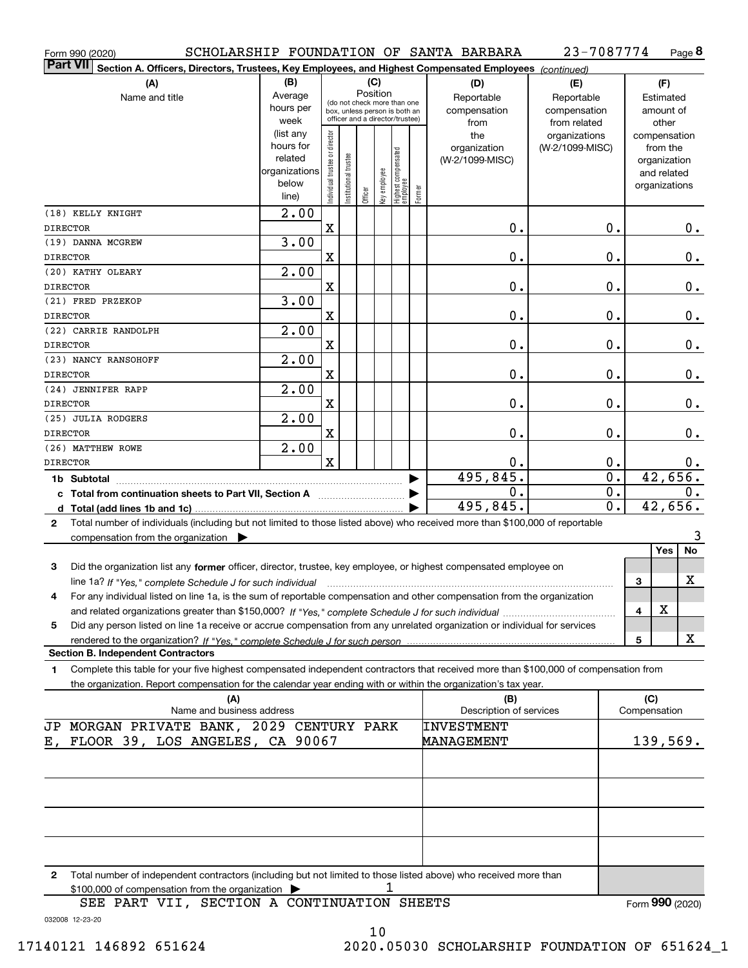|                 | Form 990 (2020)                                                                                                                      |                      |                                |                       |          |              |                                   |            | SCHOLARSHIP FOUNDATION OF SANTA BARBARA | 23-7087774      |                  |                     |                             | Page 8          |
|-----------------|--------------------------------------------------------------------------------------------------------------------------------------|----------------------|--------------------------------|-----------------------|----------|--------------|-----------------------------------|------------|-----------------------------------------|-----------------|------------------|---------------------|-----------------------------|-----------------|
| <b>Part VII</b> | Section A. Officers, Directors, Trustees, Key Employees, and Highest Compensated Employees (continued)                               |                      |                                |                       |          |              |                                   |            |                                         |                 |                  |                     |                             |                 |
|                 | (A)                                                                                                                                  | (B)                  |                                |                       |          | (C)          |                                   |            | (D)                                     | (E)             |                  |                     | (F)                         |                 |
|                 | Name and title                                                                                                                       | Average              |                                |                       | Position |              | (do not check more than one       |            | Reportable                              | Reportable      |                  |                     | Estimated                   |                 |
|                 |                                                                                                                                      | hours per            |                                |                       |          |              | box, unless person is both an     |            | compensation                            | compensation    |                  |                     | amount of                   |                 |
|                 |                                                                                                                                      | week                 |                                |                       |          |              | officer and a director/trustee)   |            | from                                    | from related    |                  |                     | other                       |                 |
|                 |                                                                                                                                      | (list any            |                                |                       |          |              |                                   |            | the                                     | organizations   |                  |                     |                             | compensation    |
|                 |                                                                                                                                      | hours for<br>related |                                |                       |          |              |                                   |            | organization                            | (W-2/1099-MISC) |                  |                     | from the                    |                 |
|                 |                                                                                                                                      | organizations        |                                |                       |          |              |                                   |            | (W-2/1099-MISC)                         |                 |                  |                     | organization<br>and related |                 |
|                 |                                                                                                                                      | below                |                                |                       |          |              |                                   |            |                                         |                 |                  |                     | organizations               |                 |
|                 |                                                                                                                                      | line)                | Individual trustee or director | Institutional trustee | Officer  | key employee | Highest compensated<br>  employee | Former     |                                         |                 |                  |                     |                             |                 |
|                 | (18) KELLY KNIGHT                                                                                                                    | 2.00                 |                                |                       |          |              |                                   |            |                                         |                 |                  |                     |                             |                 |
| <b>DIRECTOR</b> |                                                                                                                                      |                      | Χ                              |                       |          |              |                                   |            | 0.                                      |                 | 0.               |                     |                             | 0.              |
|                 | (19) DANNA MCGREW                                                                                                                    | 3.00                 |                                |                       |          |              |                                   |            |                                         |                 |                  |                     |                             |                 |
| <b>DIRECTOR</b> |                                                                                                                                      |                      | $\mathbf X$                    |                       |          |              |                                   |            | 0.                                      |                 | 0.               |                     |                             | 0.              |
|                 | (20) KATHY OLEARY                                                                                                                    | 2.00                 |                                |                       |          |              |                                   |            |                                         |                 |                  |                     |                             |                 |
| <b>DIRECTOR</b> |                                                                                                                                      |                      | $\mathbf X$                    |                       |          |              |                                   |            | 0.                                      |                 | Ο.               |                     |                             | $\mathbf 0$ .   |
|                 | (21) FRED PRZEKOP                                                                                                                    | 3.00                 |                                |                       |          |              |                                   |            |                                         |                 |                  |                     |                             |                 |
| <b>DIRECTOR</b> |                                                                                                                                      |                      | $\mathbf X$                    |                       |          |              |                                   |            | 0.                                      |                 | Ο.               |                     |                             | $\mathbf 0$ .   |
|                 | (22) CARRIE RANDOLPH                                                                                                                 | 2.00                 |                                |                       |          |              |                                   |            |                                         |                 |                  |                     |                             |                 |
| <b>DIRECTOR</b> |                                                                                                                                      |                      | $\mathbf X$                    |                       |          |              |                                   |            | 0.                                      |                 | Ο.               |                     |                             | $0_{.}$         |
|                 | (23) NANCY RANSOHOFF                                                                                                                 | 2.00                 |                                |                       |          |              |                                   |            |                                         |                 |                  |                     |                             |                 |
| <b>DIRECTOR</b> |                                                                                                                                      |                      | $\mathbf X$                    |                       |          |              |                                   |            | 0.                                      |                 | 0.               |                     |                             | $0_{.}$         |
|                 | (24) JENNIFER RAPP                                                                                                                   | 2.00                 |                                |                       |          |              |                                   |            |                                         |                 |                  |                     |                             |                 |
| <b>DIRECTOR</b> |                                                                                                                                      |                      | $\mathbf X$                    |                       |          |              |                                   |            | 0.                                      |                 | 0.               |                     |                             | 0.              |
|                 | (25) JULIA RODGERS                                                                                                                   | 2.00                 |                                |                       |          |              |                                   |            |                                         |                 |                  |                     |                             |                 |
| <b>DIRECTOR</b> |                                                                                                                                      |                      | $\mathbf X$                    |                       |          |              |                                   |            | 0.                                      |                 | 0.               |                     |                             | 0.              |
|                 | (26) MATTHEW ROWE                                                                                                                    | 2.00                 |                                |                       |          |              |                                   |            |                                         |                 |                  |                     |                             |                 |
|                 |                                                                                                                                      |                      | $\mathbf x$                    |                       |          |              |                                   |            | 0.                                      |                 | Ο.               |                     |                             |                 |
| <b>DIRECTOR</b> |                                                                                                                                      |                      |                                |                       |          |              |                                   |            | 495,845.                                |                 | $\overline{0}$ . |                     |                             | 0.              |
|                 | 1b Subtotal                                                                                                                          |                      |                                |                       |          |              |                                   |            | 0.                                      |                 | $\overline{0}$ . | 42,656.             |                             |                 |
|                 | c Total from continuation sheets to Part VII, Section A                                                                              |                      |                                |                       |          |              |                                   |            |                                         |                 | $\overline{0}$ . | 0.<br>42,656.       |                             |                 |
|                 |                                                                                                                                      |                      |                                |                       |          |              |                                   |            | 495,845.                                |                 |                  |                     |                             |                 |
| $\mathbf{2}$    | Total number of individuals (including but not limited to those listed above) who received more than \$100,000 of reportable         |                      |                                |                       |          |              |                                   |            |                                         |                 |                  |                     |                             |                 |
|                 | compensation from the organization $\blacktriangleright$                                                                             |                      |                                |                       |          |              |                                   |            |                                         |                 |                  |                     |                             | 3               |
|                 |                                                                                                                                      |                      |                                |                       |          |              |                                   |            |                                         |                 |                  |                     | Yes                         | No              |
| 3               | Did the organization list any former officer, director, trustee, key employee, or highest compensated employee on                    |                      |                                |                       |          |              |                                   |            |                                         |                 |                  |                     |                             |                 |
|                 | line 1a? If "Yes," complete Schedule J for such individual material content in the first of the content of the                       |                      |                                |                       |          |              |                                   |            |                                         |                 |                  | 3                   |                             | X               |
| 4               | For any individual listed on line 1a, is the sum of reportable compensation and other compensation from the organization             |                      |                                |                       |          |              |                                   |            |                                         |                 |                  |                     |                             |                 |
|                 |                                                                                                                                      |                      |                                |                       |          |              |                                   |            |                                         |                 |                  | 4                   | X                           |                 |
| 5               | Did any person listed on line 1a receive or accrue compensation from any unrelated organization or individual for services           |                      |                                |                       |          |              |                                   |            |                                         |                 |                  |                     |                             |                 |
|                 |                                                                                                                                      |                      |                                |                       |          |              |                                   |            |                                         |                 |                  | 5                   |                             | X               |
|                 | <b>Section B. Independent Contractors</b>                                                                                            |                      |                                |                       |          |              |                                   |            |                                         |                 |                  |                     |                             |                 |
| 1               | Complete this table for your five highest compensated independent contractors that received more than \$100,000 of compensation from |                      |                                |                       |          |              |                                   |            |                                         |                 |                  |                     |                             |                 |
|                 | the organization. Report compensation for the calendar year ending with or within the organization's tax year.                       |                      |                                |                       |          |              |                                   |            |                                         |                 |                  |                     |                             |                 |
|                 | (A)                                                                                                                                  |                      |                                |                       |          |              |                                   |            | (B)<br>Description of services          |                 |                  | (C)<br>Compensation |                             |                 |
|                 | Name and business address                                                                                                            |                      |                                |                       |          |              |                                   |            |                                         |                 |                  |                     |                             |                 |
|                 | JP MORGAN PRIVATE BANK, 2029 CENTURY PARK                                                                                            |                      |                                |                       |          |              |                                   |            | <b>INVESTMENT</b>                       |                 |                  |                     |                             |                 |
| Е,              | FLOOR 39, LOS ANGELES, CA 90067                                                                                                      |                      |                                |                       |          |              |                                   | MANAGEMENT |                                         |                 |                  |                     | 139,569.                    |                 |
|                 |                                                                                                                                      |                      |                                |                       |          |              |                                   |            |                                         |                 |                  |                     |                             |                 |
|                 |                                                                                                                                      |                      |                                |                       |          |              |                                   |            |                                         |                 |                  |                     |                             |                 |
|                 |                                                                                                                                      |                      |                                |                       |          |              |                                   |            |                                         |                 |                  |                     |                             |                 |
|                 |                                                                                                                                      |                      |                                |                       |          |              |                                   |            |                                         |                 |                  |                     |                             |                 |
|                 |                                                                                                                                      |                      |                                |                       |          |              |                                   |            |                                         |                 |                  |                     |                             |                 |
|                 |                                                                                                                                      |                      |                                |                       |          |              |                                   |            |                                         |                 |                  |                     |                             |                 |
|                 |                                                                                                                                      |                      |                                |                       |          |              |                                   |            |                                         |                 |                  |                     |                             |                 |
|                 |                                                                                                                                      |                      |                                |                       |          |              |                                   |            |                                         |                 |                  |                     |                             |                 |
| $\mathbf{2}$    | Total number of independent contractors (including but not limited to those listed above) who received more than                     |                      |                                |                       |          |              |                                   |            |                                         |                 |                  |                     |                             |                 |
|                 | \$100,000 of compensation from the organization                                                                                      |                      |                                |                       |          |              |                                   |            |                                         |                 |                  |                     |                             |                 |
|                 | SEE PART VII, SECTION A CONTINUATION SHEETS                                                                                          |                      |                                |                       |          |              |                                   |            |                                         |                 |                  |                     |                             | Form 990 (2020) |

032008 12-23-20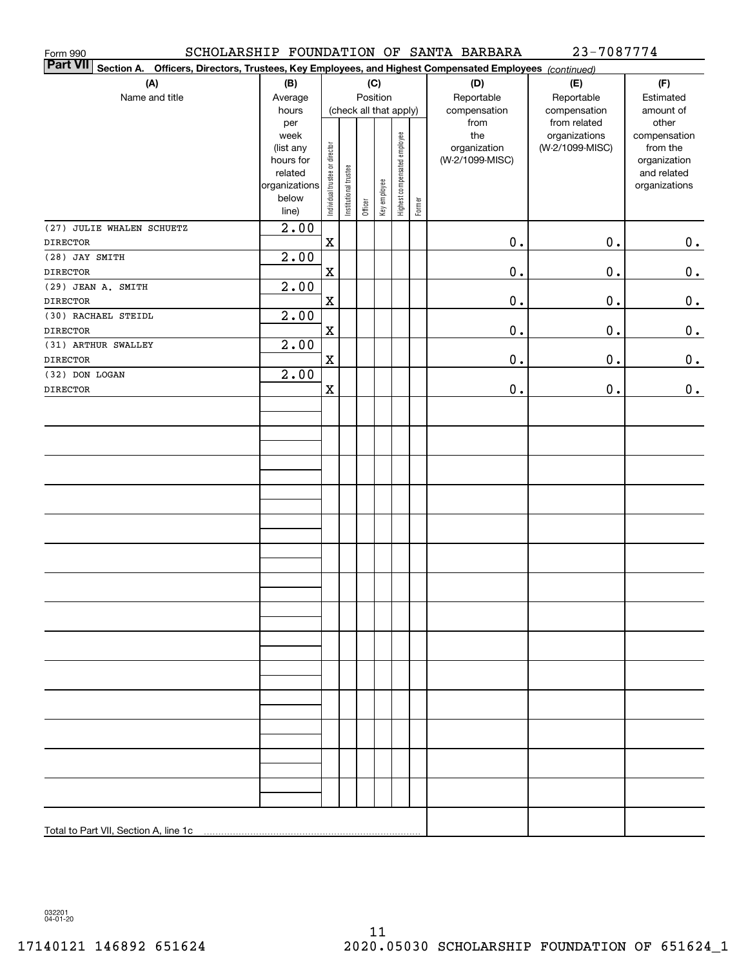| Form 990                                                                                                                                       |                        |                                |                        |         |              |                              |        | SCHOLARSHIP FOUNDATION OF SANTA BARBARA | 23-7087774                   |                    |  |
|------------------------------------------------------------------------------------------------------------------------------------------------|------------------------|--------------------------------|------------------------|---------|--------------|------------------------------|--------|-----------------------------------------|------------------------------|--------------------|--|
| <b>Part VII</b><br>Section A. Officers, Directors, Trustees, Key Employees, and Highest Compensated Employees (continued)<br>(A)<br>(D)<br>(B) |                        |                                |                        |         |              |                              |        |                                         |                              |                    |  |
|                                                                                                                                                | (C)                    |                                |                        |         |              |                              |        | (E)                                     | (F)                          |                    |  |
| Name and title                                                                                                                                 | Average                |                                |                        |         | Position     |                              |        | Reportable                              | Reportable                   | Estimated          |  |
|                                                                                                                                                | hours<br>per           |                                | (check all that apply) |         |              |                              |        | compensation<br>from                    | compensation<br>from related | amount of<br>other |  |
|                                                                                                                                                | week                   |                                |                        |         |              |                              |        | the                                     | organizations                | compensation       |  |
|                                                                                                                                                | (list any              |                                |                        |         |              |                              |        | organization                            | (W-2/1099-MISC)              | from the           |  |
|                                                                                                                                                | hours for              |                                |                        |         |              |                              |        | (W-2/1099-MISC)                         |                              | organization       |  |
|                                                                                                                                                | related                |                                |                        |         |              |                              |        |                                         |                              | and related        |  |
|                                                                                                                                                | organizations<br>below |                                |                        |         |              |                              |        |                                         |                              | organizations      |  |
|                                                                                                                                                | line)                  | Individual trustee or director | Institutional trustee  | Officer | Key employee | Highest compensated employee | Former |                                         |                              |                    |  |
| (27) JULIE WHALEN SCHUETZ                                                                                                                      | 2.00                   |                                |                        |         |              |                              |        |                                         |                              |                    |  |
| <b>DIRECTOR</b>                                                                                                                                |                        | $\mathbf X$                    |                        |         |              |                              |        | $0$ .                                   | $\mathbf 0$ .                | $0_{\bullet}$      |  |
| (28) JAY SMITH                                                                                                                                 | 2.00                   |                                |                        |         |              |                              |        |                                         |                              |                    |  |
| <b>DIRECTOR</b>                                                                                                                                |                        | $\mathbf X$                    |                        |         |              |                              |        | $\mathbf 0$ .                           | 0.                           | $\mathbf 0$ .      |  |
| (29) JEAN A. SMITH                                                                                                                             | 2.00                   |                                |                        |         |              |                              |        |                                         |                              |                    |  |
| <b>DIRECTOR</b>                                                                                                                                |                        | $\mathbf X$                    |                        |         |              |                              |        | $\mathbf 0$ .                           | $\mathbf 0$ .                | $\mathbf 0$ .      |  |
| (30) RACHAEL STEIDL                                                                                                                            | 2.00                   |                                |                        |         |              |                              |        |                                         |                              |                    |  |
| <b>DIRECTOR</b>                                                                                                                                |                        | $\mathbf X$                    |                        |         |              |                              |        | $\mathbf 0$ .                           | $\mathbf 0$ .                | 0.                 |  |
| (31) ARTHUR SWALLEY                                                                                                                            | 2.00                   |                                |                        |         |              |                              |        |                                         |                              |                    |  |
| <b>DIRECTOR</b>                                                                                                                                |                        | $\mathbf X$                    |                        |         |              |                              |        | $\mathbf 0$ .                           | 0.                           | 0.                 |  |
| (32) DON LOGAN                                                                                                                                 | 2.00                   |                                |                        |         |              |                              |        |                                         |                              |                    |  |
| <b>DIRECTOR</b>                                                                                                                                |                        | X                              |                        |         |              |                              |        | 0.                                      | 0.                           | 0.                 |  |
|                                                                                                                                                |                        |                                |                        |         |              |                              |        |                                         |                              |                    |  |
|                                                                                                                                                |                        |                                |                        |         |              |                              |        |                                         |                              |                    |  |
|                                                                                                                                                |                        |                                |                        |         |              |                              |        |                                         |                              |                    |  |
|                                                                                                                                                |                        |                                |                        |         |              |                              |        |                                         |                              |                    |  |
|                                                                                                                                                |                        |                                |                        |         |              |                              |        |                                         |                              |                    |  |
|                                                                                                                                                |                        |                                |                        |         |              |                              |        |                                         |                              |                    |  |
|                                                                                                                                                |                        |                                |                        |         |              |                              |        |                                         |                              |                    |  |
|                                                                                                                                                |                        |                                |                        |         |              |                              |        |                                         |                              |                    |  |
|                                                                                                                                                |                        |                                |                        |         |              |                              |        |                                         |                              |                    |  |
|                                                                                                                                                |                        |                                |                        |         |              |                              |        |                                         |                              |                    |  |
|                                                                                                                                                |                        |                                |                        |         |              |                              |        |                                         |                              |                    |  |
|                                                                                                                                                |                        |                                |                        |         |              |                              |        |                                         |                              |                    |  |
|                                                                                                                                                |                        |                                |                        |         |              |                              |        |                                         |                              |                    |  |
|                                                                                                                                                |                        |                                |                        |         |              |                              |        |                                         |                              |                    |  |
|                                                                                                                                                |                        |                                |                        |         |              |                              |        |                                         |                              |                    |  |
|                                                                                                                                                |                        |                                |                        |         |              |                              |        |                                         |                              |                    |  |
|                                                                                                                                                |                        |                                |                        |         |              |                              |        |                                         |                              |                    |  |
|                                                                                                                                                |                        |                                |                        |         |              |                              |        |                                         |                              |                    |  |
|                                                                                                                                                |                        |                                |                        |         |              |                              |        |                                         |                              |                    |  |
|                                                                                                                                                |                        |                                |                        |         |              |                              |        |                                         |                              |                    |  |
|                                                                                                                                                |                        |                                |                        |         |              |                              |        |                                         |                              |                    |  |
|                                                                                                                                                |                        |                                |                        |         |              |                              |        |                                         |                              |                    |  |
|                                                                                                                                                |                        |                                |                        |         |              |                              |        |                                         |                              |                    |  |
|                                                                                                                                                |                        |                                |                        |         |              |                              |        |                                         |                              |                    |  |
|                                                                                                                                                |                        |                                |                        |         |              |                              |        |                                         |                              |                    |  |
|                                                                                                                                                |                        |                                |                        |         |              |                              |        |                                         |                              |                    |  |
|                                                                                                                                                |                        |                                |                        |         |              |                              |        |                                         |                              |                    |  |
|                                                                                                                                                |                        |                                |                        |         |              |                              |        |                                         |                              |                    |  |

032201 04-01-20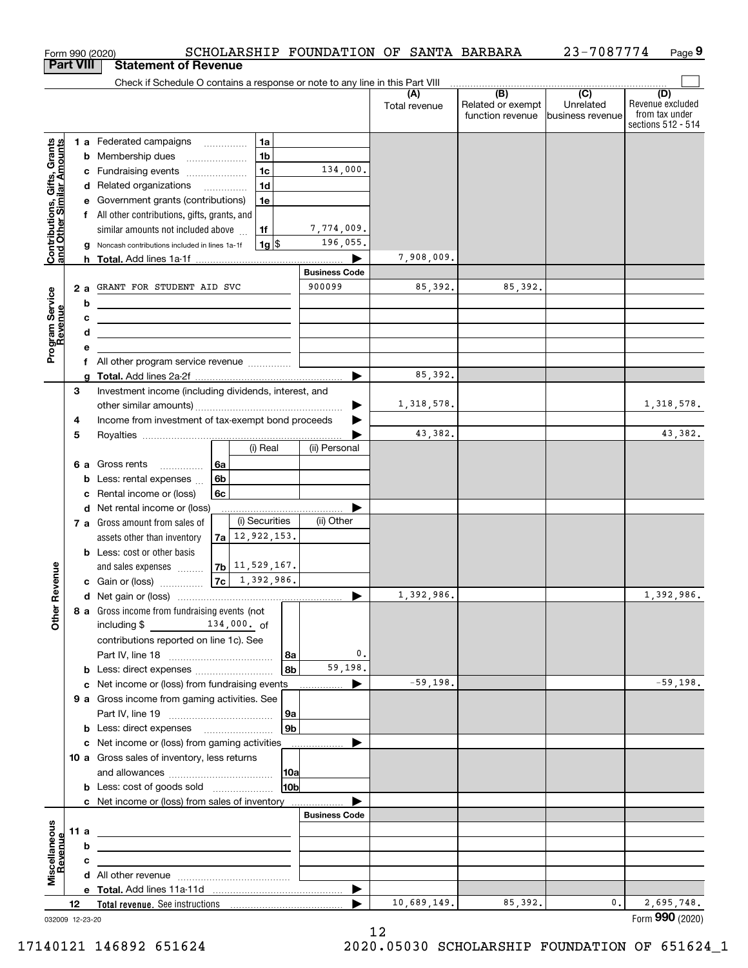|                                                           |                                                    |     | Form 990 (2020)                                                               |                                      |                    |     | SCHOLARSHIP FOUNDATION OF SANTA BARBARA |                      |                                              | 23-7087774                           | Page 9                                                          |
|-----------------------------------------------------------|----------------------------------------------------|-----|-------------------------------------------------------------------------------|--------------------------------------|--------------------|-----|-----------------------------------------|----------------------|----------------------------------------------|--------------------------------------|-----------------------------------------------------------------|
|                                                           | <b>Part VIII</b>                                   |     | <b>Statement of Revenue</b>                                                   |                                      |                    |     |                                         |                      |                                              |                                      |                                                                 |
|                                                           |                                                    |     | Check if Schedule O contains a response or note to any line in this Part VIII |                                      |                    |     |                                         |                      |                                              |                                      |                                                                 |
|                                                           |                                                    |     |                                                                               |                                      |                    |     |                                         | (A)<br>Total revenue | (B)<br>Related or exempt<br>function revenue | (C)<br>Unrelated<br>business revenue | (D)<br>Revenue excluded<br>from tax under<br>sections 512 - 514 |
|                                                           |                                                    |     | 1 a Federated campaigns                                                       |                                      | 1a                 |     |                                         |                      |                                              |                                      |                                                                 |
| Contributions, Gifts, Grants<br>and Other Similar Amounts |                                                    |     | <b>b</b> Membership dues                                                      | $\ldots \ldots \ldots \ldots \ldots$ | 1 <sub>b</sub>     |     |                                         |                      |                                              |                                      |                                                                 |
|                                                           |                                                    |     | c Fundraising events                                                          |                                      | 1 <sub>c</sub>     |     | 134,000.                                |                      |                                              |                                      |                                                                 |
|                                                           |                                                    |     | d Related organizations                                                       |                                      | 1 <sub>d</sub>     |     |                                         |                      |                                              |                                      |                                                                 |
|                                                           |                                                    |     | e Government grants (contributions)                                           |                                      | 1e                 |     |                                         |                      |                                              |                                      |                                                                 |
|                                                           |                                                    |     | f All other contributions, gifts, grants, and                                 |                                      |                    |     |                                         |                      |                                              |                                      |                                                                 |
|                                                           |                                                    |     | similar amounts not included above                                            |                                      | 1f                 |     | 7,774,009.                              |                      |                                              |                                      |                                                                 |
|                                                           |                                                    |     | g Noncash contributions included in lines 1a-1f                               |                                      | $1g$ $\frac{1}{3}$ |     | 196,055.                                |                      |                                              |                                      |                                                                 |
|                                                           |                                                    |     |                                                                               |                                      |                    |     |                                         | 7,908,009.           |                                              |                                      |                                                                 |
|                                                           |                                                    |     |                                                                               |                                      |                    |     | <b>Business Code</b>                    |                      |                                              |                                      |                                                                 |
|                                                           |                                                    | 2 a | GRANT FOR STUDENT AID SVC                                                     |                                      |                    |     | 900099                                  | 85,392.              | 85,392.                                      |                                      |                                                                 |
|                                                           |                                                    | b   |                                                                               |                                      |                    |     |                                         |                      |                                              |                                      |                                                                 |
|                                                           |                                                    | с   |                                                                               |                                      |                    |     |                                         |                      |                                              |                                      |                                                                 |
|                                                           |                                                    | d   |                                                                               |                                      |                    |     |                                         |                      |                                              |                                      |                                                                 |
| Program Service<br>Revenue                                |                                                    | е   |                                                                               |                                      |                    |     |                                         |                      |                                              |                                      |                                                                 |
|                                                           |                                                    |     | f All other program service revenue                                           |                                      |                    |     |                                         |                      |                                              |                                      |                                                                 |
|                                                           |                                                    |     |                                                                               |                                      |                    |     |                                         | 85,392.              |                                              |                                      |                                                                 |
|                                                           | з                                                  |     | Investment income (including dividends, interest, and                         |                                      |                    |     |                                         |                      |                                              |                                      |                                                                 |
|                                                           | Income from investment of tax-exempt bond proceeds |     |                                                                               |                                      |                    |     | 1,318,578.                              |                      |                                              | 1,318,578.                           |                                                                 |
|                                                           | 4                                                  |     |                                                                               |                                      |                    |     |                                         |                      |                                              |                                      |                                                                 |
|                                                           | 5                                                  |     |                                                                               |                                      | (i) Real           |     | (ii) Personal                           | 43,382.              |                                              |                                      | 43,382.                                                         |
|                                                           |                                                    |     |                                                                               |                                      |                    |     |                                         |                      |                                              |                                      |                                                                 |
|                                                           |                                                    |     | 6 a Gross rents<br>.                                                          | 6a                                   |                    |     |                                         |                      |                                              |                                      |                                                                 |
|                                                           |                                                    |     | <b>b</b> Less: rental expenses<br>Rental income or (loss)                     | 6b                                   |                    |     |                                         |                      |                                              |                                      |                                                                 |
|                                                           |                                                    | c   | d Net rental income or (loss)                                                 | 6с                                   |                    |     |                                         |                      |                                              |                                      |                                                                 |
|                                                           |                                                    |     | 7 a Gross amount from sales of                                                |                                      | (i) Securities     |     | (ii) Other                              |                      |                                              |                                      |                                                                 |
|                                                           |                                                    |     | $7a$ 12, 922, 153.<br>assets other than inventory                             |                                      |                    |     |                                         |                      |                                              |                                      |                                                                 |
|                                                           |                                                    |     | <b>b</b> Less: cost or other basis                                            |                                      |                    |     |                                         |                      |                                              |                                      |                                                                 |
|                                                           |                                                    |     | and sales expenses                                                            |                                      | $7b$ 11, 529, 167. |     |                                         |                      |                                              |                                      |                                                                 |
| venue                                                     |                                                    |     | c Gain or (loss)                                                              |                                      | 7c   1,392,986.    |     |                                         |                      |                                              |                                      |                                                                 |
|                                                           |                                                    |     |                                                                               |                                      |                    |     |                                         | 1,392,986.           |                                              |                                      | 1,392,986.                                                      |
| Other Re                                                  |                                                    |     | 8 a Gross income from fundraising events (not                                 |                                      |                    |     |                                         |                      |                                              |                                      |                                                                 |
|                                                           |                                                    |     | including $$$ 134,000. of                                                     |                                      |                    |     |                                         |                      |                                              |                                      |                                                                 |
|                                                           |                                                    |     | contributions reported on line 1c). See                                       |                                      |                    |     |                                         |                      |                                              |                                      |                                                                 |
|                                                           |                                                    |     |                                                                               |                                      |                    | 8a  | 0.                                      |                      |                                              |                                      |                                                                 |
|                                                           |                                                    |     | <b>b</b> Less: direct expenses                                                |                                      |                    | 8b  | 59,198.                                 |                      |                                              |                                      |                                                                 |
|                                                           |                                                    |     | c Net income or (loss) from fundraising events                                |                                      |                    |     |                                         | $-59,198.$           |                                              |                                      | $-59,198.$                                                      |
|                                                           |                                                    |     | 9 a Gross income from gaming activities. See                                  |                                      |                    |     |                                         |                      |                                              |                                      |                                                                 |
|                                                           |                                                    |     |                                                                               |                                      |                    | 9a  |                                         |                      |                                              |                                      |                                                                 |
|                                                           |                                                    |     |                                                                               |                                      |                    | 9b  |                                         |                      |                                              |                                      |                                                                 |
|                                                           |                                                    |     | c Net income or (loss) from gaming activities                                 |                                      |                    |     | .                                       |                      |                                              |                                      |                                                                 |
|                                                           |                                                    |     | 10 a Gross sales of inventory, less returns                                   |                                      |                    |     |                                         |                      |                                              |                                      |                                                                 |
|                                                           |                                                    |     |                                                                               |                                      |                    | 10a |                                         |                      |                                              |                                      |                                                                 |
|                                                           |                                                    |     | <b>b</b> Less: cost of goods sold                                             |                                      |                    | 10b |                                         |                      |                                              |                                      |                                                                 |
|                                                           |                                                    |     | c Net income or (loss) from sales of inventory                                |                                      |                    |     | <b>Business Code</b>                    |                      |                                              |                                      |                                                                 |
|                                                           |                                                    |     |                                                                               |                                      |                    |     |                                         |                      |                                              |                                      |                                                                 |
|                                                           | 11a                                                | b   |                                                                               |                                      |                    |     |                                         |                      |                                              |                                      |                                                                 |
| Miscellaneous<br>Revenue                                  |                                                    | c   |                                                                               |                                      |                    |     |                                         |                      |                                              |                                      |                                                                 |
|                                                           |                                                    |     |                                                                               |                                      |                    |     |                                         |                      |                                              |                                      |                                                                 |
|                                                           |                                                    |     |                                                                               |                                      |                    |     |                                         |                      |                                              |                                      |                                                                 |
|                                                           | 12                                                 |     |                                                                               |                                      |                    |     |                                         | 10,689,149.          | 85,392.                                      | 0.                                   | 2,695,748.                                                      |
| 032009 12-23-20                                           |                                                    |     |                                                                               |                                      |                    |     |                                         |                      |                                              |                                      | Form 990 (2020)                                                 |

032009 12-23-20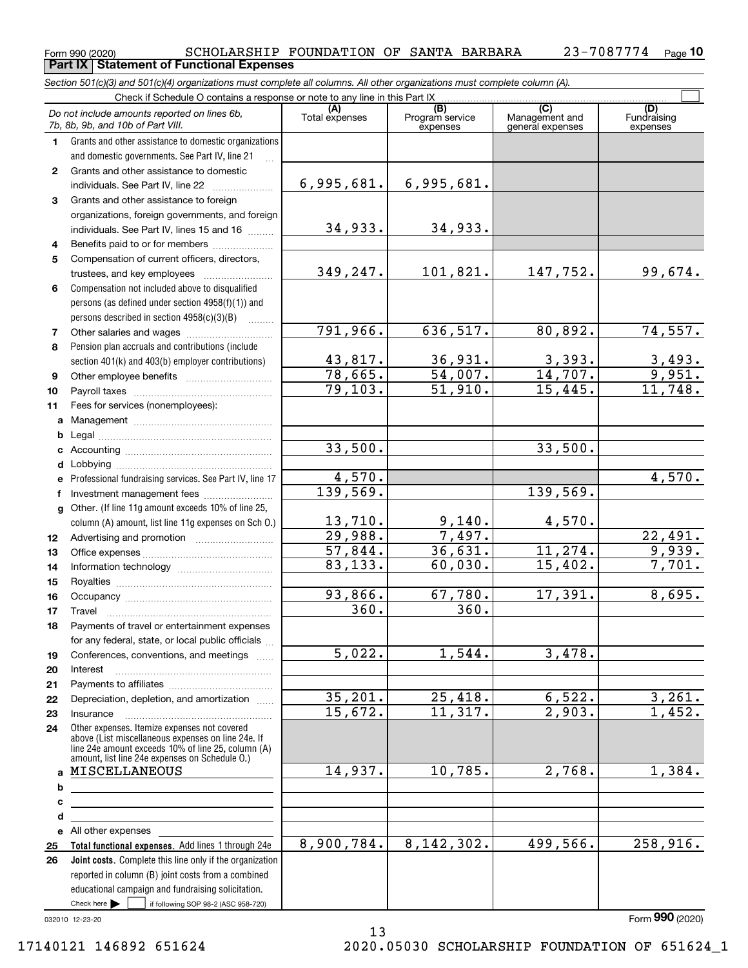*Section 501(c)(3) and 501(c)(4) organizations must complete all columns. All other organizations must complete column (A).*

|              | Do not include amounts reported on lines 6b,<br>7b, 8b, 9b, and 10b of Part VIII.                                                                          | (A)<br>Total expenses | $\overline{(B)}$<br>Program service<br>expenses | (C)<br>Management and<br>general expenses | (D)<br>Fundraising<br>expenses |
|--------------|------------------------------------------------------------------------------------------------------------------------------------------------------------|-----------------------|-------------------------------------------------|-------------------------------------------|--------------------------------|
| 1.           | Grants and other assistance to domestic organizations                                                                                                      |                       |                                                 |                                           |                                |
|              | and domestic governments. See Part IV, line 21                                                                                                             |                       |                                                 |                                           |                                |
| $\mathbf{2}$ | Grants and other assistance to domestic                                                                                                                    |                       |                                                 |                                           |                                |
|              | individuals. See Part IV, line 22                                                                                                                          | 6,995,681.            | 6,995,681.                                      |                                           |                                |
| 3            | Grants and other assistance to foreign                                                                                                                     |                       |                                                 |                                           |                                |
|              | organizations, foreign governments, and foreign                                                                                                            |                       |                                                 |                                           |                                |
|              | individuals. See Part IV, lines 15 and 16                                                                                                                  | 34,933.               | 34,933.                                         |                                           |                                |
| 4            | Benefits paid to or for members                                                                                                                            |                       |                                                 |                                           |                                |
| 5            | Compensation of current officers, directors,                                                                                                               |                       |                                                 |                                           |                                |
|              | trustees, and key employees                                                                                                                                | 349,247.              | 101,821.                                        | 147,752.                                  | 99,674.                        |
| 6            | Compensation not included above to disqualified                                                                                                            |                       |                                                 |                                           |                                |
|              | persons (as defined under section 4958(f)(1)) and                                                                                                          |                       |                                                 |                                           |                                |
|              | persons described in section 4958(c)(3)(B)                                                                                                                 |                       |                                                 |                                           |                                |
| 7            |                                                                                                                                                            | 791,966.              | 636,517.                                        | 80,892.                                   | 74, 557.                       |
| 8            | Pension plan accruals and contributions (include                                                                                                           |                       |                                                 |                                           |                                |
|              | section 401(k) and 403(b) employer contributions)                                                                                                          | 43,817.               | 36,931.                                         | 3,393.                                    | $\frac{3,493}{9,951}$          |
| 9            |                                                                                                                                                            | 78,665.               | $\overline{54,007}$ .                           | 14,707.                                   |                                |
| 10           |                                                                                                                                                            | 79, 103.              | $\overline{51,910}$ .                           | 15,445.                                   | 11,748.                        |
| 11           | Fees for services (nonemployees):                                                                                                                          |                       |                                                 |                                           |                                |
| a            |                                                                                                                                                            |                       |                                                 |                                           |                                |
| b            |                                                                                                                                                            |                       |                                                 |                                           |                                |
| c            |                                                                                                                                                            | 33,500.               |                                                 | 33,500.                                   |                                |
| d            |                                                                                                                                                            |                       |                                                 |                                           |                                |
| e            | Professional fundraising services. See Part IV, line 17                                                                                                    | 4,570.                |                                                 |                                           | 4,570.                         |
| f            | Investment management fees                                                                                                                                 | 139,569.              |                                                 | 139,569.                                  |                                |
| g            | Other. (If line 11g amount exceeds 10% of line 25,                                                                                                         |                       |                                                 |                                           |                                |
|              | column (A) amount, list line 11g expenses on Sch 0.)                                                                                                       | 13,710.               | 9,140.                                          | 4,570.                                    |                                |
| 12           |                                                                                                                                                            | 29,988.               | 7,497.                                          |                                           | $\overline{22, 491}$ .         |
| 13           |                                                                                                                                                            | 57,844.               | 36,631.                                         | 11,274.                                   | 9,939.<br>7,701.               |
| 14           |                                                                                                                                                            | 83,133.               | 60,030.                                         | 15,402.                                   |                                |
| 15           |                                                                                                                                                            |                       |                                                 |                                           |                                |
| 16           |                                                                                                                                                            | 93,866.<br>360.       | 67,780.<br>$\overline{360}$ .                   | 17,391.                                   | 8,695.                         |
| 17           | Travel                                                                                                                                                     |                       |                                                 |                                           |                                |
| 18           | Payments of travel or entertainment expenses                                                                                                               |                       |                                                 |                                           |                                |
|              | for any federal, state, or local public officials                                                                                                          | $\overline{5,022}$ .  | 1,544.                                          | 3,478.                                    |                                |
| 19           | Conferences, conventions, and meetings                                                                                                                     |                       |                                                 |                                           |                                |
| 20           | Interest                                                                                                                                                   |                       |                                                 |                                           |                                |
| 21           |                                                                                                                                                            | 35,201.               | 25,418.                                         | 6,522.                                    | 3,261.                         |
| 22           | Depreciation, depletion, and amortization                                                                                                                  | 15,672.               | 11,317.                                         | 2,903.                                    | 1,452.                         |
| 23<br>24     | Insurance<br>Other expenses. Itemize expenses not covered                                                                                                  |                       |                                                 |                                           |                                |
|              | above (List miscellaneous expenses on line 24e. If<br>line 24e amount exceeds 10% of line 25, column (A)<br>amount, list line 24e expenses on Schedule O.) |                       |                                                 |                                           |                                |
|              | a MISCELLANEOUS                                                                                                                                            | 14,937.               | 10,785.                                         | 2,768.                                    | 1,384.                         |
| b            |                                                                                                                                                            |                       |                                                 |                                           |                                |
| c            |                                                                                                                                                            |                       |                                                 |                                           |                                |
| d            |                                                                                                                                                            |                       |                                                 |                                           |                                |
|              | e All other expenses                                                                                                                                       |                       |                                                 |                                           |                                |
| 25           | Total functional expenses. Add lines 1 through 24e                                                                                                         | 8,900,784.            | 8, 142, 302.                                    | 499,566.                                  | 258,916.                       |
| 26           | Joint costs. Complete this line only if the organization                                                                                                   |                       |                                                 |                                           |                                |
|              | reported in column (B) joint costs from a combined                                                                                                         |                       |                                                 |                                           |                                |
|              | educational campaign and fundraising solicitation.                                                                                                         |                       |                                                 |                                           |                                |
|              | Check here $\blacktriangleright$<br>if following SOP 98-2 (ASC 958-720)                                                                                    |                       |                                                 |                                           | $000 \times 000$               |
|              |                                                                                                                                                            |                       |                                                 |                                           |                                |

032010 12-23-20

Form (2020) **990**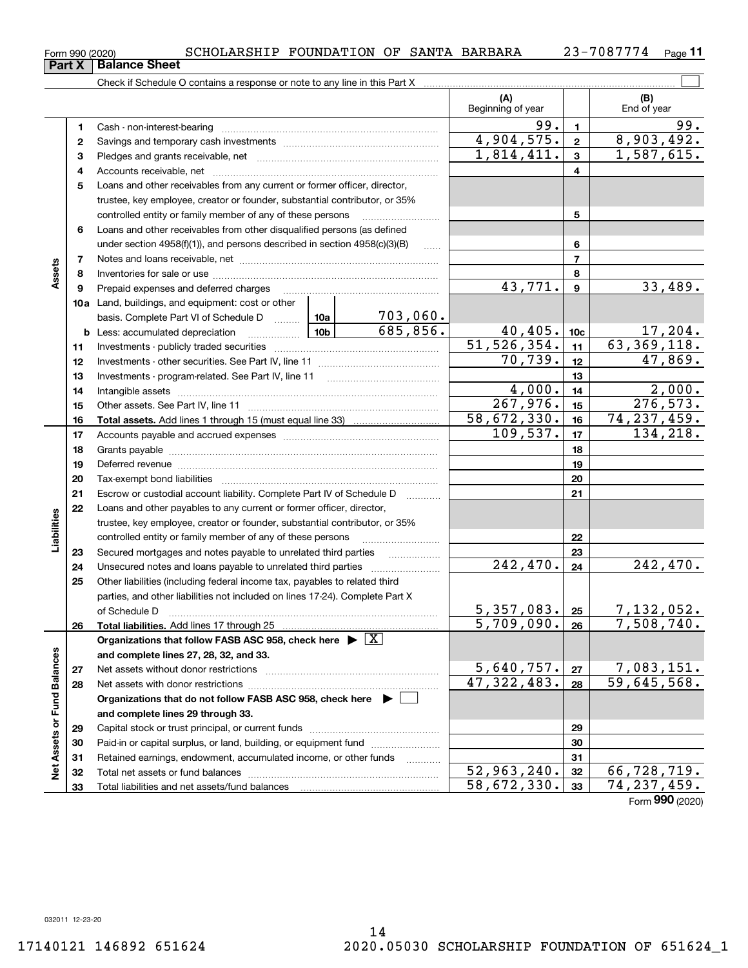|                    | 2        |                                                                                       |                 |               | 4,904,575.               | $\mathbf{2}$                | 8,903,492.                      |
|--------------------|----------|---------------------------------------------------------------------------------------|-----------------|---------------|--------------------------|-----------------------------|---------------------------------|
|                    | З        |                                                                                       |                 |               | 1,814,411.               | $\mathbf{3}$                | 1,587,615.                      |
|                    | 4        |                                                                                       |                 |               |                          | 4                           |                                 |
|                    | 5        | Loans and other receivables from any current or former officer, director,             |                 |               |                          |                             |                                 |
|                    |          | trustee, key employee, creator or founder, substantial contributor, or 35%            |                 |               |                          |                             |                                 |
|                    |          | controlled entity or family member of any of these persons                            |                 |               |                          | 5                           |                                 |
|                    | 6        | Loans and other receivables from other disqualified persons (as defined               |                 |               |                          |                             |                                 |
|                    |          | under section $4958(f)(1)$ , and persons described in section $4958(c)(3)(B)$         |                 | $\ldots$      |                          | 6                           |                                 |
|                    | 7        |                                                                                       |                 |               | $\overline{7}$           |                             |                                 |
| Assets             | 8        |                                                                                       |                 |               |                          | 8                           |                                 |
|                    | 9        | Prepaid expenses and deferred charges                                                 |                 |               | 43,771.                  | 9                           | 33,489.                         |
|                    |          | 10a Land, buildings, and equipment: cost or other                                     |                 |               |                          |                             |                                 |
|                    |          | basis. Complete Part VI of Schedule D                                                 | 10a $ $         | $703,060$ .   |                          |                             |                                 |
|                    |          | <b>b</b> Less: accumulated depreciation                                               | 10 <sub>b</sub> | 685, 856.     | 40,405.                  | 10 <sub>c</sub>             | 17,204.                         |
|                    | 11       |                                                                                       |                 | 51, 526, 354. | 11                       | 63, 369, 118.               |                                 |
|                    | 12       |                                                                                       |                 |               | 70, 739.                 | 12                          | 47,869.                         |
|                    | 13       |                                                                                       |                 |               |                          | 13                          |                                 |
|                    | 14       |                                                                                       |                 |               | 4,000.                   | 14                          | 2,000.                          |
|                    | 15       |                                                                                       |                 |               | 267,976.                 | 15                          | 276, 573.                       |
|                    | 16       |                                                                                       |                 | 58,672,330.   | 16                       | 74, 237, 459.               |                                 |
|                    | 17       |                                                                                       |                 |               | 109,537.                 | 17                          | 134, 218.                       |
|                    | 18       |                                                                                       |                 |               |                          | 18                          |                                 |
|                    | 19       |                                                                                       |                 |               |                          | 19                          |                                 |
|                    | 20       |                                                                                       |                 |               |                          | 20                          |                                 |
|                    | 21       | Escrow or custodial account liability. Complete Part IV of Schedule D                 |                 |               |                          | 21                          |                                 |
|                    | 22       | Loans and other payables to any current or former officer, director,                  |                 |               |                          |                             |                                 |
| Liabilities        |          | trustee, key employee, creator or founder, substantial contributor, or 35%            |                 |               |                          |                             |                                 |
|                    |          | controlled entity or family member of any of these persons                            |                 | 22            |                          |                             |                                 |
|                    | 23       | Secured mortgages and notes payable to unrelated third parties                        |                 |               |                          | 23                          |                                 |
|                    | 24       | Unsecured notes and loans payable to unrelated third parties                          |                 |               | 242,470.                 | 24                          | 242,470.                        |
|                    | 25       | Other liabilities (including federal income tax, payables to related third            |                 |               |                          |                             |                                 |
|                    |          | parties, and other liabilities not included on lines 17-24). Complete Part X          |                 |               | $5,357,083$ . 25         |                             |                                 |
|                    |          | of Schedule D                                                                         |                 |               | $\overline{5,709,090}$ . |                             | $\frac{7,132,052.}{7,508,740.}$ |
|                    | 26       | Organizations that follow FASB ASC 958, check here $\triangleright \lfloor X \rfloor$ |                 |               |                          | 26                          |                                 |
|                    |          | and complete lines 27, 28, 32, and 33.                                                |                 |               |                          |                             |                                 |
| alances            |          |                                                                                       |                 |               | $5,640,757$ . 27         |                             | 7,083,151.                      |
|                    | 27<br>28 |                                                                                       |                 |               | 47, 322, 483.            | 28                          | 59,645,568.                     |
| ≃                  |          | Organizations that do not follow FASB ASC 958, check here ▶ □                         |                 |               |                          |                             |                                 |
|                    |          | and complete lines 29 through 33.                                                     |                 |               |                          |                             |                                 |
|                    | 29       |                                                                                       |                 |               |                          | 29                          |                                 |
| Net Assets or Fund | 30       | Paid-in or capital surplus, or land, building, or equipment fund                      |                 |               | 30                       |                             |                                 |
|                    | 31       | Retained earnings, endowment, accumulated income, or other funds                      | .               |               | 31                       |                             |                                 |
|                    | 32       |                                                                                       |                 | 52,963,240.   | 32                       | 66,728,719.                 |                                 |
|                    | 33       | Total liabilities and net assets/fund balances                                        |                 | 58,672,330.   | 33                       | $\overline{74}$ , 237, 459. |                                 |
|                    |          |                                                                                       |                 |               |                          |                             | Form 990 (2020)                 |

 $_{\rm Form}$   $_{990}$  (2020)  $_{\rm SCHOLARSHIP}$   $_{\rm FQUNDATION}$  OF SANTA BARBARA  $_{\rm 23-7087774}$   $_{\rm Page}$ 

Check if Schedule O contains a response or note to any line in this Part X

Cash - non-interest-bearing ~~~~~~~~~~~~~~~~~~~~~~~~~

**11**

 $99. 1 99.$ 

(B)<br>End of year

 $\mathcal{L}^{\text{max}}$ 

**(A) (B)**

Beginning of year | | End of year

**1**

**Part X Balance Sheet**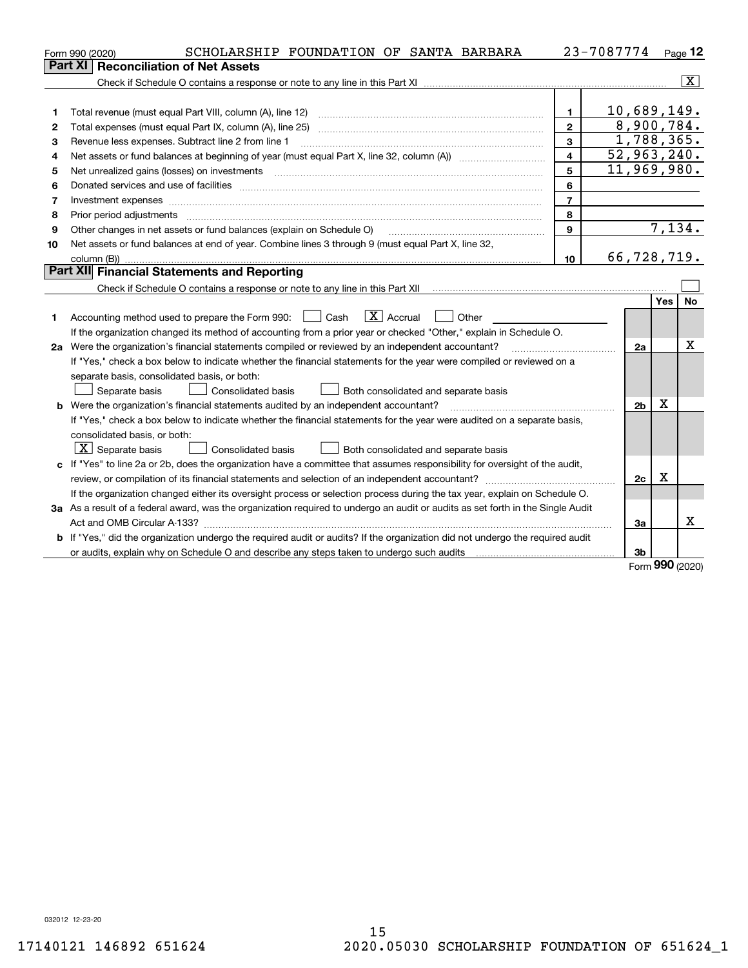|    | SCHOLARSHIP FOUNDATION OF SANTA BARBARA<br>Form 990 (2020)                                                                      |                         | 23-7087774     |     | Page $12$               |
|----|---------------------------------------------------------------------------------------------------------------------------------|-------------------------|----------------|-----|-------------------------|
|    | <b>Reconciliation of Net Assets</b><br>Part XI                                                                                  |                         |                |     |                         |
|    |                                                                                                                                 |                         |                |     | $\overline{\mathbf{X}}$ |
|    |                                                                                                                                 |                         |                |     |                         |
| 1  | Total revenue (must equal Part VIII, column (A), line 12)                                                                       | $\mathbf{1}$            | 10,689,149.    |     |                         |
| 2  | Total expenses (must equal Part IX, column (A), line 25)                                                                        | $\mathbf{2}$            | 8,900,784.     |     |                         |
| 3  | Revenue less expenses. Subtract line 2 from line 1                                                                              | $\mathbf{3}$            | 1,788,365.     |     |                         |
| 4  |                                                                                                                                 | $\overline{\mathbf{4}}$ | 52,963,240.    |     |                         |
| 5  | Net unrealized gains (losses) on investments                                                                                    | 5                       | 11,969,980.    |     |                         |
| 6  |                                                                                                                                 | 6                       |                |     |                         |
| 7  | Investment expenses www.communication.com/www.communication.com/www.communication.com/www.com                                   | $\overline{7}$          |                |     |                         |
| 8  | Prior period adjustments                                                                                                        | 8                       |                |     |                         |
| 9  | Other changes in net assets or fund balances (explain on Schedule O)                                                            | 9                       |                |     | 7,134.                  |
| 10 | Net assets or fund balances at end of year. Combine lines 3 through 9 (must equal Part X, line 32,                              |                         |                |     |                         |
|    | column (B))                                                                                                                     | 10                      | 66,728,719.    |     |                         |
|    | Part XII Financial Statements and Reporting                                                                                     |                         |                |     |                         |
|    |                                                                                                                                 |                         |                |     |                         |
|    |                                                                                                                                 |                         |                | Yes | No                      |
| 1. | $\boxed{\mathbf{X}}$ Accrual<br>Accounting method used to prepare the Form 990: <u>II</u> Cash<br>Other                         |                         |                |     |                         |
|    | If the organization changed its method of accounting from a prior year or checked "Other," explain in Schedule O.               |                         |                |     |                         |
|    | 2a Were the organization's financial statements compiled or reviewed by an independent accountant?                              |                         | 2a             |     | х                       |
|    | If "Yes," check a box below to indicate whether the financial statements for the year were compiled or reviewed on a            |                         |                |     |                         |
|    | separate basis, consolidated basis, or both:                                                                                    |                         |                |     |                         |
|    | Separate basis<br>Consolidated basis<br>Both consolidated and separate basis                                                    |                         |                |     |                         |
|    | <b>b</b> Were the organization's financial statements audited by an independent accountant?                                     |                         | 2 <sub>b</sub> | Χ   |                         |
|    | If "Yes," check a box below to indicate whether the financial statements for the year were audited on a separate basis,         |                         |                |     |                         |
|    | consolidated basis, or both:                                                                                                    |                         |                |     |                         |
|    | $ \mathbf{X} $ Separate basis<br><b>Consolidated basis</b><br>Both consolidated and separate basis                              |                         |                |     |                         |
|    | c If "Yes" to line 2a or 2b, does the organization have a committee that assumes responsibility for oversight of the audit,     |                         |                |     |                         |
|    |                                                                                                                                 |                         | 2c             | x   |                         |
|    | If the organization changed either its oversight process or selection process during the tax year, explain on Schedule O.       |                         |                |     |                         |
|    | 3a As a result of a federal award, was the organization required to undergo an audit or audits as set forth in the Single Audit |                         |                |     |                         |
|    |                                                                                                                                 |                         | За             |     | x                       |
|    | b If "Yes," did the organization undergo the required audit or audits? If the organization did not undergo the required audit   |                         |                |     |                         |
|    | or audits, explain why on Schedule O and describe any steps taken to undergo such audits                                        |                         | 3b             |     |                         |

Form (2020) **990**

032012 12-23-20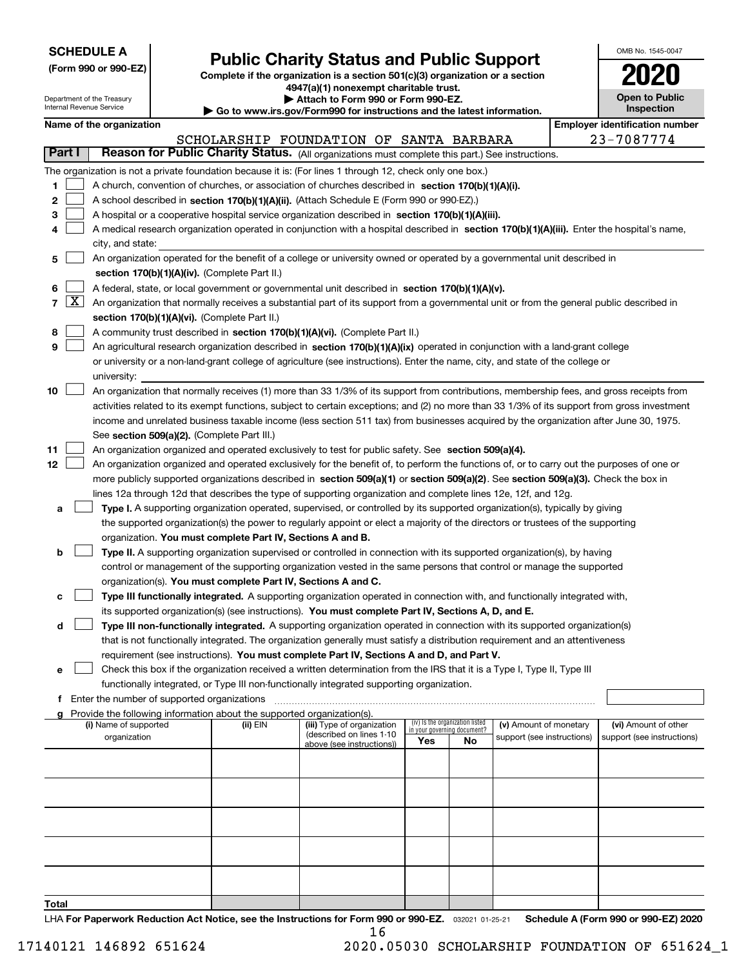| <b>SCHEDULE A</b> |
|-------------------|
|-------------------|

Department of the Treasury

**(Form 990 or 990-EZ)**

## **Public Charity Status and Public Support**

**Complete if the organization is a section 501(c)(3) organization or a section 4947(a)(1) nonexempt charitable trust. | Attach to Form 990 or Form 990-EZ.** 

| OMB No. 1545-0047     |
|-----------------------|
| 2020                  |
| <b>Open to Public</b> |

|               |                    | Internal Revenue Service                                                                                                                                                                                                                      |                                               | Go to www.irs.gov/Form990 for instructions and the latest information. |                                                                                                                                                                                                                     | Inspection |                                                                |                            |  |                                       |  |  |  |
|---------------|--------------------|-----------------------------------------------------------------------------------------------------------------------------------------------------------------------------------------------------------------------------------------------|-----------------------------------------------|------------------------------------------------------------------------|---------------------------------------------------------------------------------------------------------------------------------------------------------------------------------------------------------------------|------------|----------------------------------------------------------------|----------------------------|--|---------------------------------------|--|--|--|
|               |                    | Name of the organization                                                                                                                                                                                                                      |                                               |                                                                        |                                                                                                                                                                                                                     |            |                                                                |                            |  | <b>Employer identification number</b> |  |  |  |
|               |                    |                                                                                                                                                                                                                                               |                                               |                                                                        | SCHOLARSHIP FOUNDATION OF SANTA BARBARA                                                                                                                                                                             |            |                                                                |                            |  | 23-7087774                            |  |  |  |
| <b>Part I</b> |                    |                                                                                                                                                                                                                                               |                                               |                                                                        | Reason for Public Charity Status. (All organizations must complete this part.) See instructions.                                                                                                                    |            |                                                                |                            |  |                                       |  |  |  |
|               |                    |                                                                                                                                                                                                                                               |                                               |                                                                        | The organization is not a private foundation because it is: (For lines 1 through 12, check only one box.)                                                                                                           |            |                                                                |                            |  |                                       |  |  |  |
| 1             |                    |                                                                                                                                                                                                                                               |                                               |                                                                        | A church, convention of churches, or association of churches described in section 170(b)(1)(A)(i).                                                                                                                  |            |                                                                |                            |  |                                       |  |  |  |
| 2             |                    |                                                                                                                                                                                                                                               |                                               |                                                                        | A school described in section 170(b)(1)(A)(ii). (Attach Schedule E (Form 990 or 990-EZ).)                                                                                                                           |            |                                                                |                            |  |                                       |  |  |  |
| з             |                    |                                                                                                                                                                                                                                               |                                               |                                                                        | A hospital or a cooperative hospital service organization described in section 170(b)(1)(A)(iii).                                                                                                                   |            |                                                                |                            |  |                                       |  |  |  |
|               |                    |                                                                                                                                                                                                                                               |                                               |                                                                        | A medical research organization operated in conjunction with a hospital described in section 170(b)(1)(A)(iii). Enter the hospital's name,                                                                          |            |                                                                |                            |  |                                       |  |  |  |
| 5             |                    | city, and state:                                                                                                                                                                                                                              |                                               |                                                                        | An organization operated for the benefit of a college or university owned or operated by a governmental unit described in                                                                                           |            |                                                                |                            |  |                                       |  |  |  |
|               |                    |                                                                                                                                                                                                                                               |                                               | section 170(b)(1)(A)(iv). (Complete Part II.)                          |                                                                                                                                                                                                                     |            |                                                                |                            |  |                                       |  |  |  |
| 6             |                    |                                                                                                                                                                                                                                               |                                               |                                                                        |                                                                                                                                                                                                                     |            |                                                                |                            |  |                                       |  |  |  |
| 7             | $\boxed{\text{X}}$ | A federal, state, or local government or governmental unit described in section 170(b)(1)(A)(v).<br>An organization that normally receives a substantial part of its support from a governmental unit or from the general public described in |                                               |                                                                        |                                                                                                                                                                                                                     |            |                                                                |                            |  |                                       |  |  |  |
|               |                    | section 170(b)(1)(A)(vi). (Complete Part II.)                                                                                                                                                                                                 |                                               |                                                                        |                                                                                                                                                                                                                     |            |                                                                |                            |  |                                       |  |  |  |
| 8             |                    |                                                                                                                                                                                                                                               |                                               |                                                                        | A community trust described in section 170(b)(1)(A)(vi). (Complete Part II.)                                                                                                                                        |            |                                                                |                            |  |                                       |  |  |  |
| 9             |                    |                                                                                                                                                                                                                                               |                                               |                                                                        | An agricultural research organization described in section 170(b)(1)(A)(ix) operated in conjunction with a land-grant college                                                                                       |            |                                                                |                            |  |                                       |  |  |  |
|               |                    |                                                                                                                                                                                                                                               |                                               |                                                                        | or university or a non-land-grant college of agriculture (see instructions). Enter the name, city, and state of the college or                                                                                      |            |                                                                |                            |  |                                       |  |  |  |
|               |                    | university:                                                                                                                                                                                                                                   |                                               |                                                                        |                                                                                                                                                                                                                     |            |                                                                |                            |  |                                       |  |  |  |
| 10            |                    |                                                                                                                                                                                                                                               |                                               |                                                                        | An organization that normally receives (1) more than 33 1/3% of its support from contributions, membership fees, and gross receipts from                                                                            |            |                                                                |                            |  |                                       |  |  |  |
|               |                    |                                                                                                                                                                                                                                               |                                               |                                                                        | activities related to its exempt functions, subject to certain exceptions; and (2) no more than 33 1/3% of its support from gross investment                                                                        |            |                                                                |                            |  |                                       |  |  |  |
|               |                    |                                                                                                                                                                                                                                               |                                               |                                                                        | income and unrelated business taxable income (less section 511 tax) from businesses acquired by the organization after June 30, 1975.                                                                               |            |                                                                |                            |  |                                       |  |  |  |
|               |                    |                                                                                                                                                                                                                                               |                                               | See section 509(a)(2). (Complete Part III.)                            |                                                                                                                                                                                                                     |            |                                                                |                            |  |                                       |  |  |  |
| 11            |                    |                                                                                                                                                                                                                                               |                                               |                                                                        | An organization organized and operated exclusively to test for public safety. See section 509(a)(4).                                                                                                                |            |                                                                |                            |  |                                       |  |  |  |
| 12            |                    |                                                                                                                                                                                                                                               |                                               |                                                                        | An organization organized and operated exclusively for the benefit of, to perform the functions of, or to carry out the purposes of one or                                                                          |            |                                                                |                            |  |                                       |  |  |  |
|               |                    |                                                                                                                                                                                                                                               |                                               |                                                                        | more publicly supported organizations described in section 509(a)(1) or section 509(a)(2). See section 509(a)(3). Check the box in                                                                                  |            |                                                                |                            |  |                                       |  |  |  |
|               |                    |                                                                                                                                                                                                                                               |                                               |                                                                        | lines 12a through 12d that describes the type of supporting organization and complete lines 12e, 12f, and 12g.                                                                                                      |            |                                                                |                            |  |                                       |  |  |  |
| а             |                    |                                                                                                                                                                                                                                               |                                               |                                                                        | Type I. A supporting organization operated, supervised, or controlled by its supported organization(s), typically by giving                                                                                         |            |                                                                |                            |  |                                       |  |  |  |
|               |                    |                                                                                                                                                                                                                                               |                                               |                                                                        | the supported organization(s) the power to regularly appoint or elect a majority of the directors or trustees of the supporting                                                                                     |            |                                                                |                            |  |                                       |  |  |  |
|               |                    |                                                                                                                                                                                                                                               |                                               | organization. You must complete Part IV, Sections A and B.             |                                                                                                                                                                                                                     |            |                                                                |                            |  |                                       |  |  |  |
| b             |                    |                                                                                                                                                                                                                                               |                                               |                                                                        | Type II. A supporting organization supervised or controlled in connection with its supported organization(s), by having                                                                                             |            |                                                                |                            |  |                                       |  |  |  |
|               |                    |                                                                                                                                                                                                                                               |                                               |                                                                        | control or management of the supporting organization vested in the same persons that control or manage the supported                                                                                                |            |                                                                |                            |  |                                       |  |  |  |
|               |                    |                                                                                                                                                                                                                                               |                                               | organization(s). You must complete Part IV, Sections A and C.          |                                                                                                                                                                                                                     |            |                                                                |                            |  |                                       |  |  |  |
| c             |                    |                                                                                                                                                                                                                                               |                                               |                                                                        | Type III functionally integrated. A supporting organization operated in connection with, and functionally integrated with,                                                                                          |            |                                                                |                            |  |                                       |  |  |  |
|               |                    |                                                                                                                                                                                                                                               |                                               |                                                                        | its supported organization(s) (see instructions). You must complete Part IV, Sections A, D, and E.                                                                                                                  |            |                                                                |                            |  |                                       |  |  |  |
| d             |                    |                                                                                                                                                                                                                                               |                                               |                                                                        | Type III non-functionally integrated. A supporting organization operated in connection with its supported organization(s)                                                                                           |            |                                                                |                            |  |                                       |  |  |  |
|               |                    |                                                                                                                                                                                                                                               |                                               |                                                                        | that is not functionally integrated. The organization generally must satisfy a distribution requirement and an attentiveness                                                                                        |            |                                                                |                            |  |                                       |  |  |  |
|               |                    |                                                                                                                                                                                                                                               |                                               |                                                                        | requirement (see instructions). You must complete Part IV, Sections A and D, and Part V.<br>Check this box if the organization received a written determination from the IRS that it is a Type I, Type II, Type III |            |                                                                |                            |  |                                       |  |  |  |
| е             |                    |                                                                                                                                                                                                                                               |                                               |                                                                        | functionally integrated, or Type III non-functionally integrated supporting organization.                                                                                                                           |            |                                                                |                            |  |                                       |  |  |  |
|               |                    |                                                                                                                                                                                                                                               | f Enter the number of supported organizations |                                                                        |                                                                                                                                                                                                                     |            |                                                                |                            |  |                                       |  |  |  |
|               |                    |                                                                                                                                                                                                                                               |                                               | Provide the following information about the supported organization(s). |                                                                                                                                                                                                                     |            |                                                                |                            |  |                                       |  |  |  |
|               |                    | (i) Name of supported                                                                                                                                                                                                                         |                                               | (ii) EIN                                                               | (iii) Type of organization                                                                                                                                                                                          |            | (iv) Is the organization listed<br>in your governing document? | (v) Amount of monetary     |  | (vi) Amount of other                  |  |  |  |
|               |                    | organization                                                                                                                                                                                                                                  |                                               |                                                                        | (described on lines 1-10<br>above (see instructions))                                                                                                                                                               | Yes        | <b>No</b>                                                      | support (see instructions) |  | support (see instructions)            |  |  |  |
|               |                    |                                                                                                                                                                                                                                               |                                               |                                                                        |                                                                                                                                                                                                                     |            |                                                                |                            |  |                                       |  |  |  |
|               |                    |                                                                                                                                                                                                                                               |                                               |                                                                        |                                                                                                                                                                                                                     |            |                                                                |                            |  |                                       |  |  |  |
|               |                    |                                                                                                                                                                                                                                               |                                               |                                                                        |                                                                                                                                                                                                                     |            |                                                                |                            |  |                                       |  |  |  |
|               |                    |                                                                                                                                                                                                                                               |                                               |                                                                        |                                                                                                                                                                                                                     |            |                                                                |                            |  |                                       |  |  |  |
|               |                    |                                                                                                                                                                                                                                               |                                               |                                                                        |                                                                                                                                                                                                                     |            |                                                                |                            |  |                                       |  |  |  |
|               |                    |                                                                                                                                                                                                                                               |                                               |                                                                        |                                                                                                                                                                                                                     |            |                                                                |                            |  |                                       |  |  |  |
|               |                    |                                                                                                                                                                                                                                               |                                               |                                                                        |                                                                                                                                                                                                                     |            |                                                                |                            |  |                                       |  |  |  |
|               |                    |                                                                                                                                                                                                                                               |                                               |                                                                        |                                                                                                                                                                                                                     |            |                                                                |                            |  |                                       |  |  |  |
|               |                    |                                                                                                                                                                                                                                               |                                               |                                                                        |                                                                                                                                                                                                                     |            |                                                                |                            |  |                                       |  |  |  |
|               |                    |                                                                                                                                                                                                                                               |                                               |                                                                        |                                                                                                                                                                                                                     |            |                                                                |                            |  |                                       |  |  |  |

**Total**

LHA For Paperwork Reduction Act Notice, see the Instructions for Form 990 or 990-EZ. <sub>032021</sub> o1-25-21 Schedule A (Form 990 or 990-EZ) 2020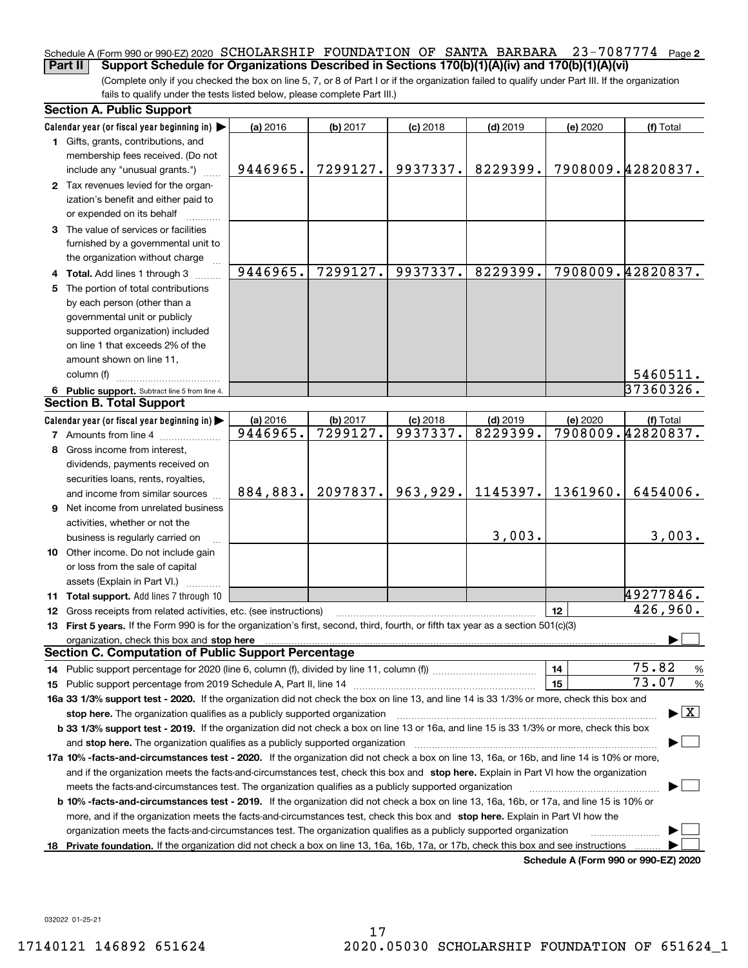#### Schedule A (Form 990 or 990-EZ) 2020 SCHOLARSHIP FOUNDATION OF SANTA BARBARA 23-7087774 <sub>Page 2</sub> **Part II** Support Schedule for Organizations Described in Sections 170(b)(1)(A)(iv) and 170(b)(1)(A)(vi)

(Complete only if you checked the box on line 5, 7, or 8 of Part I or if the organization failed to qualify under Part III. If the organization fails to qualify under the tests listed below, please complete Part III.)

| <b>Section A. Public Support</b>                                                                                                                                                                                               |          |          |                        |                        |          |                                          |
|--------------------------------------------------------------------------------------------------------------------------------------------------------------------------------------------------------------------------------|----------|----------|------------------------|------------------------|----------|------------------------------------------|
| Calendar year (or fiscal year beginning in)                                                                                                                                                                                    | (a) 2016 | (b) 2017 | $(c)$ 2018             | $(d)$ 2019             | (e) 2020 | (f) Total                                |
| 1 Gifts, grants, contributions, and<br>membership fees received. (Do not                                                                                                                                                       |          |          |                        |                        |          |                                          |
| include any "unusual grants.")                                                                                                                                                                                                 | 9446965. | 7299127. | 9937337.               | 8229399.               |          | 7908009.42820837.                        |
| 2 Tax revenues levied for the organ-<br>ization's benefit and either paid to<br>or expended on its behalf                                                                                                                      |          |          |                        |                        |          |                                          |
| 3 The value of services or facilities<br>furnished by a governmental unit to                                                                                                                                                   |          |          |                        |                        |          |                                          |
| the organization without charge                                                                                                                                                                                                |          |          |                        |                        |          |                                          |
| 4 Total. Add lines 1 through 3                                                                                                                                                                                                 | 9446965. | 7299127. | 9937337.               | 8229399.               |          | 7908009.42820837.                        |
| 5 The portion of total contributions                                                                                                                                                                                           |          |          |                        |                        |          |                                          |
| by each person (other than a                                                                                                                                                                                                   |          |          |                        |                        |          |                                          |
| governmental unit or publicly                                                                                                                                                                                                  |          |          |                        |                        |          |                                          |
| supported organization) included                                                                                                                                                                                               |          |          |                        |                        |          |                                          |
| on line 1 that exceeds 2% of the                                                                                                                                                                                               |          |          |                        |                        |          |                                          |
| amount shown on line 11,<br>column (f)                                                                                                                                                                                         |          |          |                        |                        |          | 5460511.                                 |
|                                                                                                                                                                                                                                |          |          |                        |                        |          | 37360326.                                |
| 6 Public support. Subtract line 5 from line 4.<br><b>Section B. Total Support</b>                                                                                                                                              |          |          |                        |                        |          |                                          |
| Calendar year (or fiscal year beginning in)                                                                                                                                                                                    | (a) 2016 | (b) 2017 |                        |                        | (e) 2020 |                                          |
| <b>7</b> Amounts from line 4                                                                                                                                                                                                   | 9446965. | 7299127. | $(c)$ 2018<br>9937337. | $(d)$ 2019<br>8229399. |          | (f) Total<br>7908009.42820837.           |
| 8 Gross income from interest,                                                                                                                                                                                                  |          |          |                        |                        |          |                                          |
| dividends, payments received on                                                                                                                                                                                                |          |          |                        |                        |          |                                          |
| securities loans, rents, royalties,                                                                                                                                                                                            |          |          |                        |                        |          |                                          |
| and income from similar sources                                                                                                                                                                                                | 884,883. | 2097837. | 963,929.               | 1145397.               | 1361960. | 6454006.                                 |
| 9 Net income from unrelated business                                                                                                                                                                                           |          |          |                        |                        |          |                                          |
| activities, whether or not the                                                                                                                                                                                                 |          |          |                        |                        |          |                                          |
| business is regularly carried on                                                                                                                                                                                               |          |          |                        | 3,003.                 |          | 3,003.                                   |
| 10 Other income. Do not include gain                                                                                                                                                                                           |          |          |                        |                        |          |                                          |
| or loss from the sale of capital                                                                                                                                                                                               |          |          |                        |                        |          |                                          |
| assets (Explain in Part VI.)                                                                                                                                                                                                   |          |          |                        |                        |          |                                          |
| 11 Total support. Add lines 7 through 10                                                                                                                                                                                       |          |          |                        |                        |          | 49277846.                                |
| 12 Gross receipts from related activities, etc. (see instructions)                                                                                                                                                             |          |          |                        |                        | 12       | 426,960.                                 |
| 13 First 5 years. If the Form 990 is for the organization's first, second, third, fourth, or fifth tax year as a section 501(c)(3)                                                                                             |          |          |                        |                        |          |                                          |
| organization, check this box and stop here manufactured and according to the state of the state of the state of the state of the state of the state of the state of the state of the state of the state of the state of the st |          |          |                        |                        |          |                                          |
| <b>Section C. Computation of Public Support Percentage</b>                                                                                                                                                                     |          |          |                        |                        |          |                                          |
| 14 Public support percentage for 2020 (line 6, column (f), divided by line 11, column (f) <i>mummumumum</i>                                                                                                                    |          |          |                        |                        | 14       | 75.82<br>%                               |
|                                                                                                                                                                                                                                |          |          |                        |                        | 15       | 73.07<br>%                               |
| 16a 33 1/3% support test - 2020. If the organization did not check the box on line 13, and line 14 is 33 1/3% or more, check this box and                                                                                      |          |          |                        |                        |          |                                          |
| stop here. The organization qualifies as a publicly supported organization                                                                                                                                                     |          |          |                        |                        |          | $\blacktriangleright$ $\boxed{\text{X}}$ |
| b 33 1/3% support test - 2019. If the organization did not check a box on line 13 or 16a, and line 15 is 33 1/3% or more, check this box                                                                                       |          |          |                        |                        |          |                                          |
| and stop here. The organization qualifies as a publicly supported organization                                                                                                                                                 |          |          |                        |                        |          |                                          |
| 17a 10% -facts-and-circumstances test - 2020. If the organization did not check a box on line 13, 16a, or 16b, and line 14 is 10% or more,                                                                                     |          |          |                        |                        |          |                                          |
| and if the organization meets the facts-and-circumstances test, check this box and stop here. Explain in Part VI how the organization                                                                                          |          |          |                        |                        |          |                                          |
| meets the facts-and-circumstances test. The organization qualifies as a publicly supported organization                                                                                                                        |          |          |                        |                        |          |                                          |
| <b>b 10% -facts-and-circumstances test - 2019.</b> If the organization did not check a box on line 13, 16a, 16b, or 17a, and line 15 is 10% or                                                                                 |          |          |                        |                        |          |                                          |
| more, and if the organization meets the facts-and-circumstances test, check this box and stop here. Explain in Part VI how the                                                                                                 |          |          |                        |                        |          |                                          |
| organization meets the facts-and-circumstances test. The organization qualifies as a publicly supported organization                                                                                                           |          |          |                        |                        |          |                                          |
| 18 Private foundation. If the organization did not check a box on line 13, 16a, 16b, 17a, or 17b, check this box and see instructions                                                                                          |          |          |                        |                        |          |                                          |
|                                                                                                                                                                                                                                |          |          |                        |                        |          | Schedule A (Form 990 or 990-EZ) 2020     |

032022 01-25-21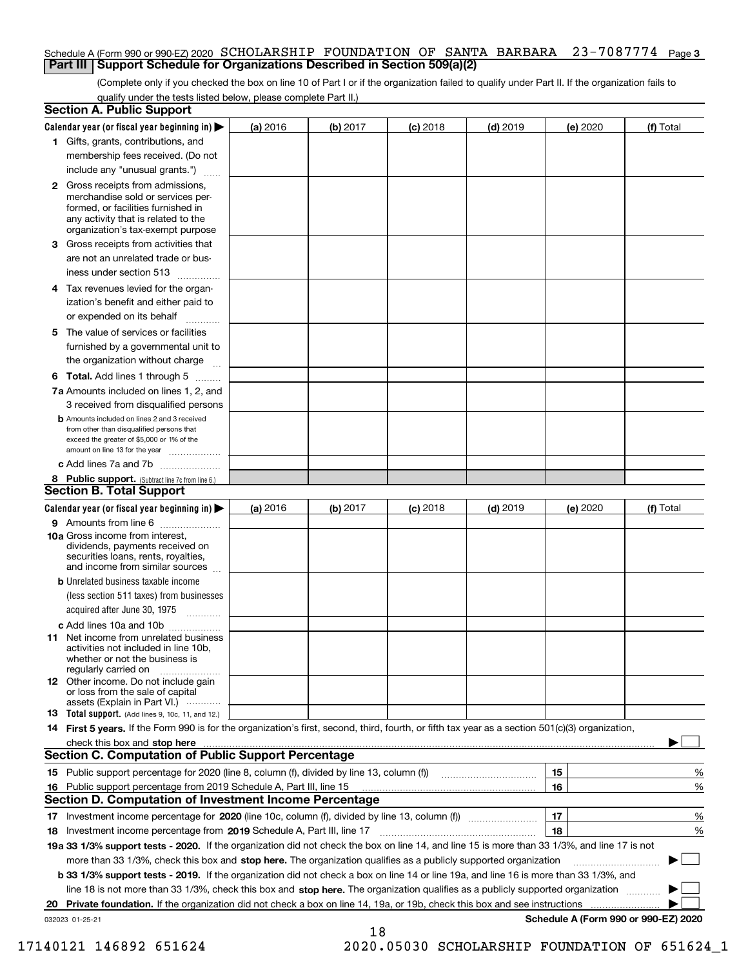#### Schedule A (Form 990 or 990-EZ) 2020 SCHOLARSHIP FOUNDATION OF SANTA BARBARA 23-7087774 <sub>Page 3</sub> **Part III Support Schedule for Organizations Described in Section 509(a)(2)**

(Complete only if you checked the box on line 10 of Part I or if the organization failed to qualify under Part II. If the organization fails to qualify under the tests listed below, please complete Part II.)

|    | <b>Section A. Public Support</b>                                                                                                                                                                                                      |          |          |            |            |                                      |           |
|----|---------------------------------------------------------------------------------------------------------------------------------------------------------------------------------------------------------------------------------------|----------|----------|------------|------------|--------------------------------------|-----------|
|    | Calendar year (or fiscal year beginning in) $\blacktriangleright$                                                                                                                                                                     | (a) 2016 | (b) 2017 | $(c)$ 2018 | $(d)$ 2019 | (e) 2020                             | (f) Total |
|    | 1 Gifts, grants, contributions, and                                                                                                                                                                                                   |          |          |            |            |                                      |           |
|    | membership fees received. (Do not                                                                                                                                                                                                     |          |          |            |            |                                      |           |
|    | include any "unusual grants.")                                                                                                                                                                                                        |          |          |            |            |                                      |           |
|    | 2 Gross receipts from admissions,<br>merchandise sold or services per-<br>formed, or facilities furnished in<br>any activity that is related to the<br>organization's tax-exempt purpose                                              |          |          |            |            |                                      |           |
|    | 3 Gross receipts from activities that<br>are not an unrelated trade or bus-<br>iness under section 513                                                                                                                                |          |          |            |            |                                      |           |
|    | 4 Tax revenues levied for the organ-<br>ization's benefit and either paid to                                                                                                                                                          |          |          |            |            |                                      |           |
|    | or expended on its behalf<br>.                                                                                                                                                                                                        |          |          |            |            |                                      |           |
|    | 5 The value of services or facilities                                                                                                                                                                                                 |          |          |            |            |                                      |           |
|    | furnished by a governmental unit to                                                                                                                                                                                                   |          |          |            |            |                                      |           |
|    | the organization without charge                                                                                                                                                                                                       |          |          |            |            |                                      |           |
|    | <b>6 Total.</b> Add lines 1 through 5                                                                                                                                                                                                 |          |          |            |            |                                      |           |
|    | 7a Amounts included on lines 1, 2, and                                                                                                                                                                                                |          |          |            |            |                                      |           |
|    | 3 received from disqualified persons<br><b>b</b> Amounts included on lines 2 and 3 received                                                                                                                                           |          |          |            |            |                                      |           |
|    | from other than disqualified persons that                                                                                                                                                                                             |          |          |            |            |                                      |           |
|    | exceed the greater of \$5,000 or 1% of the<br>amount on line 13 for the year                                                                                                                                                          |          |          |            |            |                                      |           |
|    | c Add lines 7a and 7b                                                                                                                                                                                                                 |          |          |            |            |                                      |           |
|    | 8 Public support. (Subtract line 7c from line 6.)                                                                                                                                                                                     |          |          |            |            |                                      |           |
|    | <b>Section B. Total Support</b>                                                                                                                                                                                                       |          |          |            |            |                                      |           |
|    | Calendar year (or fiscal year beginning in) $\blacktriangleright$                                                                                                                                                                     | (a) 2016 | (b) 2017 | $(c)$ 2018 | $(d)$ 2019 | (e) 2020                             | (f) Total |
|    | 9 Amounts from line 6                                                                                                                                                                                                                 |          |          |            |            |                                      |           |
|    | 10a Gross income from interest,<br>dividends, payments received on<br>securities loans, rents, royalties,<br>and income from similar sources                                                                                          |          |          |            |            |                                      |           |
|    | <b>b</b> Unrelated business taxable income                                                                                                                                                                                            |          |          |            |            |                                      |           |
|    | (less section 511 taxes) from businesses                                                                                                                                                                                              |          |          |            |            |                                      |           |
|    | acquired after June 30, 1975                                                                                                                                                                                                          |          |          |            |            |                                      |           |
|    | c Add lines 10a and 10b<br>11 Net income from unrelated business<br>activities not included in line 10b,<br>whether or not the business is<br>regularly carried on                                                                    |          |          |            |            |                                      |           |
|    | <b>12</b> Other income. Do not include gain<br>or loss from the sale of capital<br>assets (Explain in Part VI.)                                                                                                                       |          |          |            |            |                                      |           |
|    | <b>13</b> Total support. (Add lines 9, 10c, 11, and 12.)                                                                                                                                                                              |          |          |            |            |                                      |           |
|    | 14 First 5 years. If the Form 990 is for the organization's first, second, third, fourth, or fifth tax year as a section 501(c)(3) organization,                                                                                      |          |          |            |            |                                      |           |
|    | check this box and stop here with the continuum control to the change of the state of the state of the change of the state of the change of the change of the state of the change of the change of the change of the change of        |          |          |            |            |                                      |           |
|    | <b>Section C. Computation of Public Support Percentage</b>                                                                                                                                                                            |          |          |            |            |                                      |           |
|    | 15 Public support percentage for 2020 (line 8, column (f), divided by line 13, column (f))                                                                                                                                            |          |          |            |            | 15                                   | %         |
|    | 16 Public support percentage from 2019 Schedule A, Part III, line 15<br><b>Section D. Computation of Investment Income Percentage</b>                                                                                                 |          |          |            |            | 16                                   | %         |
|    |                                                                                                                                                                                                                                       |          |          |            |            | 17                                   |           |
|    | 17 Investment income percentage for 2020 (line 10c, column (f), divided by line 13, column (f))                                                                                                                                       |          |          |            |            | 18                                   | %         |
|    | <b>18</b> Investment income percentage from <b>2019</b> Schedule A, Part III, line 17<br>19a 33 1/3% support tests - 2020. If the organization did not check the box on line 14, and line 15 is more than 33 1/3%, and line 17 is not |          |          |            |            |                                      | %         |
|    | more than 33 1/3%, check this box and stop here. The organization qualifies as a publicly supported organization                                                                                                                      |          |          |            |            |                                      | ▶         |
|    | b 33 1/3% support tests - 2019. If the organization did not check a box on line 14 or line 19a, and line 16 is more than 33 1/3%, and                                                                                                 |          |          |            |            |                                      |           |
|    | line 18 is not more than 33 1/3%, check this box and stop here. The organization qualifies as a publicly supported organization                                                                                                       |          |          |            |            |                                      |           |
| 20 | Private foundation. If the organization did not check a box on line 14, 19a, or 19b, check this box and see instructions                                                                                                              |          |          |            |            | .                                    |           |
|    | 032023 01-25-21                                                                                                                                                                                                                       |          |          |            |            | Schedule A (Form 990 or 990-EZ) 2020 |           |

18

17140121 146892 651624 2020.05030 SCHOLARSHIP FOUNDATION OF 651624\_1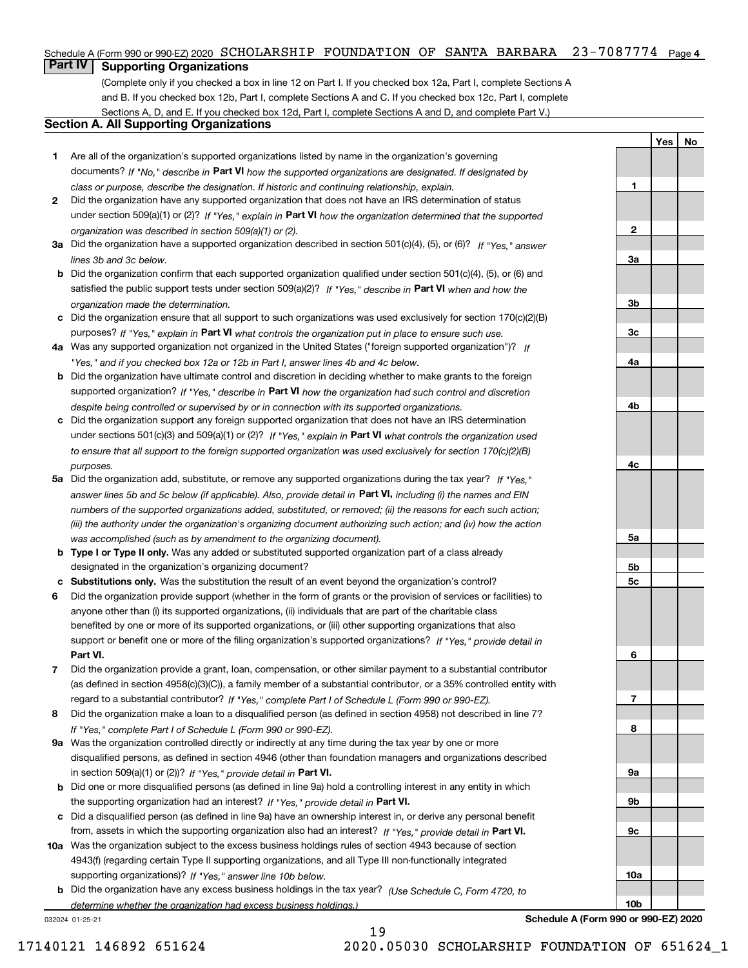#### Schedule A (Form 990 or 990-EZ) 2020 SCHOLARSHIP FOUNDATION OF SANTA BARBARA 23-7087774 Page 4

## **Part IV Supporting Organizations**

(Complete only if you checked a box in line 12 on Part I. If you checked box 12a, Part I, complete Sections A and B. If you checked box 12b, Part I, complete Sections A and C. If you checked box 12c, Part I, complete Sections A, D, and E. If you checked box 12d, Part I, complete Sections A and D, and complete Part V.)

### **Section A. All Supporting Organizations**

- **1** Are all of the organization's supported organizations listed by name in the organization's governing documents? If "No," describe in **Part VI** how the supported organizations are designated. If designated by *class or purpose, describe the designation. If historic and continuing relationship, explain.*
- **2** Did the organization have any supported organization that does not have an IRS determination of status under section 509(a)(1) or (2)? If "Yes," explain in Part VI how the organization determined that the supported *organization was described in section 509(a)(1) or (2).*
- **3a** Did the organization have a supported organization described in section 501(c)(4), (5), or (6)? If "Yes," answer *lines 3b and 3c below.*
- **b** Did the organization confirm that each supported organization qualified under section 501(c)(4), (5), or (6) and satisfied the public support tests under section 509(a)(2)? If "Yes," describe in **Part VI** when and how the *organization made the determination.*
- **c**Did the organization ensure that all support to such organizations was used exclusively for section 170(c)(2)(B) purposes? If "Yes," explain in **Part VI** what controls the organization put in place to ensure such use.
- **4a***If* Was any supported organization not organized in the United States ("foreign supported organization")? *"Yes," and if you checked box 12a or 12b in Part I, answer lines 4b and 4c below.*
- **b** Did the organization have ultimate control and discretion in deciding whether to make grants to the foreign supported organization? If "Yes," describe in **Part VI** how the organization had such control and discretion *despite being controlled or supervised by or in connection with its supported organizations.*
- **c** Did the organization support any foreign supported organization that does not have an IRS determination under sections 501(c)(3) and 509(a)(1) or (2)? If "Yes," explain in **Part VI** what controls the organization used *to ensure that all support to the foreign supported organization was used exclusively for section 170(c)(2)(B) purposes.*
- **5a** Did the organization add, substitute, or remove any supported organizations during the tax year? If "Yes," answer lines 5b and 5c below (if applicable). Also, provide detail in **Part VI,** including (i) the names and EIN *numbers of the supported organizations added, substituted, or removed; (ii) the reasons for each such action; (iii) the authority under the organization's organizing document authorizing such action; and (iv) how the action was accomplished (such as by amendment to the organizing document).*
- **b** Type I or Type II only. Was any added or substituted supported organization part of a class already designated in the organization's organizing document?
- **cSubstitutions only.**  Was the substitution the result of an event beyond the organization's control?
- **6** Did the organization provide support (whether in the form of grants or the provision of services or facilities) to **Part VI.** *If "Yes," provide detail in* support or benefit one or more of the filing organization's supported organizations? anyone other than (i) its supported organizations, (ii) individuals that are part of the charitable class benefited by one or more of its supported organizations, or (iii) other supporting organizations that also
- **7**Did the organization provide a grant, loan, compensation, or other similar payment to a substantial contributor *If "Yes," complete Part I of Schedule L (Form 990 or 990-EZ).* regard to a substantial contributor? (as defined in section 4958(c)(3)(C)), a family member of a substantial contributor, or a 35% controlled entity with
- **8** Did the organization make a loan to a disqualified person (as defined in section 4958) not described in line 7? *If "Yes," complete Part I of Schedule L (Form 990 or 990-EZ).*
- **9a** Was the organization controlled directly or indirectly at any time during the tax year by one or more in section 509(a)(1) or (2))? If "Yes," *provide detail in* <code>Part VI.</code> disqualified persons, as defined in section 4946 (other than foundation managers and organizations described
- **b** Did one or more disqualified persons (as defined in line 9a) hold a controlling interest in any entity in which the supporting organization had an interest? If "Yes," provide detail in P**art VI**.
- **c**Did a disqualified person (as defined in line 9a) have an ownership interest in, or derive any personal benefit from, assets in which the supporting organization also had an interest? If "Yes," provide detail in P**art VI.**
- **10a** Was the organization subject to the excess business holdings rules of section 4943 because of section supporting organizations)? If "Yes," answer line 10b below. 4943(f) (regarding certain Type II supporting organizations, and all Type III non-functionally integrated
- **b** Did the organization have any excess business holdings in the tax year? (Use Schedule C, Form 4720, to *determine whether the organization had excess business holdings.)*

032024 01-25-21



**YesNo**

**1**

**Schedule A (Form 990 or 990-EZ) 2020**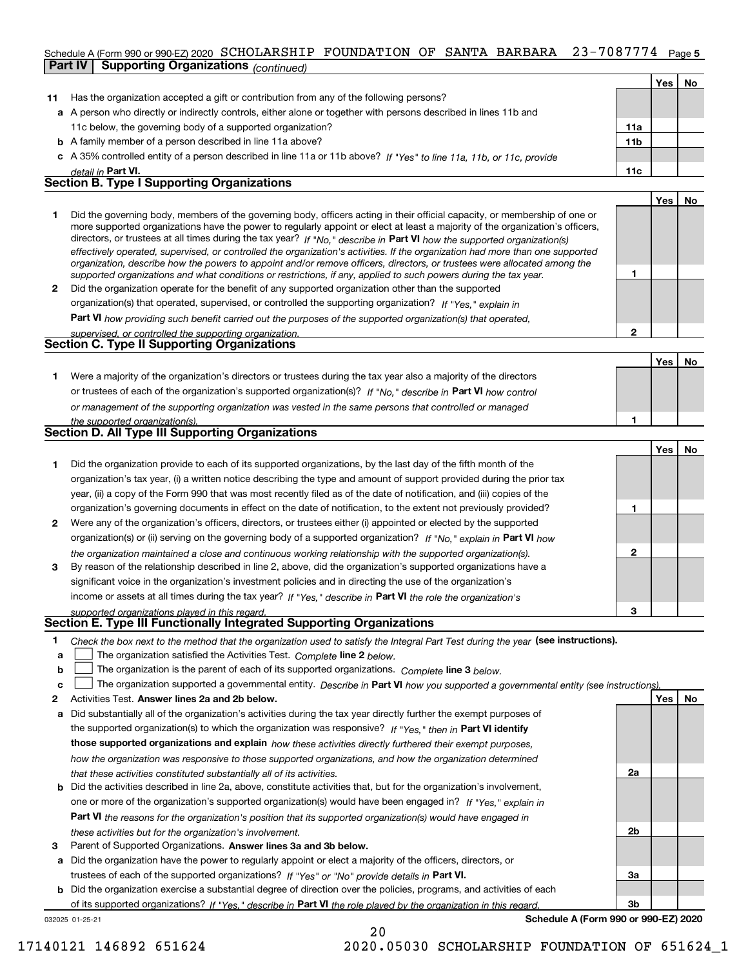#### 23-7087774 Page 5 Schedule A (Form 990 or 990-EZ) 2020  $\,$  SCHOLARSHIP  $\,$  FOUNDATION  $\,$  OF  $\,$  SANTA  $\,$  BARBARA  $\,$   $\,$  23 – 7087774  $\,$  Page **Part IV Supporting Organizations** *(continued)*

|              |                                                                                                                                                                                                                                                                                                                                                                                                                                                                                                                                                                                                                                                      |                 | <b>Yes</b> | <b>No</b> |
|--------------|------------------------------------------------------------------------------------------------------------------------------------------------------------------------------------------------------------------------------------------------------------------------------------------------------------------------------------------------------------------------------------------------------------------------------------------------------------------------------------------------------------------------------------------------------------------------------------------------------------------------------------------------------|-----------------|------------|-----------|
| 11           | Has the organization accepted a gift or contribution from any of the following persons?                                                                                                                                                                                                                                                                                                                                                                                                                                                                                                                                                              |                 |            |           |
|              | a A person who directly or indirectly controls, either alone or together with persons described in lines 11b and                                                                                                                                                                                                                                                                                                                                                                                                                                                                                                                                     |                 |            |           |
|              | 11c below, the governing body of a supported organization?                                                                                                                                                                                                                                                                                                                                                                                                                                                                                                                                                                                           | 11a             |            |           |
|              | <b>b</b> A family member of a person described in line 11a above?                                                                                                                                                                                                                                                                                                                                                                                                                                                                                                                                                                                    | 11 <sub>b</sub> |            |           |
|              | c A 35% controlled entity of a person described in line 11a or 11b above? If "Yes" to line 11a, 11b, or 11c, provide                                                                                                                                                                                                                                                                                                                                                                                                                                                                                                                                 |                 |            |           |
|              | detail in Part VI.                                                                                                                                                                                                                                                                                                                                                                                                                                                                                                                                                                                                                                   | 11c             |            |           |
|              | <b>Section B. Type I Supporting Organizations</b>                                                                                                                                                                                                                                                                                                                                                                                                                                                                                                                                                                                                    |                 |            |           |
|              |                                                                                                                                                                                                                                                                                                                                                                                                                                                                                                                                                                                                                                                      |                 | <b>Yes</b> | No        |
|              | Did the governing body, members of the governing body, officers acting in their official capacity, or membership of one or<br>more supported organizations have the power to regularly appoint or elect at least a majority of the organization's officers,<br>directors, or trustees at all times during the tax year? If "No," describe in Part VI how the supported organization(s)<br>effectively operated, supervised, or controlled the organization's activities. If the organization had more than one supported<br>organization, describe how the powers to appoint and/or remove officers, directors, or trustees were allocated among the |                 |            |           |
|              | supported organizations and what conditions or restrictions, if any, applied to such powers during the tax year.                                                                                                                                                                                                                                                                                                                                                                                                                                                                                                                                     | 1               |            |           |
| $\mathbf{2}$ | Did the organization operate for the benefit of any supported organization other than the supported                                                                                                                                                                                                                                                                                                                                                                                                                                                                                                                                                  |                 |            |           |
|              | organization(s) that operated, supervised, or controlled the supporting organization? If "Yes," explain in                                                                                                                                                                                                                                                                                                                                                                                                                                                                                                                                           |                 |            |           |
|              | Part VI how providing such benefit carried out the purposes of the supported organization(s) that operated,                                                                                                                                                                                                                                                                                                                                                                                                                                                                                                                                          |                 |            |           |
|              | supervised, or controlled the supporting organization.                                                                                                                                                                                                                                                                                                                                                                                                                                                                                                                                                                                               | $\mathbf{2}$    |            |           |
|              | <b>Section C. Type II Supporting Organizations</b>                                                                                                                                                                                                                                                                                                                                                                                                                                                                                                                                                                                                   |                 |            |           |
|              |                                                                                                                                                                                                                                                                                                                                                                                                                                                                                                                                                                                                                                                      |                 | <b>Yes</b> | <b>No</b> |
| 1.           | Were a majority of the organization's directors or trustees during the tax year also a majority of the directors                                                                                                                                                                                                                                                                                                                                                                                                                                                                                                                                     |                 |            |           |
|              | or trustees of each of the organization's supported organization(s)? If "No," describe in Part VI how control                                                                                                                                                                                                                                                                                                                                                                                                                                                                                                                                        |                 |            |           |
|              | or management of the supporting organization was vested in the same persons that controlled or managed                                                                                                                                                                                                                                                                                                                                                                                                                                                                                                                                               |                 |            |           |
|              | the supported organization(s).                                                                                                                                                                                                                                                                                                                                                                                                                                                                                                                                                                                                                       |                 |            |           |
|              | <b>Section D. All Type III Supporting Organizations</b>                                                                                                                                                                                                                                                                                                                                                                                                                                                                                                                                                                                              |                 |            |           |
|              |                                                                                                                                                                                                                                                                                                                                                                                                                                                                                                                                                                                                                                                      |                 | Yes        | No        |
|              |                                                                                                                                                                                                                                                                                                                                                                                                                                                                                                                                                                                                                                                      |                 |            |           |

|              |                                                                                                                        |   | . |  |
|--------------|------------------------------------------------------------------------------------------------------------------------|---|---|--|
|              | Did the organization provide to each of its supported organizations, by the last day of the fifth month of the         |   |   |  |
|              | organization's tax year, (i) a written notice describing the type and amount of support provided during the prior tax  |   |   |  |
|              | year, (ii) a copy of the Form 990 that was most recently filed as of the date of notification, and (iii) copies of the |   |   |  |
|              | organization's governing documents in effect on the date of notification, to the extent not previously provided?       |   |   |  |
| $\mathbf{2}$ | Were any of the organization's officers, directors, or trustees either (i) appointed or elected by the supported       |   |   |  |
|              | organization(s) or (ii) serving on the governing body of a supported organization? If "No." explain in Part VI how     |   |   |  |
|              | the organization maintained a close and continuous working relationship with the supported organization(s).            |   |   |  |
| 3            | By reason of the relationship described in line 2, above, did the organization's supported organizations have a        |   |   |  |
|              | significant voice in the organization's investment policies and in directing the use of the organization's             |   |   |  |
|              | income or assets at all times during the tax year? If "Yes," describe in Part VI the role the organization's           |   |   |  |
|              | supported organizations played in this regard.                                                                         | з |   |  |

# *supported organizations played in this regard.* **Section E. Type III Functionally Integrated Supporting Organizations**

|  | Check the box next to the method that the organization used to satisfy the Integral Part Test during the year (see instructions). |  |  |  |
|--|-----------------------------------------------------------------------------------------------------------------------------------|--|--|--|
|--|-----------------------------------------------------------------------------------------------------------------------------------|--|--|--|

- **a**The organization satisfied the Activities Test. *Complete* line 2 below.  $\mathcal{L}^{\text{max}}$
- **bThe organization is the parent of each of its supported organizations. Complete line 3 below.**

|  |  | c $\Box$ The organization supported a governmental entity. Describe in Part VI how you supported a governmental entity (see instructions). |  |  |  |  |
|--|--|--------------------------------------------------------------------------------------------------------------------------------------------|--|--|--|--|
|--|--|--------------------------------------------------------------------------------------------------------------------------------------------|--|--|--|--|

20

- **2Answer lines 2a and 2b below. Yes No** Activities Test.
- **a** Did substantially all of the organization's activities during the tax year directly further the exempt purposes of the supported organization(s) to which the organization was responsive? If "Yes," then in **Part VI identify those supported organizations and explain**  *how these activities directly furthered their exempt purposes, how the organization was responsive to those supported organizations, and how the organization determined that these activities constituted substantially all of its activities.*
- **b** Did the activities described in line 2a, above, constitute activities that, but for the organization's involvement, **Part VI**  *the reasons for the organization's position that its supported organization(s) would have engaged in* one or more of the organization's supported organization(s) would have been engaged in? If "Yes," e*xplain in these activities but for the organization's involvement.*
- **3** Parent of Supported Organizations. Answer lines 3a and 3b below.

**a** Did the organization have the power to regularly appoint or elect a majority of the officers, directors, or trustees of each of the supported organizations? If "Yes" or "No" provide details in **Part VI.** 

032025 01-25-21 **b** Did the organization exercise a substantial degree of direction over the policies, programs, and activities of each of its supported organizations? If "Yes," describe in Part VI the role played by the organization in this regard.

**Schedule A (Form 990 or 990-EZ) 2020**

**2a**

**2b**

**3a**

**3b**

17140121 146892 651624 2020.05030 SCHOLARSHIP FOUNDATION OF 651624\_1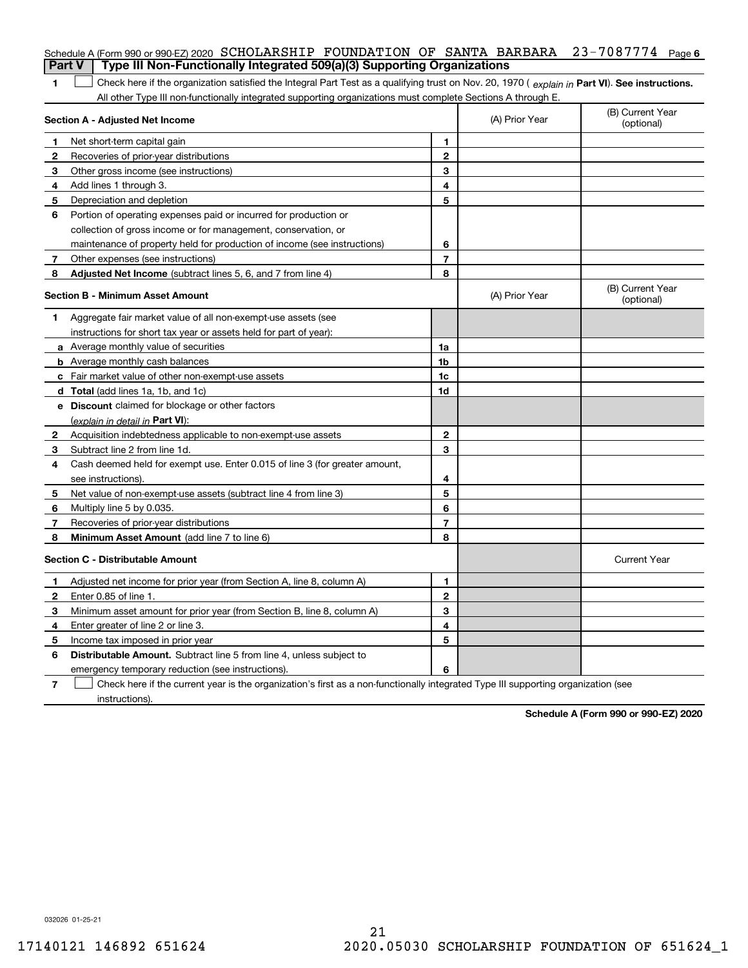|   | Schedule A (Form 990 or 990-EZ) 2020 SCHOLARSHIP FOUNDATION OF SANTA BARBARA<br><b>Part V</b>                                                                                                                                                                 |                |                | $23 - 7087774$ Page 6          |
|---|---------------------------------------------------------------------------------------------------------------------------------------------------------------------------------------------------------------------------------------------------------------|----------------|----------------|--------------------------------|
|   | Type III Non-Functionally Integrated 509(a)(3) Supporting Organizations                                                                                                                                                                                       |                |                |                                |
| 1 | Check here if the organization satisfied the Integral Part Test as a qualifying trust on Nov. 20, 1970 (explain in Part VI). See instructions.<br>All other Type III non-functionally integrated supporting organizations must complete Sections A through E. |                |                |                                |
|   | Section A - Adjusted Net Income                                                                                                                                                                                                                               |                | (A) Prior Year | (B) Current Year<br>(optional) |
| 1 | Net short-term capital gain                                                                                                                                                                                                                                   | 1.             |                |                                |
| 2 | Recoveries of prior-year distributions                                                                                                                                                                                                                        | $\mathbf{2}$   |                |                                |
| 3 | Other gross income (see instructions)                                                                                                                                                                                                                         | 3              |                |                                |
| 4 | Add lines 1 through 3.                                                                                                                                                                                                                                        | 4              |                |                                |
| 5 | Depreciation and depletion                                                                                                                                                                                                                                    | 5              |                |                                |
| 6 | Portion of operating expenses paid or incurred for production or                                                                                                                                                                                              |                |                |                                |
|   | collection of gross income or for management, conservation, or                                                                                                                                                                                                |                |                |                                |
|   | maintenance of property held for production of income (see instructions)                                                                                                                                                                                      | 6              |                |                                |
| 7 | Other expenses (see instructions)                                                                                                                                                                                                                             | $\overline{7}$ |                |                                |
| 8 | Adjusted Net Income (subtract lines 5, 6, and 7 from line 4)                                                                                                                                                                                                  | 8              |                |                                |
|   | <b>Section B - Minimum Asset Amount</b>                                                                                                                                                                                                                       |                | (A) Prior Year | (B) Current Year<br>(optional) |
| 1 | Aggregate fair market value of all non-exempt-use assets (see                                                                                                                                                                                                 |                |                |                                |
|   | instructions for short tax year or assets held for part of year):                                                                                                                                                                                             |                |                |                                |
|   | <b>a</b> Average monthly value of securities                                                                                                                                                                                                                  | 1a             |                |                                |
|   | <b>b</b> Average monthly cash balances                                                                                                                                                                                                                        | 1b             |                |                                |
|   | c Fair market value of other non-exempt-use assets                                                                                                                                                                                                            | 1c             |                |                                |
|   | d Total (add lines 1a, 1b, and 1c)                                                                                                                                                                                                                            | 1d             |                |                                |
|   | e Discount claimed for blockage or other factors                                                                                                                                                                                                              |                |                |                                |
|   | (explain in detail in Part VI):                                                                                                                                                                                                                               |                |                |                                |
| 2 | Acquisition indebtedness applicable to non-exempt-use assets                                                                                                                                                                                                  | $\mathbf{2}$   |                |                                |
| 3 | Subtract line 2 from line 1d.                                                                                                                                                                                                                                 | 3              |                |                                |
| 4 | Cash deemed held for exempt use. Enter 0.015 of line 3 (for greater amount,                                                                                                                                                                                   |                |                |                                |
|   | see instructions).                                                                                                                                                                                                                                            | 4              |                |                                |
| 5 | Net value of non-exempt-use assets (subtract line 4 from line 3)                                                                                                                                                                                              | 5              |                |                                |
| 6 | Multiply line 5 by 0.035.                                                                                                                                                                                                                                     | 6              |                |                                |
| 7 | Recoveries of prior-year distributions                                                                                                                                                                                                                        | $\overline{7}$ |                |                                |
| 8 | Minimum Asset Amount (add line 7 to line 6)                                                                                                                                                                                                                   | 8              |                |                                |
|   | <b>Section C - Distributable Amount</b>                                                                                                                                                                                                                       |                |                | <b>Current Year</b>            |
|   | Adjusted net income for prior year (from Section A, line 8, column A)                                                                                                                                                                                         | 1              |                |                                |
|   | Enter 0.85 of line 1.                                                                                                                                                                                                                                         | 2              |                |                                |
| 3 | Minimum asset amount for prior year (from Section B, line 8, column A)                                                                                                                                                                                        | 3              |                |                                |
| 4 | Enter greater of line 2 or line 3.                                                                                                                                                                                                                            | 4              |                |                                |
| 5 | Income tax imposed in prior year                                                                                                                                                                                                                              | 5              |                |                                |
| 6 | <b>Distributable Amount.</b> Subtract line 5 from line 4, unless subject to                                                                                                                                                                                   |                |                |                                |
|   | emergency temporary reduction (see instructions).                                                                                                                                                                                                             | 6              |                |                                |
| 7 | Check here if the current year is the organization's first as a non-functionally integrated Type III supporting organization (see                                                                                                                             |                |                |                                |

instructions).

**Schedule A (Form 990 or 990-EZ) 2020**

032026 01-25-21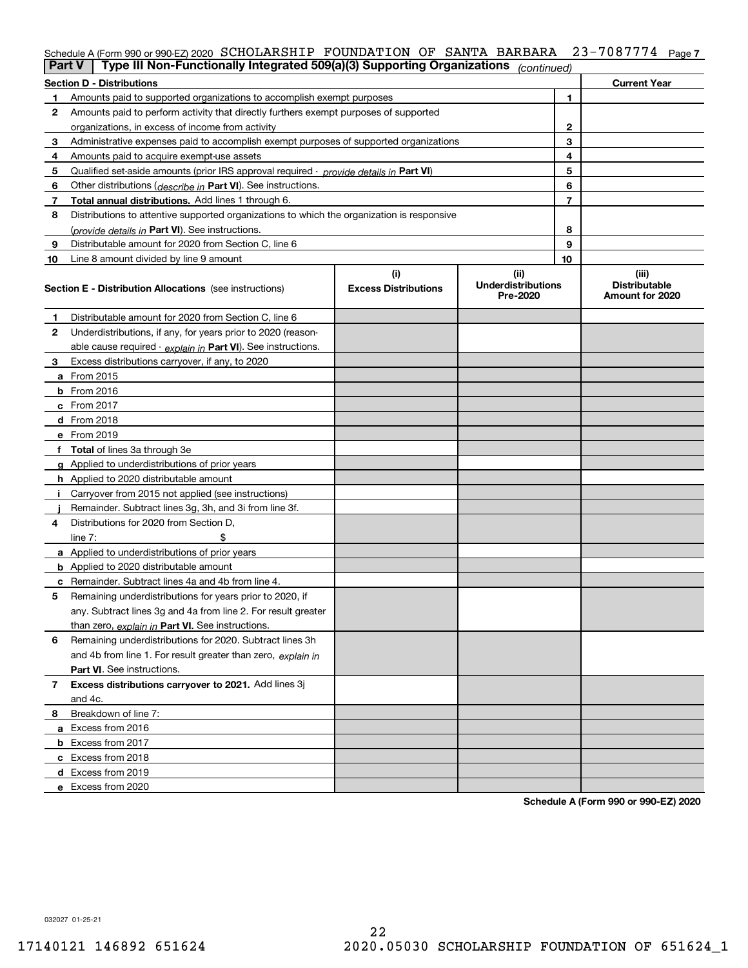## Schedule A (Form 990 or 990-EZ) 2020 SCHOLARSHIP FOUNDATION OF SANTA BARBARA 23-7087774 <sub>Page 7</sub>

| Type III Non-Functionally Integrated 509(a)(3) Supporting Organizations<br>Part V<br>(continued) |                                                                                                   |                             |                                       |    |                                         |
|--------------------------------------------------------------------------------------------------|---------------------------------------------------------------------------------------------------|-----------------------------|---------------------------------------|----|-----------------------------------------|
|                                                                                                  | <b>Section D - Distributions</b>                                                                  |                             |                                       |    | <b>Current Year</b>                     |
|                                                                                                  | Amounts paid to supported organizations to accomplish exempt purposes                             |                             | 1                                     |    |                                         |
| 2                                                                                                | Amounts paid to perform activity that directly furthers exempt purposes of supported              |                             |                                       |    |                                         |
|                                                                                                  | organizations, in excess of income from activity                                                  |                             | 2                                     |    |                                         |
| 3                                                                                                | Administrative expenses paid to accomplish exempt purposes of supported organizations             |                             | 3                                     |    |                                         |
| 4                                                                                                | Amounts paid to acquire exempt-use assets                                                         |                             | 4                                     |    |                                         |
| 5                                                                                                | Qualified set aside amounts (prior IRS approval required - provide details in Part VI)            |                             |                                       | 5  |                                         |
| 6                                                                                                | Other distributions (describe in Part VI). See instructions.                                      |                             |                                       | 6  |                                         |
| 7                                                                                                | Total annual distributions. Add lines 1 through 6.                                                |                             |                                       | 7  |                                         |
| 8                                                                                                | Distributions to attentive supported organizations to which the organization is responsive        |                             |                                       |    |                                         |
|                                                                                                  | (provide details in Part VI). See instructions.                                                   |                             |                                       | 8  |                                         |
| 9                                                                                                | Distributable amount for 2020 from Section C, line 6                                              |                             |                                       | 9  |                                         |
| 10                                                                                               | Line 8 amount divided by line 9 amount                                                            |                             |                                       | 10 |                                         |
|                                                                                                  |                                                                                                   | (i)                         | (ii)                                  |    | (iii)                                   |
|                                                                                                  | <b>Section E - Distribution Allocations</b> (see instructions)                                    | <b>Excess Distributions</b> | <b>Underdistributions</b><br>Pre-2020 |    | <b>Distributable</b><br>Amount for 2020 |
| 1                                                                                                | Distributable amount for 2020 from Section C, line 6                                              |                             |                                       |    |                                         |
| 2                                                                                                | Underdistributions, if any, for years prior to 2020 (reason-                                      |                             |                                       |    |                                         |
|                                                                                                  | able cause required - explain in Part VI). See instructions.                                      |                             |                                       |    |                                         |
| 3                                                                                                | Excess distributions carryover, if any, to 2020                                                   |                             |                                       |    |                                         |
|                                                                                                  | a From 2015                                                                                       |                             |                                       |    |                                         |
|                                                                                                  | $b$ From 2016                                                                                     |                             |                                       |    |                                         |
|                                                                                                  | $c$ From 2017                                                                                     |                             |                                       |    |                                         |
|                                                                                                  | <b>d</b> From 2018                                                                                |                             |                                       |    |                                         |
|                                                                                                  | e From 2019                                                                                       |                             |                                       |    |                                         |
|                                                                                                  | f Total of lines 3a through 3e                                                                    |                             |                                       |    |                                         |
|                                                                                                  | g Applied to underdistributions of prior years                                                    |                             |                                       |    |                                         |
|                                                                                                  | <b>h</b> Applied to 2020 distributable amount                                                     |                             |                                       |    |                                         |
|                                                                                                  | Carryover from 2015 not applied (see instructions)                                                |                             |                                       |    |                                         |
|                                                                                                  | Remainder. Subtract lines 3g, 3h, and 3i from line 3f.                                            |                             |                                       |    |                                         |
| 4                                                                                                | Distributions for 2020 from Section D.                                                            |                             |                                       |    |                                         |
|                                                                                                  | line $7:$                                                                                         |                             |                                       |    |                                         |
|                                                                                                  | a Applied to underdistributions of prior years                                                    |                             |                                       |    |                                         |
|                                                                                                  | <b>b</b> Applied to 2020 distributable amount                                                     |                             |                                       |    |                                         |
|                                                                                                  | <b>c</b> Remainder. Subtract lines 4a and 4b from line 4.                                         |                             |                                       |    |                                         |
| 5                                                                                                | Remaining underdistributions for years prior to 2020, if                                          |                             |                                       |    |                                         |
|                                                                                                  | any. Subtract lines 3g and 4a from line 2. For result greater                                     |                             |                                       |    |                                         |
|                                                                                                  | than zero, explain in Part VI. See instructions.                                                  |                             |                                       |    |                                         |
| 6                                                                                                | Remaining underdistributions for 2020. Subtract lines 3h                                          |                             |                                       |    |                                         |
|                                                                                                  |                                                                                                   |                             |                                       |    |                                         |
|                                                                                                  | and 4b from line 1. For result greater than zero, explain in<br><b>Part VI.</b> See instructions. |                             |                                       |    |                                         |
| 7                                                                                                | Excess distributions carryover to 2021. Add lines 3j                                              |                             |                                       |    |                                         |
|                                                                                                  | and 4c.                                                                                           |                             |                                       |    |                                         |
| 8                                                                                                | Breakdown of line 7:                                                                              |                             |                                       |    |                                         |
|                                                                                                  | a Excess from 2016                                                                                |                             |                                       |    |                                         |
|                                                                                                  |                                                                                                   |                             |                                       |    |                                         |
|                                                                                                  | <b>b</b> Excess from 2017                                                                         |                             |                                       |    |                                         |
|                                                                                                  | c Excess from 2018                                                                                |                             |                                       |    |                                         |
|                                                                                                  | d Excess from 2019                                                                                |                             |                                       |    |                                         |
|                                                                                                  | e Excess from 2020                                                                                |                             |                                       |    |                                         |

**Schedule A (Form 990 or 990-EZ) 2020**

032027 01-25-21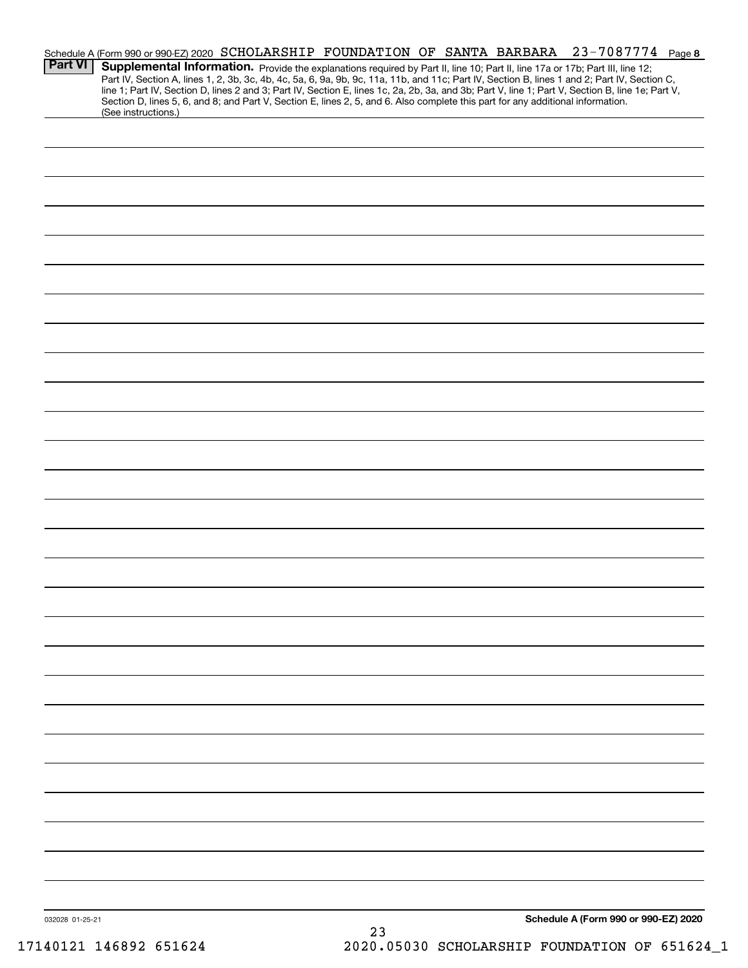| <b>Part VI</b>  | Schedule A (Form 990 or 990-EZ) 2020 SCHOLARSHIP FOUNDATION OF SANTA BARBARA |                                                                                                                                                                                                                                                                                                                                                                                                                                                                                                                                                                      |  |                                      | 23-7087774 Page 8 |
|-----------------|------------------------------------------------------------------------------|----------------------------------------------------------------------------------------------------------------------------------------------------------------------------------------------------------------------------------------------------------------------------------------------------------------------------------------------------------------------------------------------------------------------------------------------------------------------------------------------------------------------------------------------------------------------|--|--------------------------------------|-------------------|
|                 | (See instructions.)                                                          | Supplemental Information. Provide the explanations required by Part II, line 10; Part II, line 17a or 17b; Part III, line 12;<br>Part IV, Section A, lines 1, 2, 3b, 3c, 4b, 4c, 5a, 6, 9a, 9b, 9c, 11a, 11b, and 11c; Part IV, Section B, lines 1 and 2; Part IV, Section C,<br>line 1; Part IV, Section D, lines 2 and 3; Part IV, Section E, lines 1c, 2a, 2b, 3a, and 3b; Part V, line 1; Part V, Section B, line 1e; Part V,<br>Section D, lines 5, 6, and 8; and Part V, Section E, lines 2, 5, and 6. Also complete this part for any additional information. |  |                                      |                   |
|                 |                                                                              |                                                                                                                                                                                                                                                                                                                                                                                                                                                                                                                                                                      |  |                                      |                   |
|                 |                                                                              |                                                                                                                                                                                                                                                                                                                                                                                                                                                                                                                                                                      |  |                                      |                   |
|                 |                                                                              |                                                                                                                                                                                                                                                                                                                                                                                                                                                                                                                                                                      |  |                                      |                   |
|                 |                                                                              |                                                                                                                                                                                                                                                                                                                                                                                                                                                                                                                                                                      |  |                                      |                   |
|                 |                                                                              |                                                                                                                                                                                                                                                                                                                                                                                                                                                                                                                                                                      |  |                                      |                   |
|                 |                                                                              |                                                                                                                                                                                                                                                                                                                                                                                                                                                                                                                                                                      |  |                                      |                   |
|                 |                                                                              |                                                                                                                                                                                                                                                                                                                                                                                                                                                                                                                                                                      |  |                                      |                   |
|                 |                                                                              |                                                                                                                                                                                                                                                                                                                                                                                                                                                                                                                                                                      |  |                                      |                   |
|                 |                                                                              |                                                                                                                                                                                                                                                                                                                                                                                                                                                                                                                                                                      |  |                                      |                   |
|                 |                                                                              |                                                                                                                                                                                                                                                                                                                                                                                                                                                                                                                                                                      |  |                                      |                   |
|                 |                                                                              |                                                                                                                                                                                                                                                                                                                                                                                                                                                                                                                                                                      |  |                                      |                   |
|                 |                                                                              |                                                                                                                                                                                                                                                                                                                                                                                                                                                                                                                                                                      |  |                                      |                   |
|                 |                                                                              |                                                                                                                                                                                                                                                                                                                                                                                                                                                                                                                                                                      |  |                                      |                   |
|                 |                                                                              |                                                                                                                                                                                                                                                                                                                                                                                                                                                                                                                                                                      |  |                                      |                   |
|                 |                                                                              |                                                                                                                                                                                                                                                                                                                                                                                                                                                                                                                                                                      |  |                                      |                   |
|                 |                                                                              |                                                                                                                                                                                                                                                                                                                                                                                                                                                                                                                                                                      |  |                                      |                   |
|                 |                                                                              |                                                                                                                                                                                                                                                                                                                                                                                                                                                                                                                                                                      |  |                                      |                   |
|                 |                                                                              |                                                                                                                                                                                                                                                                                                                                                                                                                                                                                                                                                                      |  |                                      |                   |
|                 |                                                                              |                                                                                                                                                                                                                                                                                                                                                                                                                                                                                                                                                                      |  |                                      |                   |
|                 |                                                                              |                                                                                                                                                                                                                                                                                                                                                                                                                                                                                                                                                                      |  |                                      |                   |
|                 |                                                                              |                                                                                                                                                                                                                                                                                                                                                                                                                                                                                                                                                                      |  |                                      |                   |
|                 |                                                                              |                                                                                                                                                                                                                                                                                                                                                                                                                                                                                                                                                                      |  |                                      |                   |
|                 |                                                                              |                                                                                                                                                                                                                                                                                                                                                                                                                                                                                                                                                                      |  |                                      |                   |
|                 |                                                                              |                                                                                                                                                                                                                                                                                                                                                                                                                                                                                                                                                                      |  |                                      |                   |
|                 |                                                                              |                                                                                                                                                                                                                                                                                                                                                                                                                                                                                                                                                                      |  |                                      |                   |
|                 |                                                                              |                                                                                                                                                                                                                                                                                                                                                                                                                                                                                                                                                                      |  |                                      |                   |
|                 |                                                                              |                                                                                                                                                                                                                                                                                                                                                                                                                                                                                                                                                                      |  |                                      |                   |
|                 |                                                                              |                                                                                                                                                                                                                                                                                                                                                                                                                                                                                                                                                                      |  |                                      |                   |
|                 |                                                                              |                                                                                                                                                                                                                                                                                                                                                                                                                                                                                                                                                                      |  |                                      |                   |
|                 |                                                                              |                                                                                                                                                                                                                                                                                                                                                                                                                                                                                                                                                                      |  |                                      |                   |
|                 |                                                                              |                                                                                                                                                                                                                                                                                                                                                                                                                                                                                                                                                                      |  |                                      |                   |
| 032028 01-25-21 |                                                                              |                                                                                                                                                                                                                                                                                                                                                                                                                                                                                                                                                                      |  | Schedule A (Form 990 or 990-EZ) 2020 |                   |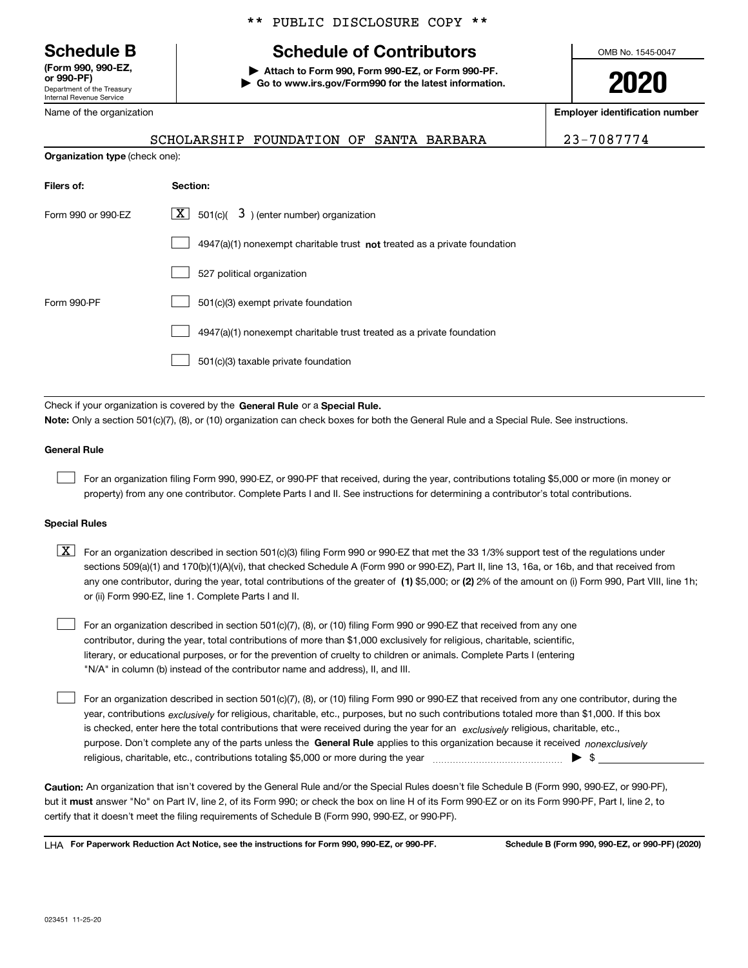Department of the Treasury Internal Revenue Service **(Form 990, 990-EZ, or 990-PF)**

Name of the organization

**Organization type** (check one):

### \*\* PUBLIC DISCLOSURE COPY \*\*

# **Schedule B Schedule of Contributors**

**| Attach to Form 990, Form 990-EZ, or Form 990-PF. | Go to www.irs.gov/Form990 for the latest information.** OMB No. 1545-0047

**2020**

**Employer identification number**

SCHOLARSHIP FOUNDATION OF SANTA BARBARA 23-7087774

Check if your organization is covered by the **General Rule** or a **Special Rule. Note:**  Only a section 501(c)(7), (8), or (10) organization can check boxes for both the General Rule and a Special Rule. See instructions.

#### **General Rule**

 $\mathcal{L}^{\text{max}}$ 

For an organization filing Form 990, 990-EZ, or 990-PF that received, during the year, contributions totaling \$5,000 or more (in money or property) from any one contributor. Complete Parts I and II. See instructions for determining a contributor's total contributions.

#### **Special Rules**

any one contributor, during the year, total contributions of the greater of  $\,$  (1) \$5,000; or **(2)** 2% of the amount on (i) Form 990, Part VIII, line 1h;  $\boxed{\textbf{X}}$  For an organization described in section 501(c)(3) filing Form 990 or 990-EZ that met the 33 1/3% support test of the regulations under sections 509(a)(1) and 170(b)(1)(A)(vi), that checked Schedule A (Form 990 or 990-EZ), Part II, line 13, 16a, or 16b, and that received from or (ii) Form 990-EZ, line 1. Complete Parts I and II.

For an organization described in section 501(c)(7), (8), or (10) filing Form 990 or 990-EZ that received from any one contributor, during the year, total contributions of more than \$1,000 exclusively for religious, charitable, scientific, literary, or educational purposes, or for the prevention of cruelty to children or animals. Complete Parts I (entering "N/A" in column (b) instead of the contributor name and address), II, and III.  $\mathcal{L}^{\text{max}}$ 

purpose. Don't complete any of the parts unless the **General Rule** applies to this organization because it received *nonexclusively* year, contributions <sub>exclusively</sub> for religious, charitable, etc., purposes, but no such contributions totaled more than \$1,000. If this box is checked, enter here the total contributions that were received during the year for an  $\;$ exclusively religious, charitable, etc., For an organization described in section 501(c)(7), (8), or (10) filing Form 990 or 990-EZ that received from any one contributor, during the religious, charitable, etc., contributions totaling \$5,000 or more during the year  $\Box$ — $\Box$   $\Box$  $\mathcal{L}^{\text{max}}$ 

**Caution:**  An organization that isn't covered by the General Rule and/or the Special Rules doesn't file Schedule B (Form 990, 990-EZ, or 990-PF),  **must** but it answer "No" on Part IV, line 2, of its Form 990; or check the box on line H of its Form 990-EZ or on its Form 990-PF, Part I, line 2, to certify that it doesn't meet the filing requirements of Schedule B (Form 990, 990-EZ, or 990-PF).

**For Paperwork Reduction Act Notice, see the instructions for Form 990, 990-EZ, or 990-PF. Schedule B (Form 990, 990-EZ, or 990-PF) (2020)** LHA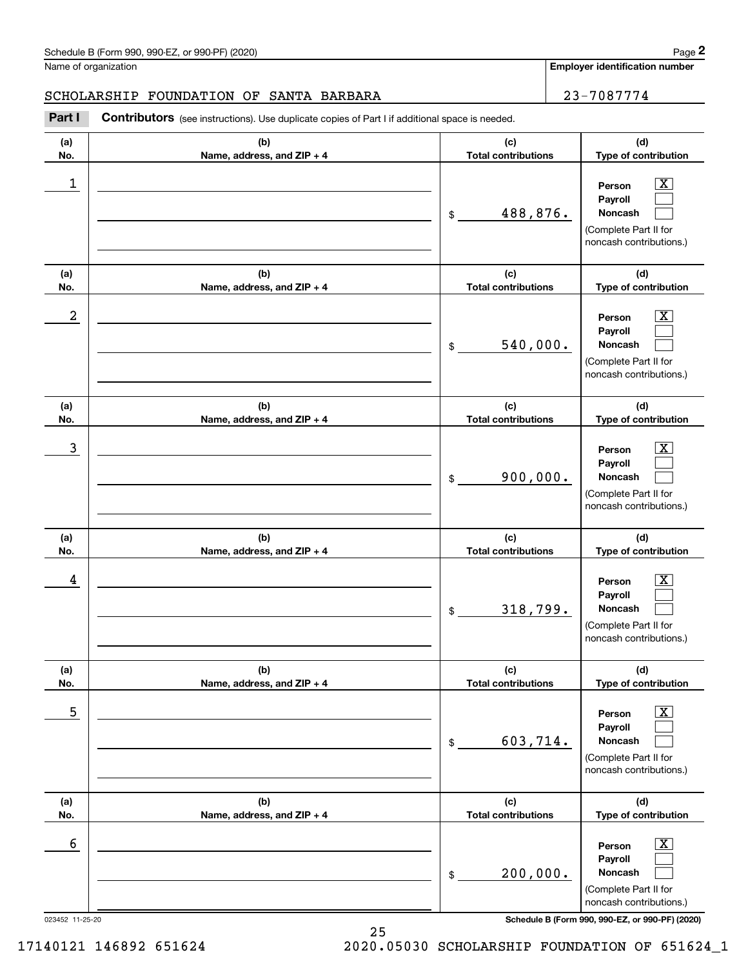Name of organization

**Employer identification number**

**(d)**

 $|X|$  $\mathcal{L}^{\text{max}}$  $\mathcal{L}^{\text{max}}$ 

 $\boxed{\text{X}}$  $\mathcal{L}^{\text{max}}$  $\mathcal{L}^{\text{max}}$ 

 $|X|$  $\mathcal{L}^{\text{max}}$  $\mathcal{L}^{\text{max}}$ 

 $\boxed{\text{X}}$  $\mathcal{L}^{\text{max}}$  $\mathcal{L}^{\text{max}}$ 

 $\boxed{\text{X}}$  $\mathcal{L}^{\text{max}}$  $\mathcal{L}^{\text{max}}$ 

**(d)**

**(d)**

**(d)**

**(d)**

#### **(a)No.(b)Name, address, and ZIP + 4 (c)Total contributions Type of contribution PersonPayrollNoncash (a)No.(b)Name, address, and ZIP + 4 (c)Total contributions Type of contribution PersonPayrollNoncash (a)No.(b)Name, address, and ZIP + 4 (c)Total contributions Type of contribution PersonPayrollNoncash (a) No.(b) Name, address, and ZIP + 4 (c) Total contributions Type of contribution Person Payroll Noncash(a) No.(b) Name, address, and ZIP + 4 (c) Total contributions Type of contribution PersonPayrollNoncash** Contributors (see instructions). Use duplicate copies of Part I if additional space is needed. \$(Complete Part II for noncash contributions.) \$(Complete Part II for noncash contributions.) \$(Complete Part II for noncash contributions.) \$(Complete Part II for noncash contributions.) \$(Complete Part II for noncash contributions.) Chedule B (Form 990, 990-EZ, or 990-PF) (2020)<br>Iame of organization<br>**2Part I 2Part I Contributors** (see instructions). Use duplicate copies of Part I if additional space is needed.  $\begin{array}{c|c|c|c|c|c} 1 & \hspace{1.5cm} & \hspace{1.5cm} & \hspace{1.5cm} & \hspace{1.5cm} & \hspace{1.5cm} & \hspace{1.5cm} & \hspace{1.5cm} & \hspace{1.5cm} & \hspace{1.5cm} & \hspace{1.5cm} & \hspace{1.5cm} & \hspace{1.5cm} & \hspace{1.5cm} & \hspace{1.5cm} & \hspace{1.5cm} & \hspace{1.5cm} & \hspace{1.5cm} & \hspace{1.5cm} & \hspace{1.5cm} & \hspace{1.5cm} &$ 488,876.  $2$  | Person  $\overline{\text{X}}$ 540,000.  $\overline{3}$  | Person  $\overline{X}$ 900,000.  $4$  | Person  $\overline{\text{X}}$ 318,799.  $\sim$  5 | Person X 603,714. SCHOLARSHIP FOUNDATION OF SANTA BARBARA 23-7087774

| (a)<br>No. | (b)<br>Name, address, and $ZIP + 4$ | (c)<br><b>Total contributions</b> | (d)<br>Type of contribution                                                                           |
|------------|-------------------------------------|-----------------------------------|-------------------------------------------------------------------------------------------------------|
| 6          |                                     | 200,000.<br>\$.                   | $\boxed{\text{X}}$<br>Person<br>Payroll<br>Noncash<br>Complete Part II for<br>noncash contributions.) |

023452 11-25-20 **Schedule B (Form 990, 990-EZ, or 990-PF) (2020)**

17140121 146892 651624 2020.05030 SCHOLARSHIP FOUNDATION OF 651624\_1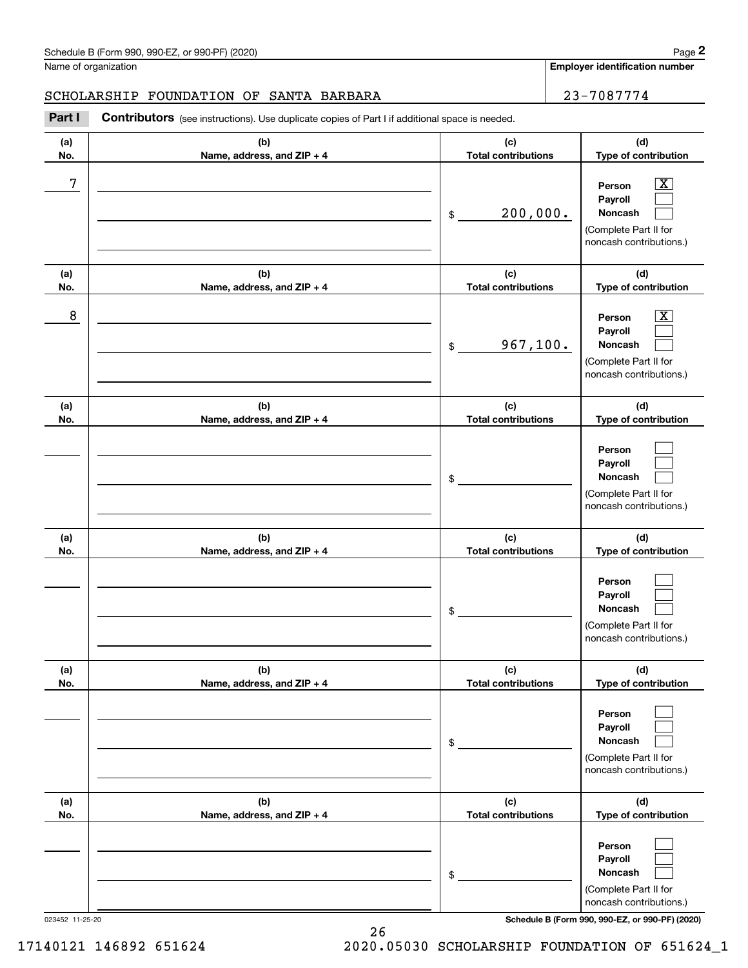## SCHOLARSHIP FOUNDATION OF SANTA BARBARA 23-7087774

|            | Schedule B (Form 990, 990-EZ, or 990-PF) (2020)                                                       |                                   | Page 2                                                                                                      |
|------------|-------------------------------------------------------------------------------------------------------|-----------------------------------|-------------------------------------------------------------------------------------------------------------|
|            | Name of organization                                                                                  |                                   | <b>Employer identification number</b>                                                                       |
|            | SCHOLARSHIP FOUNDATION OF SANTA BARBARA                                                               |                                   | 23-7087774                                                                                                  |
| Part I     | <b>Contributors</b> (see instructions). Use duplicate copies of Part I if additional space is needed. |                                   |                                                                                                             |
| (a)<br>No. | (b)<br>Name, address, and ZIP + 4                                                                     | (c)<br><b>Total contributions</b> | (d)<br>Type of contribution                                                                                 |
| 7          |                                                                                                       | 200,000.<br>\$                    | $\overline{\mathbf{X}}$<br>Person<br>Payroll<br>Noncash<br>(Complete Part II for<br>noncash contributions.) |
| (a)<br>No. | (b)<br>Name, address, and ZIP + 4                                                                     | (c)<br><b>Total contributions</b> | (d)<br>Type of contribution                                                                                 |
| 8          |                                                                                                       | 967,100.<br>\$                    | $\mathbf{X}$<br>Person<br>Payroll<br>Noncash<br>(Complete Part II for<br>noncash contributions.)            |
| (a)<br>No. | (b)<br>Name, address, and ZIP + 4                                                                     | (c)<br><b>Total contributions</b> | (d)<br>Type of contribution                                                                                 |
|            |                                                                                                       | \$                                | Person<br>Payroll<br>Noncash<br>(Complete Part II for<br>noncash contributions.)                            |
| (a)<br>No. | (b)<br>Name, address, and ZIP + 4                                                                     | (c)<br><b>Total contributions</b> | (d)<br>Type of contribution                                                                                 |
|            |                                                                                                       | \$                                | Person<br>Payroll<br>Noncash<br>(Complete Part II for<br>noncash contributions.)                            |
| (a)<br>No. | (b)<br>Name, address, and ZIP + 4                                                                     | (c)<br><b>Total contributions</b> | (d)<br>Type of contribution                                                                                 |
|            |                                                                                                       | \$                                | Person<br>Payroll<br>Noncash<br>(Complete Part II for<br>noncash contributions.)                            |
| (a)<br>No. | (b)<br>Name, address, and ZIP + 4                                                                     | (c)<br><b>Total contributions</b> | (d)<br>Type of contribution                                                                                 |
|            |                                                                                                       | \$                                | Person<br>Payroll<br>Noncash<br>(Complete Part II for<br>noncash contributions.)                            |

023452 11-25-20 **Schedule B (Form 990, 990-EZ, or 990-PF) (2020)**

26

17140121 146892 651624 2020.05030 SCHOLARSHIP FOUNDATION OF 651624\_1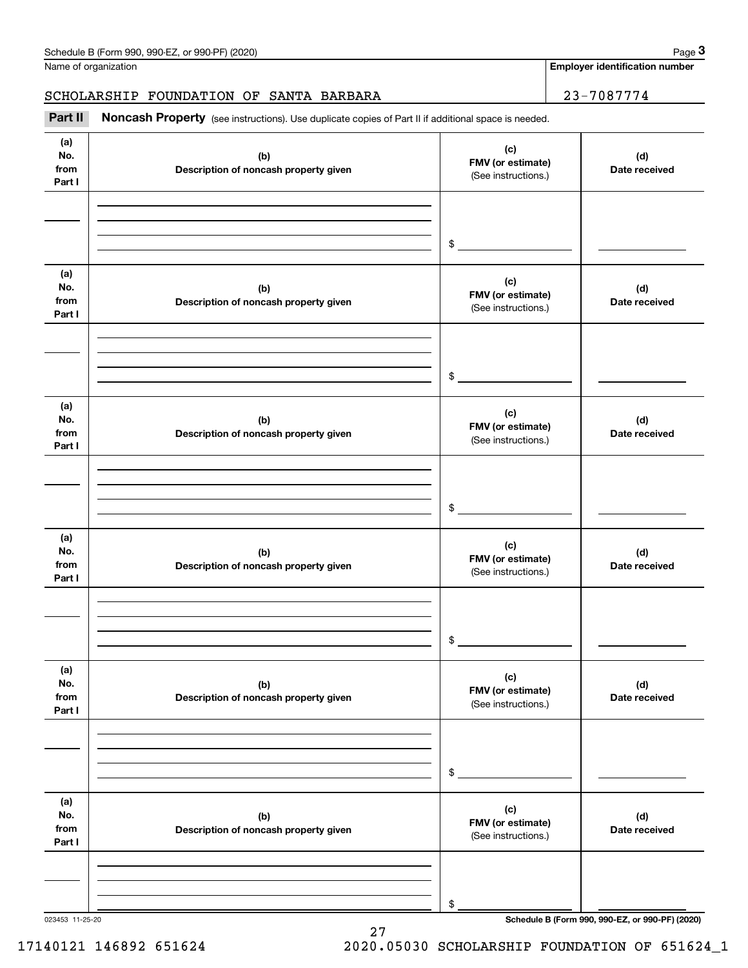Name of organization

### SCHOLARSHIP FOUNDATION OF SANTA BARBARA 23-7087774

(see instructions). Use duplicate copies of Part II if additional space is needed.<br> **3Part II is Noncash Property** (see instructions). Use duplicate copies of Part II if additional space is needed.

| (a)<br>No.<br>from<br>Part I | (b)<br>Description of noncash property given | (c)<br>FMV (or estimate)<br>(See instructions.) | (d)<br>Date received |
|------------------------------|----------------------------------------------|-------------------------------------------------|----------------------|
|                              |                                              | $\frac{1}{2}$                                   |                      |
| (a)<br>No.<br>from<br>Part I | (b)<br>Description of noncash property given | (c)<br>FMV (or estimate)<br>(See instructions.) | (d)<br>Date received |
|                              |                                              | $\frac{1}{2}$                                   |                      |
| (a)<br>No.<br>from<br>Part I | (b)<br>Description of noncash property given | (c)<br>FMV (or estimate)<br>(See instructions.) | (d)<br>Date received |
|                              |                                              | $\frac{1}{2}$                                   |                      |
| (a)<br>No.<br>from<br>Part I | (b)<br>Description of noncash property given | (c)<br>FMV (or estimate)<br>(See instructions.) | (d)<br>Date received |
|                              |                                              | $\frac{1}{2}$                                   |                      |
| (a)<br>No.<br>from<br>Part I | (b)<br>Description of noncash property given | (c)<br>FMV (or estimate)<br>(See instructions.) | (d)<br>Date received |
|                              |                                              | \$                                              |                      |
| (a)<br>No.<br>from<br>Part I | (b)<br>Description of noncash property given | (c)<br>FMV (or estimate)<br>(See instructions.) | (d)<br>Date received |
|                              |                                              | \$                                              |                      |

023453 11-25-20 **Schedule B (Form 990, 990-EZ, or 990-PF) (2020)**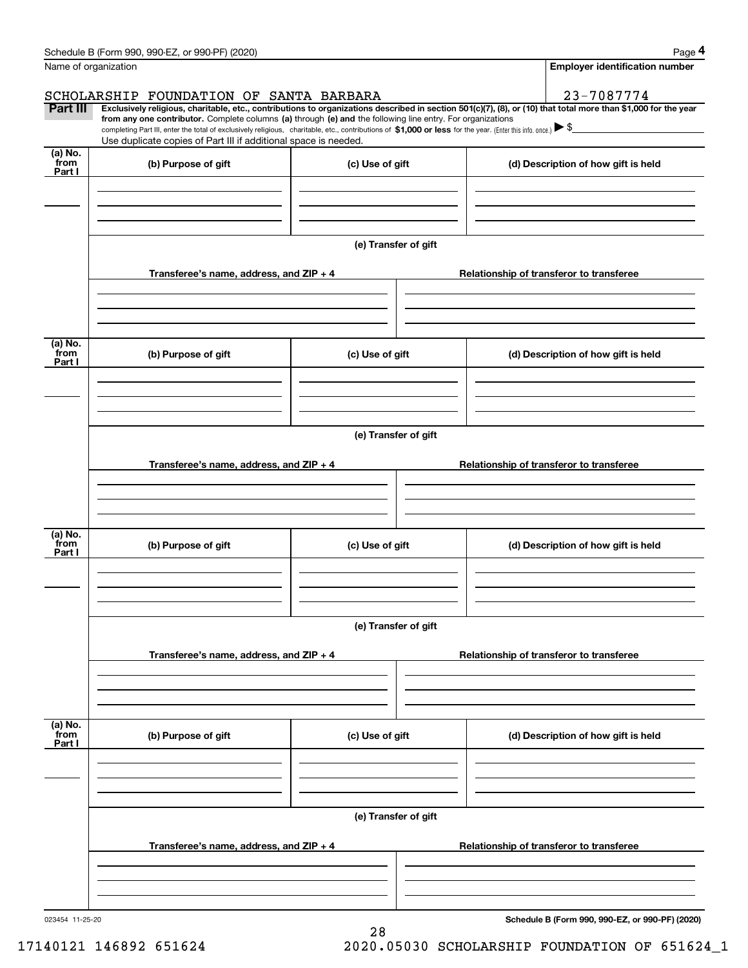|                                               | Schedule B (Form 990, 990-EZ, or 990-PF) (2020)                                                                                                                                                                                 |                      | Page 4                                                                                                                                                         |  |  |  |
|-----------------------------------------------|---------------------------------------------------------------------------------------------------------------------------------------------------------------------------------------------------------------------------------|----------------------|----------------------------------------------------------------------------------------------------------------------------------------------------------------|--|--|--|
| Name of organization                          |                                                                                                                                                                                                                                 |                      | <b>Employer identification number</b>                                                                                                                          |  |  |  |
|                                               | SCHOLARSHIP FOUNDATION OF SANTA BARBARA                                                                                                                                                                                         |                      | 23-7087774                                                                                                                                                     |  |  |  |
| Part III                                      | from any one contributor. Complete columns (a) through (e) and the following line entry. For organizations                                                                                                                      |                      | Exclusively religious, charitable, etc., contributions to organizations described in section 501(c)(7), (8), or (10) that total more than \$1,000 for the year |  |  |  |
|                                               | completing Part III, enter the total of exclusively religious, charitable, etc., contributions of \$1,000 or less for the year. (Enter this info. once.) \\$<br>Use duplicate copies of Part III if additional space is needed. |                      |                                                                                                                                                                |  |  |  |
| (a) No.<br>from                               |                                                                                                                                                                                                                                 |                      |                                                                                                                                                                |  |  |  |
| Part I                                        | (b) Purpose of gift                                                                                                                                                                                                             | (c) Use of gift      | (d) Description of how gift is held                                                                                                                            |  |  |  |
|                                               |                                                                                                                                                                                                                                 |                      |                                                                                                                                                                |  |  |  |
|                                               |                                                                                                                                                                                                                                 |                      |                                                                                                                                                                |  |  |  |
|                                               |                                                                                                                                                                                                                                 |                      |                                                                                                                                                                |  |  |  |
|                                               |                                                                                                                                                                                                                                 | (e) Transfer of gift |                                                                                                                                                                |  |  |  |
|                                               | Transferee's name, address, and ZIP + 4                                                                                                                                                                                         |                      | Relationship of transferor to transferee                                                                                                                       |  |  |  |
|                                               |                                                                                                                                                                                                                                 |                      |                                                                                                                                                                |  |  |  |
|                                               |                                                                                                                                                                                                                                 |                      |                                                                                                                                                                |  |  |  |
| (a) $\overline{\text{No.}}$                   |                                                                                                                                                                                                                                 |                      |                                                                                                                                                                |  |  |  |
| from<br>Part I                                | (b) Purpose of gift                                                                                                                                                                                                             | (c) Use of gift      | (d) Description of how gift is held                                                                                                                            |  |  |  |
|                                               |                                                                                                                                                                                                                                 |                      |                                                                                                                                                                |  |  |  |
|                                               |                                                                                                                                                                                                                                 |                      |                                                                                                                                                                |  |  |  |
|                                               |                                                                                                                                                                                                                                 |                      |                                                                                                                                                                |  |  |  |
|                                               | (e) Transfer of gift                                                                                                                                                                                                            |                      |                                                                                                                                                                |  |  |  |
|                                               | Transferee's name, address, and ZIP + 4                                                                                                                                                                                         |                      | Relationship of transferor to transferee                                                                                                                       |  |  |  |
|                                               |                                                                                                                                                                                                                                 |                      |                                                                                                                                                                |  |  |  |
|                                               |                                                                                                                                                                                                                                 |                      |                                                                                                                                                                |  |  |  |
|                                               |                                                                                                                                                                                                                                 |                      |                                                                                                                                                                |  |  |  |
| (a) $\overline{\text{No.}}$<br>from<br>Part I | (b) Purpose of gift                                                                                                                                                                                                             | (c) Use of gift      | (d) Description of how gift is held                                                                                                                            |  |  |  |
|                                               |                                                                                                                                                                                                                                 |                      |                                                                                                                                                                |  |  |  |
|                                               |                                                                                                                                                                                                                                 |                      |                                                                                                                                                                |  |  |  |
|                                               |                                                                                                                                                                                                                                 |                      |                                                                                                                                                                |  |  |  |
|                                               | (e) Transfer of gift                                                                                                                                                                                                            |                      |                                                                                                                                                                |  |  |  |
|                                               | Transferee's name, address, and ZIP + 4                                                                                                                                                                                         |                      | Relationship of transferor to transferee                                                                                                                       |  |  |  |
|                                               |                                                                                                                                                                                                                                 |                      |                                                                                                                                                                |  |  |  |
|                                               |                                                                                                                                                                                                                                 |                      |                                                                                                                                                                |  |  |  |
|                                               |                                                                                                                                                                                                                                 |                      |                                                                                                                                                                |  |  |  |
| (a) No.<br>from                               | (b) Purpose of gift                                                                                                                                                                                                             | (c) Use of gift      | (d) Description of how gift is held                                                                                                                            |  |  |  |
| Part I                                        |                                                                                                                                                                                                                                 |                      |                                                                                                                                                                |  |  |  |
|                                               |                                                                                                                                                                                                                                 |                      |                                                                                                                                                                |  |  |  |
|                                               |                                                                                                                                                                                                                                 |                      |                                                                                                                                                                |  |  |  |
|                                               |                                                                                                                                                                                                                                 | (e) Transfer of gift |                                                                                                                                                                |  |  |  |
|                                               |                                                                                                                                                                                                                                 |                      |                                                                                                                                                                |  |  |  |
|                                               | Transferee's name, address, and $ZIP + 4$                                                                                                                                                                                       |                      | Relationship of transferor to transferee                                                                                                                       |  |  |  |
|                                               |                                                                                                                                                                                                                                 |                      |                                                                                                                                                                |  |  |  |
|                                               |                                                                                                                                                                                                                                 |                      |                                                                                                                                                                |  |  |  |

28

Schedule B (Form 990, 990-EZ, or 990-PF) (2020) Page 4

**Schedule B (Form 990, 990-EZ, or 990-PF) (2020)**

17140121 146892 651624 2020.05030 SCHOLARSHIP FOUNDATION OF 651624\_1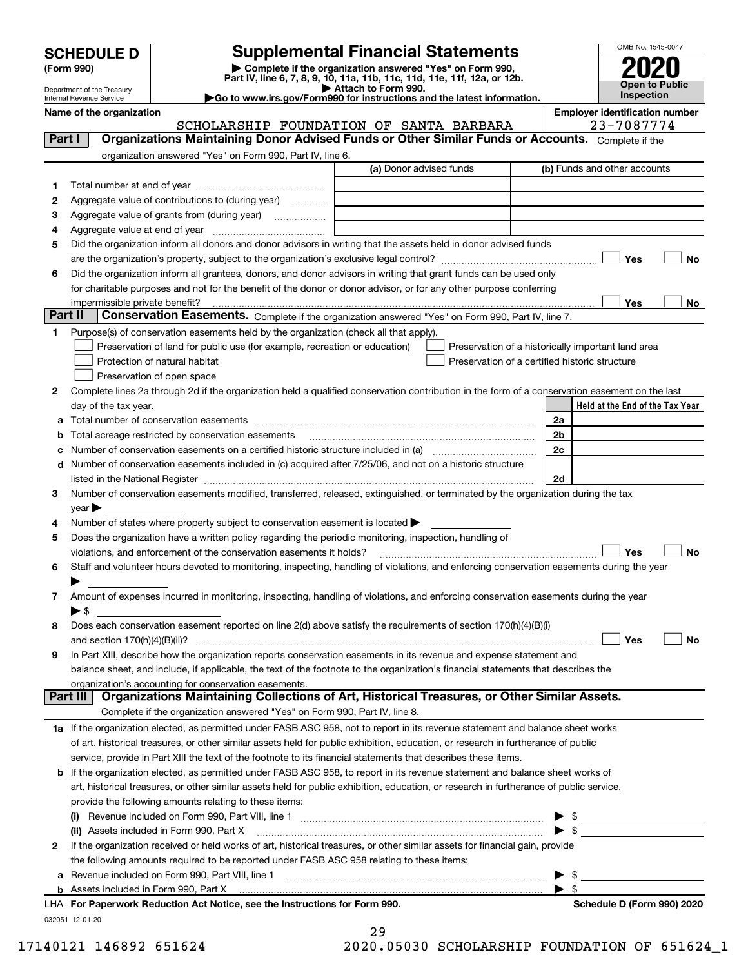Department of the Treasury Internal Revenue Service

## **SCHEDULE D Supplemental Financial Statements**

(Form 990)<br>
Pepartment of the Treasury<br>
Department of the Treasury<br>
Department of the Treasury<br>
Department of the Treasury<br> **Co to www.irs.gov/Form990 for instructions and the latest information.**<br> **Co to www.irs.gov/Form9** 



| Name of the organization |  |  |  |
|--------------------------|--|--|--|
|--------------------------|--|--|--|

**Name of the oriental conducts of the oriental conducts of the oriental conducts of the oriental conducts of the oriental conducts of**  $\blacksquare$ SCHOLARSHIP FOUNDATION OF SANTA BARBARA | 23-7087774

| Part I  | Organizations Maintaining Donor Advised Funds or Other Similar Funds or Accounts. Complete if the                                              |                         |                                                    |
|---------|------------------------------------------------------------------------------------------------------------------------------------------------|-------------------------|----------------------------------------------------|
|         | organization answered "Yes" on Form 990, Part IV, line 6.                                                                                      |                         |                                                    |
|         |                                                                                                                                                | (a) Donor advised funds | (b) Funds and other accounts                       |
| 1       |                                                                                                                                                |                         |                                                    |
| 2       | Aggregate value of contributions to (during year)                                                                                              |                         |                                                    |
| 3       | Aggregate value of grants from (during year)                                                                                                   |                         |                                                    |
| 4       |                                                                                                                                                |                         |                                                    |
| 5       | Did the organization inform all donors and donor advisors in writing that the assets held in donor advised funds                               |                         |                                                    |
|         |                                                                                                                                                |                         | Yes<br>No                                          |
| 6       | Did the organization inform all grantees, donors, and donor advisors in writing that grant funds can be used only                              |                         |                                                    |
|         | for charitable purposes and not for the benefit of the donor or donor advisor, or for any other purpose conferring                             |                         |                                                    |
| Part II | impermissible private benefit? использовании положительно положительно положительно положительно положительно                                  |                         | Yes<br>No                                          |
|         | Conservation Easements. Complete if the organization answered "Yes" on Form 990, Part IV, line 7.                                              |                         |                                                    |
| 1.      | Purpose(s) of conservation easements held by the organization (check all that apply).                                                          |                         |                                                    |
|         | Preservation of land for public use (for example, recreation or education)                                                                     |                         | Preservation of a historically important land area |
|         | Protection of natural habitat                                                                                                                  |                         | Preservation of a certified historic structure     |
|         | Preservation of open space                                                                                                                     |                         |                                                    |
| 2       | Complete lines 2a through 2d if the organization held a qualified conservation contribution in the form of a conservation easement on the last |                         |                                                    |
|         | day of the tax year.                                                                                                                           |                         | Held at the End of the Tax Year                    |
| а       | Total number of conservation easements                                                                                                         |                         | 2a                                                 |
| b       | Total acreage restricted by conservation easements                                                                                             |                         | 2b<br>2c                                           |
|         |                                                                                                                                                |                         |                                                    |
|         | d Number of conservation easements included in (c) acquired after 7/25/06, and not on a historic structure                                     |                         | 2d                                                 |
| 3       | Number of conservation easements modified, transferred, released, extinguished, or terminated by the organization during the tax               |                         |                                                    |
|         | year                                                                                                                                           |                         |                                                    |
| 4       | Number of states where property subject to conservation easement is located >                                                                  |                         |                                                    |
| 5       | Does the organization have a written policy regarding the periodic monitoring, inspection, handling of                                         |                         |                                                    |
|         | violations, and enforcement of the conservation easements it holds?                                                                            |                         | Yes<br>No                                          |
| 6       | Staff and volunteer hours devoted to monitoring, inspecting, handling of violations, and enforcing conservation easements during the year      |                         |                                                    |
|         |                                                                                                                                                |                         |                                                    |
| 7       | Amount of expenses incurred in monitoring, inspecting, handling of violations, and enforcing conservation easements during the year            |                         |                                                    |
|         | $\blacktriangleright$ S                                                                                                                        |                         |                                                    |
| 8       | Does each conservation easement reported on line 2(d) above satisfy the requirements of section 170(h)(4)(B)(i)                                |                         |                                                    |
|         |                                                                                                                                                |                         | Yes<br>No                                          |
| 9       | In Part XIII, describe how the organization reports conservation easements in its revenue and expense statement and                            |                         |                                                    |
|         | balance sheet, and include, if applicable, the text of the footnote to the organization's financial statements that describes the              |                         |                                                    |
|         | organization's accounting for conservation easements.                                                                                          |                         |                                                    |
|         | Organizations Maintaining Collections of Art, Historical Treasures, or Other Similar Assets.<br>Part III                                       |                         |                                                    |
|         | Complete if the organization answered "Yes" on Form 990, Part IV, line 8.                                                                      |                         |                                                    |
|         | 1a If the organization elected, as permitted under FASB ASC 958, not to report in its revenue statement and balance sheet works                |                         |                                                    |
|         | of art, historical treasures, or other similar assets held for public exhibition, education, or research in furtherance of public              |                         |                                                    |
|         | service, provide in Part XIII the text of the footnote to its financial statements that describes these items.                                 |                         |                                                    |
|         | <b>b</b> If the organization elected, as permitted under FASB ASC 958, to report in its revenue statement and balance sheet works of           |                         |                                                    |
|         | art, historical treasures, or other similar assets held for public exhibition, education, or research in furtherance of public service,        |                         |                                                    |
|         | provide the following amounts relating to these items:                                                                                         |                         |                                                    |
|         | (i)                                                                                                                                            |                         | $\frac{1}{2}$<br>$\blacktriangleright$ \$          |
|         | (ii) Assets included in Form 990, Part X                                                                                                       |                         |                                                    |
| 2       | If the organization received or held works of art, historical treasures, or other similar assets for financial gain, provide                   |                         |                                                    |
|         | the following amounts required to be reported under FASB ASC 958 relating to these items:                                                      |                         | \$                                                 |
| а       |                                                                                                                                                |                         | $\blacktriangleright$ \$                           |
|         | LHA For Paperwork Reduction Act Notice, see the Instructions for Form 990.                                                                     |                         | Schedule D (Form 990) 2020                         |
|         | 032051 12-01-20                                                                                                                                |                         |                                                    |
|         |                                                                                                                                                | 29                      |                                                    |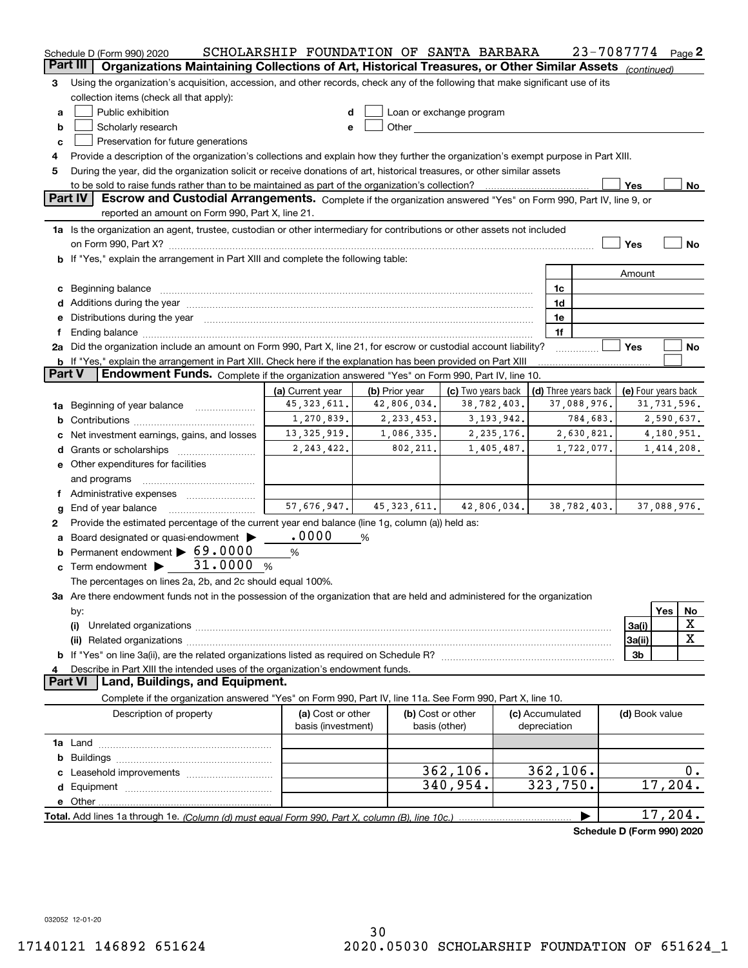|                 | Schedule D (Form 990) 2020                                                                                                                                                                                                     | SCHOLARSHIP FOUNDATION OF SANTA BARBARA |                |                                                                                                                                                                                                                                |              |                 | 23-7087774 Page 2          |                     |             |       |
|-----------------|--------------------------------------------------------------------------------------------------------------------------------------------------------------------------------------------------------------------------------|-----------------------------------------|----------------|--------------------------------------------------------------------------------------------------------------------------------------------------------------------------------------------------------------------------------|--------------|-----------------|----------------------------|---------------------|-------------|-------|
| <b>Part III</b> | Organizations Maintaining Collections of Art, Historical Treasures, or Other Similar Assets (continued)                                                                                                                        |                                         |                |                                                                                                                                                                                                                                |              |                 |                            |                     |             |       |
| 3               | Using the organization's acquisition, accession, and other records, check any of the following that make significant use of its                                                                                                |                                         |                |                                                                                                                                                                                                                                |              |                 |                            |                     |             |       |
|                 | collection items (check all that apply):                                                                                                                                                                                       |                                         |                |                                                                                                                                                                                                                                |              |                 |                            |                     |             |       |
| a               | Public exhibition                                                                                                                                                                                                              |                                         |                | Loan or exchange program                                                                                                                                                                                                       |              |                 |                            |                     |             |       |
| b               | Scholarly research                                                                                                                                                                                                             | е                                       |                | Other and the control of the control of the control of the control of the control of the control of the control of the control of the control of the control of the control of the control of the control of the control of th |              |                 |                            |                     |             |       |
| c               | Preservation for future generations                                                                                                                                                                                            |                                         |                |                                                                                                                                                                                                                                |              |                 |                            |                     |             |       |
| 4               | Provide a description of the organization's collections and explain how they further the organization's exempt purpose in Part XIII.                                                                                           |                                         |                |                                                                                                                                                                                                                                |              |                 |                            |                     |             |       |
| 5               | During the year, did the organization solicit or receive donations of art, historical treasures, or other similar assets                                                                                                       |                                         |                |                                                                                                                                                                                                                                |              |                 |                            |                     |             |       |
|                 |                                                                                                                                                                                                                                |                                         |                |                                                                                                                                                                                                                                |              |                 |                            | Yes                 |             | No    |
|                 | Part IV<br>Escrow and Custodial Arrangements. Complete if the organization answered "Yes" on Form 990, Part IV, line 9, or                                                                                                     |                                         |                |                                                                                                                                                                                                                                |              |                 |                            |                     |             |       |
|                 | reported an amount on Form 990, Part X, line 21.                                                                                                                                                                               |                                         |                |                                                                                                                                                                                                                                |              |                 |                            |                     |             |       |
|                 | 1a Is the organization an agent, trustee, custodian or other intermediary for contributions or other assets not included                                                                                                       |                                         |                |                                                                                                                                                                                                                                |              |                 |                            |                     |             |       |
|                 |                                                                                                                                                                                                                                |                                         |                |                                                                                                                                                                                                                                |              |                 |                            | Yes                 |             | No    |
|                 | b If "Yes," explain the arrangement in Part XIII and complete the following table:                                                                                                                                             |                                         |                |                                                                                                                                                                                                                                |              |                 |                            |                     |             |       |
|                 |                                                                                                                                                                                                                                |                                         |                |                                                                                                                                                                                                                                |              |                 |                            | Amount              |             |       |
| c               | Beginning balance <b>contract to the contract of the contract of the contract of the contract of the contract of t</b>                                                                                                         |                                         |                |                                                                                                                                                                                                                                |              | 1c              |                            |                     |             |       |
| d               | Additions during the year manufactured and an according to the year manufactured and according the year manufactured and according the year manufactured and according the year manufactured and according the year manufactur |                                         |                |                                                                                                                                                                                                                                |              | 1d              |                            |                     |             |       |
| е               | Distributions during the year manufactured and continuum and contact the year manufactured and contact the year                                                                                                                |                                         |                |                                                                                                                                                                                                                                |              | 1e              |                            |                     |             |       |
| f               |                                                                                                                                                                                                                                |                                         |                |                                                                                                                                                                                                                                |              | 1f              |                            |                     |             |       |
|                 | 2a Did the organization include an amount on Form 990, Part X, line 21, for escrow or custodial account liability?                                                                                                             |                                         |                |                                                                                                                                                                                                                                |              |                 |                            | Yes                 |             | No    |
|                 | b If "Yes," explain the arrangement in Part XIII. Check here if the explanation has been provided on Part XIII                                                                                                                 |                                         |                |                                                                                                                                                                                                                                |              |                 |                            |                     |             |       |
| <b>Part V</b>   | <b>Endowment Funds.</b> Complete if the organization answered "Yes" on Form 990, Part IV, line 10.                                                                                                                             |                                         |                |                                                                                                                                                                                                                                |              |                 |                            |                     |             |       |
|                 |                                                                                                                                                                                                                                | (a) Current year                        | (b) Prior year | (c) Two years back                                                                                                                                                                                                             |              |                 | (d) Three years back       | (e) Four years back |             |       |
| 1a              | Beginning of year balance                                                                                                                                                                                                      | 45, 323, 611.                           | 42,806,034.    |                                                                                                                                                                                                                                | 38,782,403.  |                 | 37,088,976.                |                     | 31,731,596. |       |
| b               |                                                                                                                                                                                                                                | 1,270,839.                              | 2, 233, 453.   |                                                                                                                                                                                                                                | 3, 193, 942. |                 | 784,683.                   |                     | 2,590,637.  |       |
|                 | Net investment earnings, gains, and losses                                                                                                                                                                                     | 13, 325, 919.                           | 1,086,335.     |                                                                                                                                                                                                                                | 2, 235, 176. |                 | 2,630,821.                 |                     | 4,180,951.  |       |
|                 |                                                                                                                                                                                                                                | 2, 243, 422.                            | 802, 211.      |                                                                                                                                                                                                                                | 1,405,487.   |                 | 1,722,077.                 |                     |             |       |
| d               |                                                                                                                                                                                                                                |                                         |                |                                                                                                                                                                                                                                |              |                 |                            |                     | 1,414,208.  |       |
|                 | e Other expenditures for facilities                                                                                                                                                                                            |                                         |                |                                                                                                                                                                                                                                |              |                 |                            |                     |             |       |
|                 | and programs                                                                                                                                                                                                                   |                                         |                |                                                                                                                                                                                                                                |              |                 |                            |                     |             |       |
|                 | f Administrative expenses <i></i>                                                                                                                                                                                              | 57,676,947.                             | 45, 323, 611.  |                                                                                                                                                                                                                                | 42,806,034.  |                 | 38,782,403.                |                     | 37,088,976. |       |
| g               | End of year balance                                                                                                                                                                                                            |                                         |                |                                                                                                                                                                                                                                |              |                 |                            |                     |             |       |
| 2               | Provide the estimated percentage of the current year end balance (line 1g, column (a)) held as:                                                                                                                                |                                         |                |                                                                                                                                                                                                                                |              |                 |                            |                     |             |       |
|                 | Board designated or quasi-endowment >                                                                                                                                                                                          | .0000                                   | %              |                                                                                                                                                                                                                                |              |                 |                            |                     |             |       |
|                 | Permanent endowment > 69.0000                                                                                                                                                                                                  | %                                       |                |                                                                                                                                                                                                                                |              |                 |                            |                     |             |       |
|                 | Term endowment $\blacktriangleright$ 31.0000<br>%                                                                                                                                                                              |                                         |                |                                                                                                                                                                                                                                |              |                 |                            |                     |             |       |
|                 | The percentages on lines 2a, 2b, and 2c should equal 100%.                                                                                                                                                                     |                                         |                |                                                                                                                                                                                                                                |              |                 |                            |                     |             |       |
|                 | 3a Are there endowment funds not in the possession of the organization that are held and administered for the organization                                                                                                     |                                         |                |                                                                                                                                                                                                                                |              |                 |                            |                     |             |       |
|                 | by:                                                                                                                                                                                                                            |                                         |                |                                                                                                                                                                                                                                |              |                 |                            |                     | Yes         | No    |
|                 | (i)                                                                                                                                                                                                                            |                                         |                |                                                                                                                                                                                                                                |              |                 |                            | 3a(i)               |             | х     |
|                 |                                                                                                                                                                                                                                |                                         |                |                                                                                                                                                                                                                                |              |                 |                            | 3a(ii)              |             | X     |
|                 |                                                                                                                                                                                                                                |                                         |                |                                                                                                                                                                                                                                |              |                 |                            | 3 <sub>b</sub>      |             |       |
|                 | Describe in Part XIII the intended uses of the organization's endowment funds.                                                                                                                                                 |                                         |                |                                                                                                                                                                                                                                |              |                 |                            |                     |             |       |
|                 | <b>Part VI</b><br>Land, Buildings, and Equipment.                                                                                                                                                                              |                                         |                |                                                                                                                                                                                                                                |              |                 |                            |                     |             |       |
|                 | Complete if the organization answered "Yes" on Form 990, Part IV, line 11a. See Form 990, Part X, line 10.                                                                                                                     |                                         |                |                                                                                                                                                                                                                                |              |                 |                            |                     |             |       |
|                 | Description of property                                                                                                                                                                                                        | (a) Cost or other                       |                | (b) Cost or other                                                                                                                                                                                                              |              | (c) Accumulated |                            | (d) Book value      |             |       |
|                 |                                                                                                                                                                                                                                | basis (investment)                      |                | basis (other)                                                                                                                                                                                                                  |              | depreciation    |                            |                     |             |       |
|                 |                                                                                                                                                                                                                                |                                         |                |                                                                                                                                                                                                                                |              |                 |                            |                     |             |       |
| b               |                                                                                                                                                                                                                                |                                         |                |                                                                                                                                                                                                                                |              |                 |                            |                     |             |       |
| c               |                                                                                                                                                                                                                                |                                         |                | 362, 106.                                                                                                                                                                                                                      |              | 362,106.        |                            |                     |             | $0$ . |
| d               |                                                                                                                                                                                                                                |                                         |                | 340,954.                                                                                                                                                                                                                       |              | 323,750.        |                            |                     | 17,204.     |       |
|                 |                                                                                                                                                                                                                                |                                         |                |                                                                                                                                                                                                                                |              |                 |                            |                     |             |       |
|                 | Total. Add lines 1a through 1e. (Column (d) must equal Form 990. Part X. column (B). line 10c.)                                                                                                                                |                                         |                |                                                                                                                                                                                                                                |              |                 |                            |                     | 17, 204.    |       |
|                 |                                                                                                                                                                                                                                |                                         |                |                                                                                                                                                                                                                                |              |                 | Schedule D (Form 990) 2020 |                     |             |       |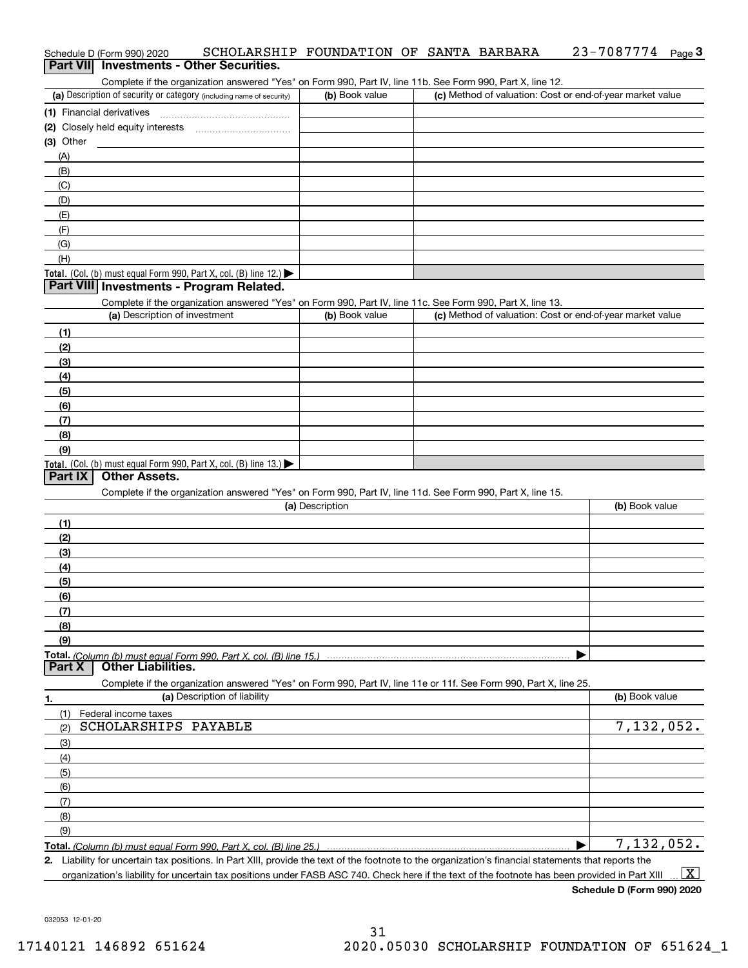| Schedule D (Form 990) 2020 | SCHOLARSHIP FOUNDATION OF SANTA BARBARA         |  |  | $23 - 7087774$ Page 3 |  |
|----------------------------|-------------------------------------------------|--|--|-----------------------|--|
|                            | <b>Part VII</b> Investments - Other Securities. |  |  |                       |  |

Complete if the organization answered "Yes" on Form 990, Part IV, line 11b. See Form 990, Part X, line 12.

| (a) Description of security or category (including name of security)                          | (b) Book value | (c) Method of valuation: Cost or end-of-year market value |
|-----------------------------------------------------------------------------------------------|----------------|-----------------------------------------------------------|
| (1) Financial derivatives                                                                     |                |                                                           |
| (2) Closely held equity interests                                                             |                |                                                           |
| $(3)$ Other                                                                                   |                |                                                           |
| (A)                                                                                           |                |                                                           |
| (B)                                                                                           |                |                                                           |
| (C)                                                                                           |                |                                                           |
| (D)                                                                                           |                |                                                           |
| (E)                                                                                           |                |                                                           |
|                                                                                               |                |                                                           |
| (G)                                                                                           |                |                                                           |
| (H)                                                                                           |                |                                                           |
| <b>Total.</b> (Col. (b) must equal Form 990, Part X, col. (B) line 12.) $\blacktriangleright$ |                |                                                           |

#### **Part VIII Investments - Program Related.**

Complete if the organization answered "Yes" on Form 990, Part IV, line 11c. See Form 990, Part X, line 13.

| (a) Description of investment                                       | (b) Book value | (c) Method of valuation: Cost or end-of-year market value |
|---------------------------------------------------------------------|----------------|-----------------------------------------------------------|
| (1)                                                                 |                |                                                           |
| (2)                                                                 |                |                                                           |
| $\frac{1}{2}$                                                       |                |                                                           |
| (4)                                                                 |                |                                                           |
| $\left(5\right)$                                                    |                |                                                           |
| (6)                                                                 |                |                                                           |
| (7)                                                                 |                |                                                           |
| (8)                                                                 |                |                                                           |
| (9)                                                                 |                |                                                           |
| Total. (Col. (b) must equal Form 990, Part X, col. (B) line $13.$ ) |                |                                                           |

### **Part IX Other Assets.**

Complete if the organization answered "Yes" on Form 990, Part IV, line 11d. See Form 990, Part X, line 15.

| (a) Description | (b) Book value |
|-----------------|----------------|
| (1)             |                |
| (2)             |                |
| (3)             |                |
| (4)             |                |
| (5)             |                |
| (6)             |                |
|                 |                |
| (8)             |                |
| (9)             |                |
|                 |                |
|                 |                |

**1. (a)** Description of liability **Book value** Book value Book value Book value Book value Complete if the organization answered "Yes" on Form 990, Part IV, line 11e or 11f. See Form 990, Part X, line 25. (1)Federal income taxes (2)(3)(4)(5) (6)(7)(8)(9) $\blacktriangleright$ SCHOLARSHIPS PAYABLE 7,132,052. 7,132,052.

**Total.**  *(Column (b) must equal Form 990, Part X, col. (B) line 25.)* 

**2.**Liability for uncertain tax positions. In Part XIII, provide the text of the footnote to the organization's financial statements that reports the organization's liability for uncertain tax positions under FASB ASC 740. Check here if the text of the footnote has been provided in Part XIII  $\boxed{\text{X}}$ 

**Schedule D (Form 990) 2020**

032053 12-01-20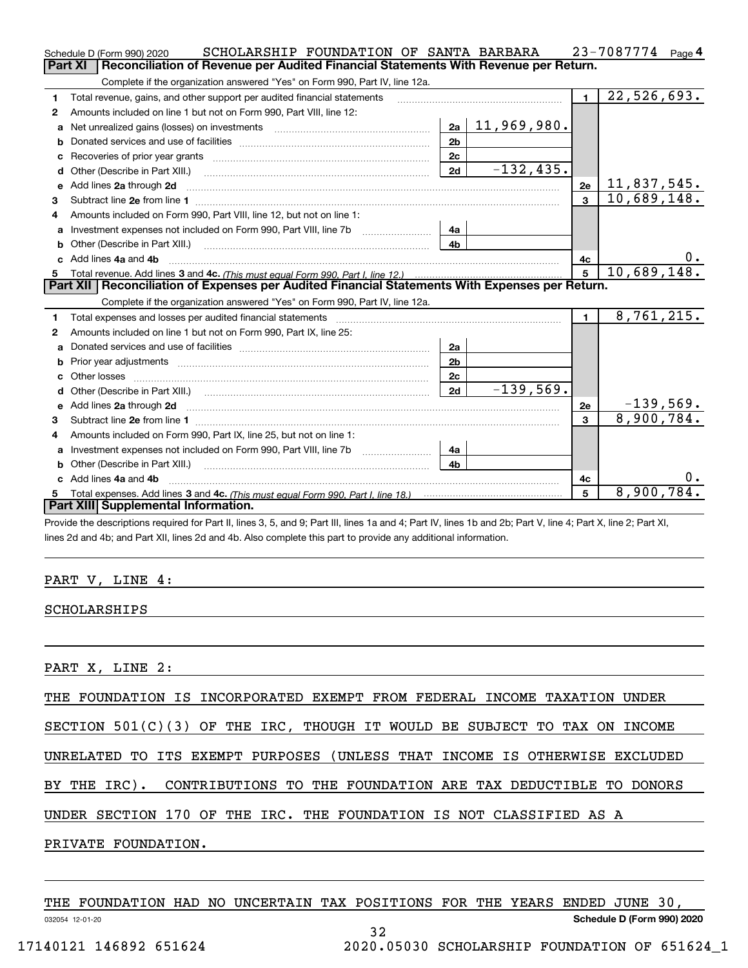|    | SCHOLARSHIP FOUNDATION OF SANTA BARBARA<br>Schedule D (Form 990) 2020                                                                                                                                                               |                |                    |                | 23-7087774<br>Page 4        |
|----|-------------------------------------------------------------------------------------------------------------------------------------------------------------------------------------------------------------------------------------|----------------|--------------------|----------------|-----------------------------|
|    | <b>Part XI</b><br>Reconciliation of Revenue per Audited Financial Statements With Revenue per Return.                                                                                                                               |                |                    |                |                             |
|    | Complete if the organization answered "Yes" on Form 990, Part IV, line 12a.                                                                                                                                                         |                |                    |                |                             |
| 1  | Total revenue, gains, and other support per audited financial statements                                                                                                                                                            |                |                    | $\blacksquare$ | $\overline{22}$ , 526, 693. |
| 2  | Amounts included on line 1 but not on Form 990, Part VIII, line 12:                                                                                                                                                                 |                |                    |                |                             |
| a  | Net unrealized gains (losses) on investments [11] matter contracts and the unrealized gains (losses) on investments                                                                                                                 | 2a             | <u>11,969,980.</u> |                |                             |
| b  |                                                                                                                                                                                                                                     | 2 <sub>b</sub> |                    |                |                             |
|    |                                                                                                                                                                                                                                     | 2c             |                    |                |                             |
| d  | Other (Describe in Part XIII.) <b>Construction Contract Construction</b> Chemical Construction Chemical Chemical Chemical Chemical Chemical Chemical Chemical Chemical Chemical Chemical Chemical Chemical Chemical Chemical Chemic | 2d             | $-132, 435.$       |                |                             |
| е  | Add lines 2a through 2d                                                                                                                                                                                                             |                |                    | 2e             | 11,837,545.                 |
| 3  |                                                                                                                                                                                                                                     |                |                    | $\mathbf{3}$   | 10,689,148.                 |
| 4  | Amounts included on Form 990, Part VIII, line 12, but not on line 1:                                                                                                                                                                |                |                    |                |                             |
|    |                                                                                                                                                                                                                                     | 4а             |                    |                |                             |
|    |                                                                                                                                                                                                                                     | 4 <sub>b</sub> |                    |                |                             |
| c. | Add lines 4a and 4b                                                                                                                                                                                                                 |                |                    | 4c             |                             |
|    |                                                                                                                                                                                                                                     |                |                    | 5              | 10,689,148.                 |
|    |                                                                                                                                                                                                                                     |                |                    |                |                             |
|    | Part XII   Reconciliation of Expenses per Audited Financial Statements With Expenses per Return.                                                                                                                                    |                |                    |                |                             |
|    | Complete if the organization answered "Yes" on Form 990, Part IV, line 12a.                                                                                                                                                         |                |                    |                |                             |
| 1  | Total expenses and losses per audited financial statements                                                                                                                                                                          |                |                    | $\mathbf{1}$   | 8,761,215.                  |
| 2  | Amounts included on line 1 but not on Form 990, Part IX, line 25:                                                                                                                                                                   |                |                    |                |                             |
| a  |                                                                                                                                                                                                                                     | 2a             |                    |                |                             |
|    |                                                                                                                                                                                                                                     | 2 <sub>b</sub> |                    |                |                             |
|    |                                                                                                                                                                                                                                     | 2 <sub>c</sub> |                    |                |                             |
|    |                                                                                                                                                                                                                                     | 2d             | $-139,569.$        |                |                             |
|    | Add lines 2a through 2d <b>contained a contained a contained a contained a</b> contained a contact the state of the state of the state of the state of the state of the state of the state of the state of the state of the state o |                |                    | 2е             | $-139,569.$                 |
| 3  |                                                                                                                                                                                                                                     |                |                    | 3              | 8,900,784.                  |
| 4  | Amounts included on Form 990, Part IX, line 25, but not on line 1:                                                                                                                                                                  |                |                    |                |                             |
| a  |                                                                                                                                                                                                                                     | 4a             |                    |                |                             |
|    | <b>b</b> Other (Describe in Part XIII.)                                                                                                                                                                                             | 4b             |                    |                |                             |
| c  | Add lines 4a and 4b                                                                                                                                                                                                                 |                |                    | 4c             | 0.                          |
|    | Part XIII Supplemental Information.                                                                                                                                                                                                 |                |                    | 5              | 8,900,784.                  |

Provide the descriptions required for Part II, lines 3, 5, and 9; Part III, lines 1a and 4; Part IV, lines 1b and 2b; Part V, line 4; Part X, line 2; Part XI, lines 2d and 4b; and Part XII, lines 2d and 4b. Also complete this part to provide any additional information.

### PART V, LINE 4:

SCHOLARSHIPS

PART X, LINE 2:

THE FOUNDATION IS INCORPORATED EXEMPT FROM FEDERAL INCOME TAXATION UNDER

SECTION  $501(C)(3)$  OF THE IRC, THOUGH IT WOULD BE SUBJECT TO TAX ON INCOME

UNRELATED TO ITS EXEMPT PURPOSES (UNLESS THAT INCOME IS OTHERWISE EXCLUDED

BY THE IRC). CONTRIBUTIONS TO THE FOUNDATION ARE TAX DEDUCTIBLE TO DONORS

UNDER SECTION 170 OF THE IRC. THE FOUNDATION IS NOT CLASSIFIED AS A

PRIVATE FOUNDATION.

|                        |  | THE FOUNDATION HAD NO UNCERTAIN TAX POSITIONS FOR THE YEARS ENDED JUNE 30. |                                               |  |  |                            |  |
|------------------------|--|----------------------------------------------------------------------------|-----------------------------------------------|--|--|----------------------------|--|
| 032054 12-01-20        |  |                                                                            |                                               |  |  | Schedule D (Form 990) 2020 |  |
|                        |  |                                                                            |                                               |  |  |                            |  |
| 17140121 146892 651624 |  |                                                                            | 2020.05030 SCHOLARSHIP FOUNDATION OF 651624 1 |  |  |                            |  |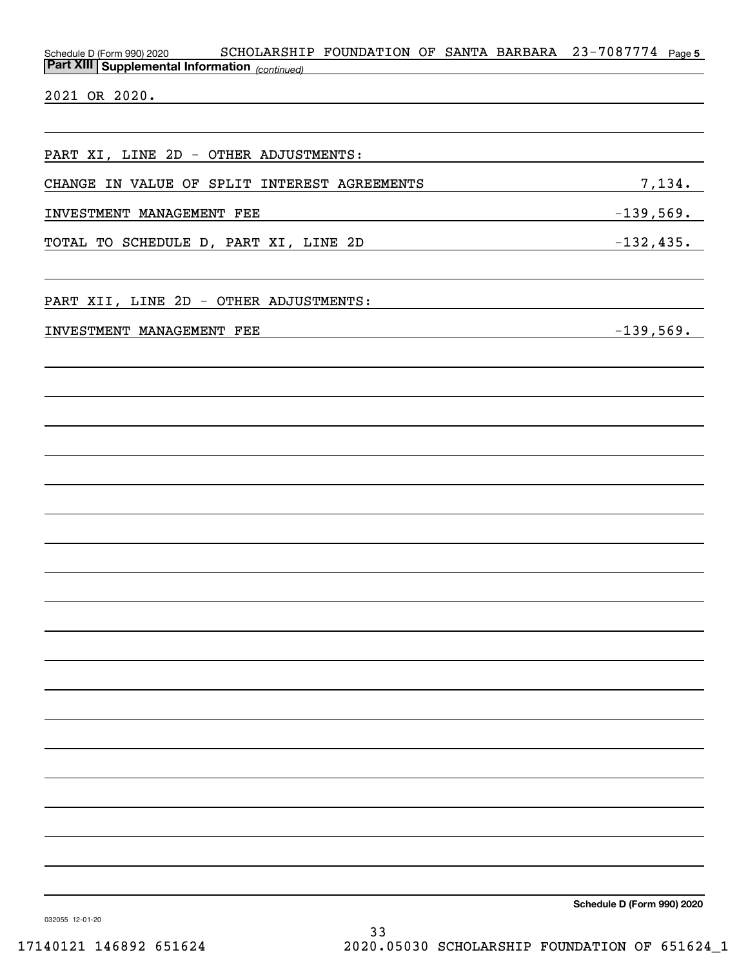Schedule D (Form 990) 2020 SCHOLARSHIP FOUNDATION OF SANTA BARBARA 23-7087774 Page 5 *(continued)* **Part XIII Supplemental Information**  2021 OR 2020. PART XI, LINE 2D - OTHER ADJUSTMENTS: CHANGE IN VALUE OF SPLIT INTEREST AGREEMENTS 7,134. INVESTMENT MANAGEMENT FEE  $-139,569$ . TOTAL TO SCHEDULE D, PART XI, LINE 2D  $-132,435$ . PART XII, LINE 2D - OTHER ADJUSTMENTS: INVESTMENT MANAGEMENT FEE  $-139,569$ .

**Schedule D (Form 990) 2020**

032055 12-01-20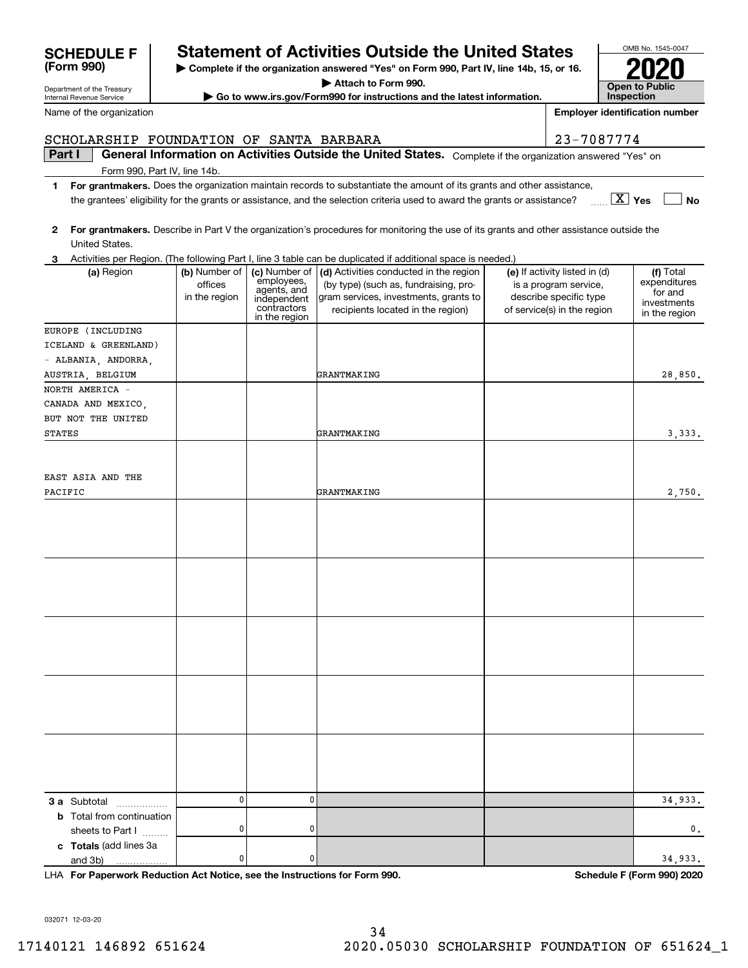| Name of the organization                |               |                            |                                                                                                                                         | <b>Employer identification number</b> |                                    |
|-----------------------------------------|---------------|----------------------------|-----------------------------------------------------------------------------------------------------------------------------------------|---------------------------------------|------------------------------------|
| SCHOLARSHIP FOUNDATION OF SANTA BARBARA |               |                            |                                                                                                                                         | 23-7087774                            |                                    |
| Part I                                  |               |                            | General Information on Activities Outside the United States. Complete if the organization answered "Yes" on                             |                                       |                                    |
| Form 990, Part IV, line 14b.            |               |                            |                                                                                                                                         |                                       |                                    |
| 1                                       |               |                            | For grantmakers. Does the organization maintain records to substantiate the amount of its grants and other assistance,                  |                                       |                                    |
|                                         |               |                            | the grantees' eligibility for the grants or assistance, and the selection criteria used to award the grants or assistance?              |                                       | $\boxed{\text{X}}$ Yes<br><b>N</b> |
|                                         |               |                            |                                                                                                                                         |                                       |                                    |
| 2                                       |               |                            | For grantmakers. Describe in Part V the organization's procedures for monitoring the use of its grants and other assistance outside the |                                       |                                    |
| United States.                          |               |                            |                                                                                                                                         |                                       |                                    |
| 3                                       |               |                            | Activities per Region. (The following Part I, line 3 table can be duplicated if additional space is needed.)                            |                                       |                                    |
| (a) Region                              | (b) Number of | (c) Number of              | (d) Activities conducted in the region                                                                                                  | (e) If activity listed in (d)         | (f) Total                          |
|                                         | offices       | employees,<br>agents, and  | (by type) (such as, fundraising, pro-                                                                                                   | is a program service,                 | expenditures<br>for and            |
|                                         | in the region | independent<br>contractors | gram services, investments, grants to                                                                                                   | describe specific type                | investments                        |
|                                         |               | in the region              | recipients located in the region)                                                                                                       | of service(s) in the region           | in the region                      |
| EUROPE (INCLUDING                       |               |                            |                                                                                                                                         |                                       |                                    |
| ICELAND & GREENLAND)                    |               |                            |                                                                                                                                         |                                       |                                    |
| - ALBANIA, ANDORRA,                     |               |                            |                                                                                                                                         |                                       |                                    |
| AUSTRIA, BELGIUM                        |               |                            | GRANTMAKING                                                                                                                             |                                       | 28,850                             |
| NORTH AMERICA -                         |               |                            |                                                                                                                                         |                                       |                                    |
| CANADA AND MEXICO.                      |               |                            |                                                                                                                                         |                                       |                                    |
| BUT NOT THE UNITED                      |               |                            |                                                                                                                                         |                                       |                                    |
| <b>STATES</b>                           |               |                            | GRANTMAKING                                                                                                                             |                                       | 3,333                              |
|                                         |               |                            |                                                                                                                                         |                                       |                                    |
|                                         |               |                            |                                                                                                                                         |                                       |                                    |
| EAST ASIA AND THE                       |               |                            |                                                                                                                                         |                                       |                                    |

## **SCHEDULE F Statement of Activities Outside the United States**

**| Complete if the organization answered "Yes" on Form 990, Part IV, line 14b, 15, or 16.**

**| Attach to Form 990.**

**| Go to www.irs.gov/Form990 for instructions and the latest information.**

OMB No. 1545-0047 **Open to Public Inspection2020**

28,850.

3,333.

2,750.

**Employer identification number**

| <b>SCHEDULE</b> |  |
|-----------------|--|
| (Form 990)      |  |

PACIFIC

Department of the Treasury Internal Revenue Service

## SCHOLARS

GRANTMAKING

| a Subtotal<br>.<br><b>b</b> Total from continuation<br>sheets to Part I | 0<br><sup>n</sup> |  | 34,933.<br>$\mathsf{0}$ . |
|-------------------------------------------------------------------------|-------------------|--|---------------------------|
| c Totals (add lines 3a<br>and 3b)<br>.                                  |                   |  | 34,933.                   |

**For Paperwork Reduction Act Notice, see the Instructions for Form 990. Schedule F (Form 990) 2020** LHA

34,933.

34,933.

032071 12-03-20

**3 a b**

**<sup>2</sup>For grant United St**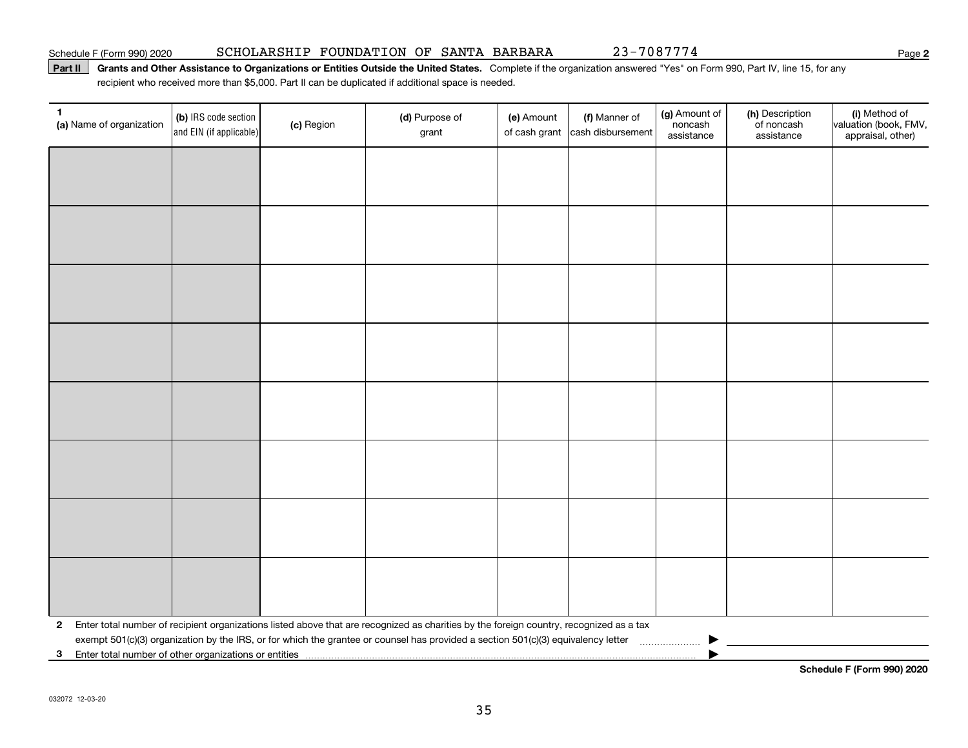Schedule F (Form 990) 2020 **SCHOLARSHIP FOUNDATION OF SANTA BARBARA** 23-7087774

#### Part II | Grants and Other Assistance to Organizations or Entities Outside the United States. Complete if the organization answered "Yes" on Form 990, Part IV, line 15, for any recipient who received more than \$5,000. Part II can be duplicated if additional space is needed.

| 1<br>(a) Name of organization                           | (b) IRS code section<br>and EIN (if applicable) | (c) Region | (d) Purpose of<br>grant                                                                                                                 | (e) Amount<br>of cash grant | (f) Manner of<br>cash disbursement | (g) Amount of<br>noncash<br>assistance | (h) Description<br>of noncash<br>assistance | (i) Method of<br>valuation (book, FMV,<br>appraisal, other) |
|---------------------------------------------------------|-------------------------------------------------|------------|-----------------------------------------------------------------------------------------------------------------------------------------|-----------------------------|------------------------------------|----------------------------------------|---------------------------------------------|-------------------------------------------------------------|
|                                                         |                                                 |            |                                                                                                                                         |                             |                                    |                                        |                                             |                                                             |
|                                                         |                                                 |            |                                                                                                                                         |                             |                                    |                                        |                                             |                                                             |
|                                                         |                                                 |            |                                                                                                                                         |                             |                                    |                                        |                                             |                                                             |
|                                                         |                                                 |            |                                                                                                                                         |                             |                                    |                                        |                                             |                                                             |
|                                                         |                                                 |            |                                                                                                                                         |                             |                                    |                                        |                                             |                                                             |
|                                                         |                                                 |            |                                                                                                                                         |                             |                                    |                                        |                                             |                                                             |
|                                                         |                                                 |            |                                                                                                                                         |                             |                                    |                                        |                                             |                                                             |
|                                                         |                                                 |            |                                                                                                                                         |                             |                                    |                                        |                                             |                                                             |
|                                                         |                                                 |            |                                                                                                                                         |                             |                                    |                                        |                                             |                                                             |
|                                                         |                                                 |            |                                                                                                                                         |                             |                                    |                                        |                                             |                                                             |
|                                                         |                                                 |            |                                                                                                                                         |                             |                                    |                                        |                                             |                                                             |
|                                                         |                                                 |            |                                                                                                                                         |                             |                                    |                                        |                                             |                                                             |
|                                                         |                                                 |            |                                                                                                                                         |                             |                                    |                                        |                                             |                                                             |
|                                                         |                                                 |            |                                                                                                                                         |                             |                                    |                                        |                                             |                                                             |
|                                                         |                                                 |            |                                                                                                                                         |                             |                                    |                                        |                                             |                                                             |
|                                                         |                                                 |            |                                                                                                                                         |                             |                                    |                                        |                                             |                                                             |
| $\mathbf{2}$                                            |                                                 |            | Enter total number of recipient organizations listed above that are recognized as charities by the foreign country, recognized as a tax |                             |                                    |                                        |                                             |                                                             |
|                                                         |                                                 |            | exempt 501(c)(3) organization by the IRS, or for which the grantee or counsel has provided a section 501(c)(3) equivalency letter       |                             |                                    |                                        |                                             |                                                             |
| 3 Enter total number of other organizations or entities |                                                 |            |                                                                                                                                         |                             |                                    |                                        |                                             |                                                             |

**Schedule F (Form 990) 2020**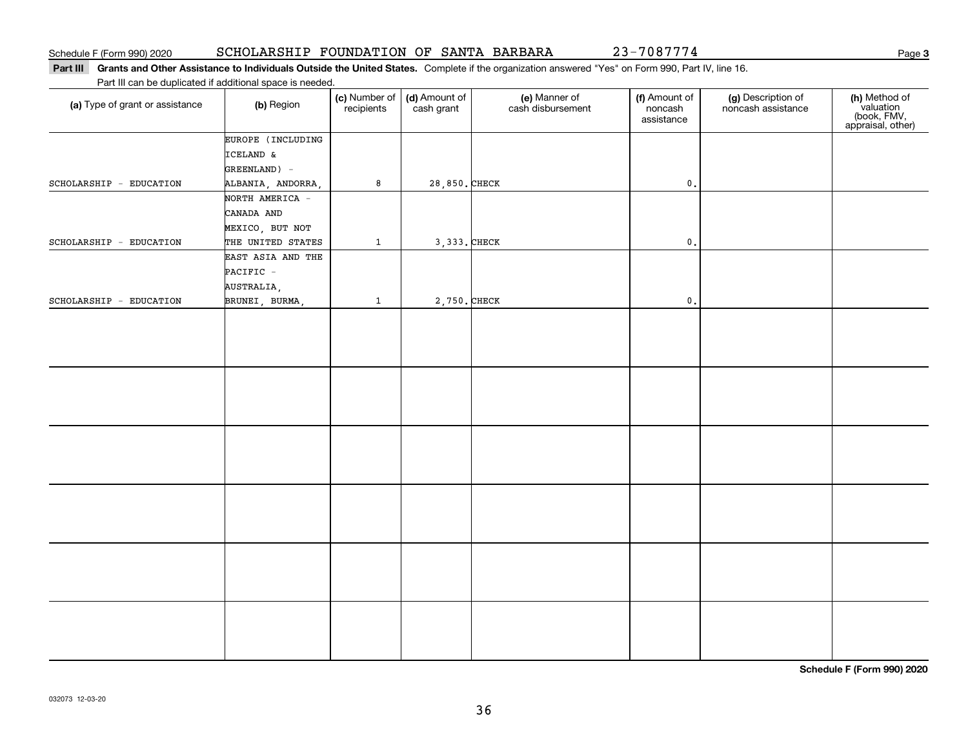#### Part III Grants and Other Assistance to Individuals Outside the United States. Complete if the organization answered "Yes" on Form 990, Part IV, line 16. Part III can be duplicated if additional space is needed.

| Part III can be duplicated if additional space is needed. |                   |                             |                             |                                    |                                        |                                          |                                                                |
|-----------------------------------------------------------|-------------------|-----------------------------|-----------------------------|------------------------------------|----------------------------------------|------------------------------------------|----------------------------------------------------------------|
| (a) Type of grant or assistance                           | (b) Region        | (c) Number of<br>recipients | (d) Amount of<br>cash grant | (e) Manner of<br>cash disbursement | (f) Amount of<br>noncash<br>assistance | (g) Description of<br>noncash assistance | (h) Method of<br>valuation<br>(book, FMV,<br>appraisal, other) |
|                                                           | EUROPE (INCLUDING |                             |                             |                                    |                                        |                                          |                                                                |
|                                                           | ICELAND &         |                             |                             |                                    |                                        |                                          |                                                                |
|                                                           | GREENLAND) -      |                             |                             |                                    |                                        |                                          |                                                                |
| SCHOLARSHIP - EDUCATION                                   | ALBANIA, ANDORRA, | 8                           | 28,850. CHECK               |                                    | $\mathfrak o$ .                        |                                          |                                                                |
|                                                           | NORTH AMERICA -   |                             |                             |                                    |                                        |                                          |                                                                |
|                                                           | CANADA AND        |                             |                             |                                    |                                        |                                          |                                                                |
|                                                           | MEXICO, BUT NOT   |                             |                             |                                    |                                        |                                          |                                                                |
| SCHOLARSHIP - EDUCATION                                   | THE UNITED STATES | $\mathbf{1}$                | $3,333.$ CHECK              |                                    | $\mathfrak{o}$ .                       |                                          |                                                                |
|                                                           | EAST ASIA AND THE |                             |                             |                                    |                                        |                                          |                                                                |
|                                                           | PACIFIC -         |                             |                             |                                    |                                        |                                          |                                                                |
|                                                           | AUSTRALIA,        |                             |                             |                                    |                                        |                                          |                                                                |
| SCHOLARSHIP - EDUCATION                                   | BRUNEI, BURMA,    | $\mathbf{1}$                | 2,750. CHECK                |                                    | $\mathfrak o$ .                        |                                          |                                                                |
|                                                           |                   |                             |                             |                                    |                                        |                                          |                                                                |
|                                                           |                   |                             |                             |                                    |                                        |                                          |                                                                |
|                                                           |                   |                             |                             |                                    |                                        |                                          |                                                                |
|                                                           |                   |                             |                             |                                    |                                        |                                          |                                                                |
|                                                           |                   |                             |                             |                                    |                                        |                                          |                                                                |
|                                                           |                   |                             |                             |                                    |                                        |                                          |                                                                |
|                                                           |                   |                             |                             |                                    |                                        |                                          |                                                                |
|                                                           |                   |                             |                             |                                    |                                        |                                          |                                                                |
|                                                           |                   |                             |                             |                                    |                                        |                                          |                                                                |
|                                                           |                   |                             |                             |                                    |                                        |                                          |                                                                |
|                                                           |                   |                             |                             |                                    |                                        |                                          |                                                                |
|                                                           |                   |                             |                             |                                    |                                        |                                          |                                                                |
|                                                           |                   |                             |                             |                                    |                                        |                                          |                                                                |
|                                                           |                   |                             |                             |                                    |                                        |                                          |                                                                |
|                                                           |                   |                             |                             |                                    |                                        |                                          |                                                                |
|                                                           |                   |                             |                             |                                    |                                        |                                          |                                                                |
|                                                           |                   |                             |                             |                                    |                                        |                                          |                                                                |
|                                                           |                   |                             |                             |                                    |                                        |                                          |                                                                |
|                                                           |                   |                             |                             |                                    |                                        |                                          |                                                                |
|                                                           |                   |                             |                             |                                    |                                        |                                          |                                                                |
|                                                           |                   |                             |                             |                                    |                                        |                                          |                                                                |
|                                                           |                   |                             |                             |                                    |                                        |                                          |                                                                |
|                                                           |                   |                             |                             |                                    |                                        |                                          |                                                                |
|                                                           |                   |                             |                             |                                    |                                        |                                          |                                                                |

**Schedule F (Form 990) 2020**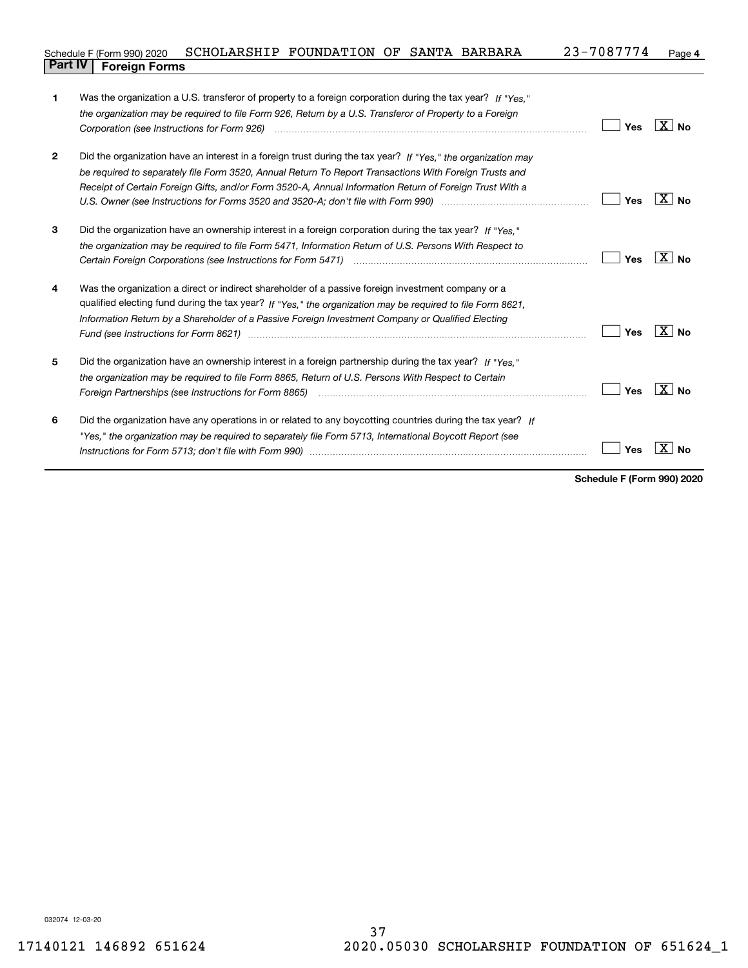| Schedule F (Form 990) 2020     | SCHOLARSHIP FOUNDATION OF SANTA BARBARA |  |  | 23-7087774 | Page 4 |
|--------------------------------|-----------------------------------------|--|--|------------|--------|
| <b>Part IV   Foreign Forms</b> |                                         |  |  |            |        |

| 1            | Was the organization a U.S. transferor of property to a foreign corporation during the tax year? If "Yes."                                                                                                                     |     |                                      |
|--------------|--------------------------------------------------------------------------------------------------------------------------------------------------------------------------------------------------------------------------------|-----|--------------------------------------|
|              | the organization may be required to file Form 926, Return by a U.S. Transferor of Property to a Foreign                                                                                                                        |     |                                      |
|              |                                                                                                                                                                                                                                | Yes | $\overline{\mathbf{X}}$<br><b>No</b> |
|              |                                                                                                                                                                                                                                |     |                                      |
| $\mathbf{2}$ | Did the organization have an interest in a foreign trust during the tax year? If "Yes," the organization may                                                                                                                   |     |                                      |
|              | be required to separately file Form 3520, Annual Return To Report Transactions With Foreign Trusts and                                                                                                                         |     |                                      |
|              | Receipt of Certain Foreign Gifts, and/or Form 3520-A, Annual Information Return of Foreign Trust With a                                                                                                                        |     |                                      |
|              |                                                                                                                                                                                                                                | Yes | $X$ No                               |
|              |                                                                                                                                                                                                                                |     |                                      |
| 3            | Did the organization have an ownership interest in a foreign corporation during the tax year? If "Yes."                                                                                                                        |     |                                      |
|              | the organization may be required to file Form 5471, Information Return of U.S. Persons With Respect to                                                                                                                         |     |                                      |
|              |                                                                                                                                                                                                                                | Yes | $\overline{X}$ No                    |
| 4            | Was the organization a direct or indirect shareholder of a passive foreign investment company or a                                                                                                                             |     |                                      |
|              | qualified electing fund during the tax year? If "Yes," the organization may be required to file Form 8621,                                                                                                                     |     |                                      |
|              | Information Return by a Shareholder of a Passive Foreign Investment Company or Qualified Electing                                                                                                                              |     |                                      |
|              | Fund (see Instructions for Form 8621) manufactured control to the form of the state of the control of the state of the state of the state of the state of the state of the state of the state of the state of the state of the | Yes | $\mathbf{x}$<br><b>No</b>            |
|              |                                                                                                                                                                                                                                |     |                                      |
| 5            | Did the organization have an ownership interest in a foreign partnership during the tax year? If "Yes."                                                                                                                        |     |                                      |
|              | the organization may be required to file Form 8865, Return of U.S. Persons With Respect to Certain                                                                                                                             |     |                                      |
|              | Foreign Partnerships (see Instructions for Form 8865) manufactured content content content of the content of t                                                                                                                 | Yes | $\mathbf{X}$<br><b>No</b>            |
| 6            | Did the organization have any operations in or related to any boycotting countries during the tax year? If                                                                                                                     |     |                                      |
|              | "Yes," the organization may be required to separately file Form 5713, International Boycott Report (see                                                                                                                        |     |                                      |
|              |                                                                                                                                                                                                                                | Yes | x.<br><b>No</b>                      |
|              |                                                                                                                                                                                                                                |     |                                      |

**Schedule F (Form 990) 2020**

032074 12-03-20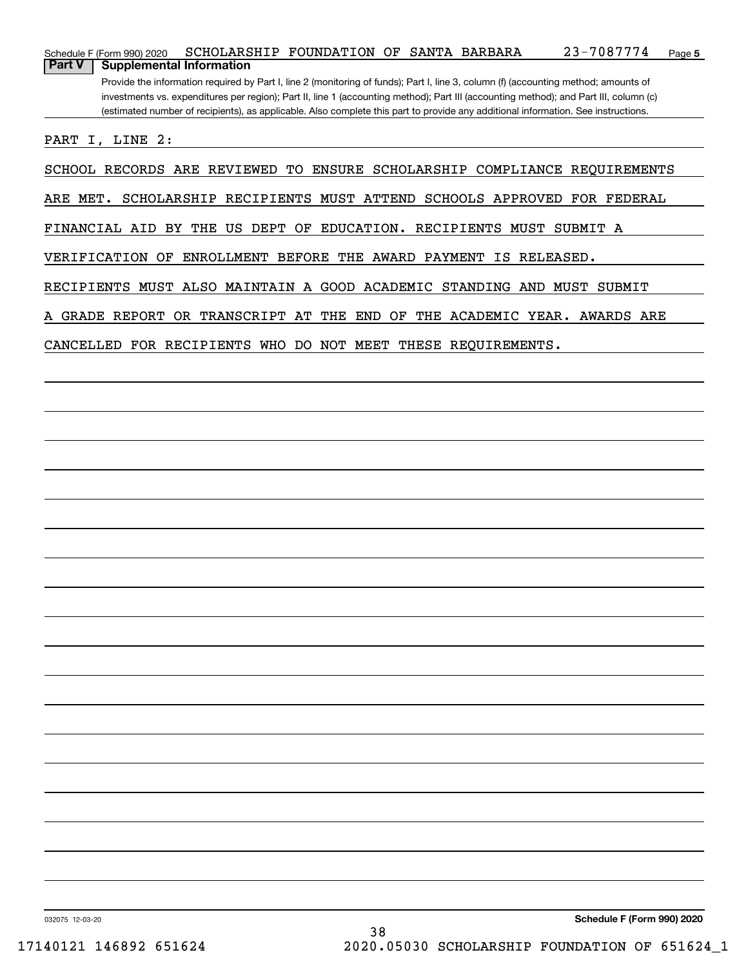|        | Schedule F (Form 990) 2020                                                                                                            | SCHOLARSHIP FOUNDATION OF SANTA BARBARA |  |  |  |  | 23-7087774                                                                                                                          | Page 5 |
|--------|---------------------------------------------------------------------------------------------------------------------------------------|-----------------------------------------|--|--|--|--|-------------------------------------------------------------------------------------------------------------------------------------|--------|
| Part V |                                                                                                                                       | <b>Supplemental Information</b>         |  |  |  |  |                                                                                                                                     |        |
|        |                                                                                                                                       |                                         |  |  |  |  | Provide the information required by Part I, line 2 (monitoring of funds); Part I, line 3, column (f) (accounting method; amounts of |        |
|        | investments vs. expenditures per region); Part II, line 1 (accounting method); Part III (accounting method); and Part III, column (c) |                                         |  |  |  |  |                                                                                                                                     |        |
|        |                                                                                                                                       |                                         |  |  |  |  | (estimated number of recipients), as applicable. Also complete this part to provide any additional information. See instructions.   |        |
|        | PART I, LINE 2:                                                                                                                       |                                         |  |  |  |  |                                                                                                                                     |        |
|        |                                                                                                                                       |                                         |  |  |  |  |                                                                                                                                     |        |

SCHOOL RECORDS ARE REVIEWED TO ENSURE SCHOLARSHIP COMPLIANCE REQUIREMENTS

ARE MET. SCHOLARSHIP RECIPIENTS MUST ATTEND SCHOOLS APPROVED FOR FEDERAL

FINANCIAL AID BY THE US DEPT OF EDUCATION. RECIPIENTS MUST SUBMIT A

VERIFICATION OF ENROLLMENT BEFORE THE AWARD PAYMENT IS RELEASED.

RECIPIENTS MUST ALSO MAINTAIN A GOOD ACADEMIC STANDING AND MUST SUBMIT

A GRADE REPORT OR TRANSCRIPT AT THE END OF THE ACADEMIC YEAR. AWARDS ARE

CANCELLED FOR RECIPIENTS WHO DO NOT MEET THESE REQUIREMENTS.

**Schedule F (Form 990) 2020**

032075 12-03-20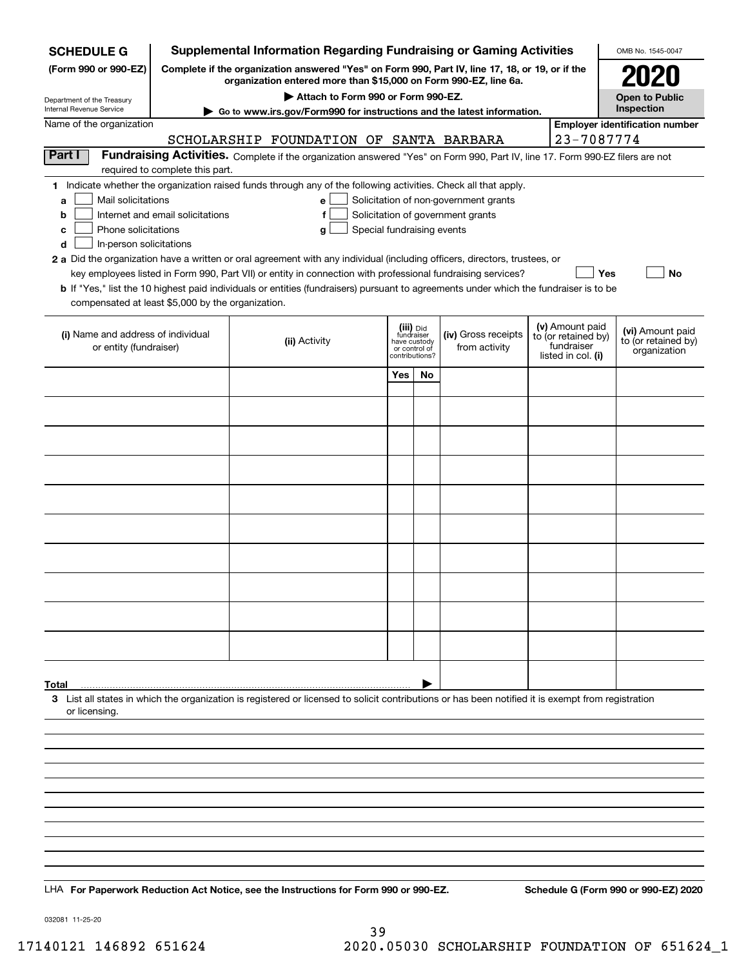| <b>SCHEDULE G</b>                                                                 | <b>Supplemental Information Regarding Fundraising or Gaming Activities</b><br>OMB No. 1545-0047                                                                     |                                                                                                                                                                                                                                                                                                                                                                                           |                                                                                                                    |           |                                                                            |                                                                            |                                                         |                                       |
|-----------------------------------------------------------------------------------|---------------------------------------------------------------------------------------------------------------------------------------------------------------------|-------------------------------------------------------------------------------------------------------------------------------------------------------------------------------------------------------------------------------------------------------------------------------------------------------------------------------------------------------------------------------------------|--------------------------------------------------------------------------------------------------------------------|-----------|----------------------------------------------------------------------------|----------------------------------------------------------------------------|---------------------------------------------------------|---------------------------------------|
| (Form 990 or 990-EZ)                                                              | Complete if the organization answered "Yes" on Form 990, Part IV, line 17, 18, or 19, or if the<br>organization entered more than \$15,000 on Form 990-EZ, line 6a. |                                                                                                                                                                                                                                                                                                                                                                                           |                                                                                                                    |           |                                                                            |                                                                            |                                                         |                                       |
| Department of the Treasury                                                        |                                                                                                                                                                     | Attach to Form 990 or Form 990-EZ.                                                                                                                                                                                                                                                                                                                                                        |                                                                                                                    |           |                                                                            |                                                                            |                                                         | <b>Open to Public</b>                 |
| <b>Internal Revenue Service</b>                                                   |                                                                                                                                                                     | Go to www.irs.gov/Form990 for instructions and the latest information.                                                                                                                                                                                                                                                                                                                    |                                                                                                                    |           |                                                                            |                                                                            |                                                         | Inspection                            |
| Name of the organization                                                          |                                                                                                                                                                     | SCHOLARSHIP FOUNDATION OF SANTA BARBARA                                                                                                                                                                                                                                                                                                                                                   |                                                                                                                    |           |                                                                            |                                                                            | 23-7087774                                              | <b>Employer identification number</b> |
| Part I                                                                            | required to complete this part.                                                                                                                                     | Fundraising Activities. Complete if the organization answered "Yes" on Form 990, Part IV, line 17. Form 990-EZ filers are not                                                                                                                                                                                                                                                             |                                                                                                                    |           |                                                                            |                                                                            |                                                         |                                       |
| Mail solicitations<br>a<br>b<br>Phone solicitations<br>с                          | Internet and email solicitations                                                                                                                                    | 1 Indicate whether the organization raised funds through any of the following activities. Check all that apply.<br>e l<br>f<br>Special fundraising events<br>g                                                                                                                                                                                                                            |                                                                                                                    |           | Solicitation of non-government grants<br>Solicitation of government grants |                                                                            |                                                         |                                       |
| d<br>In-person solicitations<br>compensated at least \$5,000 by the organization. |                                                                                                                                                                     | 2 a Did the organization have a written or oral agreement with any individual (including officers, directors, trustees, or<br>key employees listed in Form 990, Part VII) or entity in connection with professional fundraising services?<br><b>b</b> If "Yes," list the 10 highest paid individuals or entities (fundraisers) pursuant to agreements under which the fundraiser is to be |                                                                                                                    |           |                                                                            |                                                                            | Yes                                                     | No                                    |
| (i) Name and address of individual<br>or entity (fundraiser)                      |                                                                                                                                                                     | (ii) Activity                                                                                                                                                                                                                                                                                                                                                                             | (iii) Did<br>fundraiser<br>(iv) Gross receipts<br>have custody<br>from activity<br>or control of<br>contributions? |           |                                                                            | (v) Amount paid<br>to (or retained by)<br>fundraiser<br>listed in col. (i) | (vi) Amount paid<br>to (or retained by)<br>organization |                                       |
|                                                                                   |                                                                                                                                                                     |                                                                                                                                                                                                                                                                                                                                                                                           | Yes                                                                                                                | <b>No</b> |                                                                            |                                                                            |                                                         |                                       |
|                                                                                   |                                                                                                                                                                     |                                                                                                                                                                                                                                                                                                                                                                                           |                                                                                                                    |           |                                                                            |                                                                            |                                                         |                                       |
|                                                                                   |                                                                                                                                                                     |                                                                                                                                                                                                                                                                                                                                                                                           |                                                                                                                    |           |                                                                            |                                                                            |                                                         |                                       |
|                                                                                   |                                                                                                                                                                     |                                                                                                                                                                                                                                                                                                                                                                                           |                                                                                                                    |           |                                                                            |                                                                            |                                                         |                                       |
|                                                                                   |                                                                                                                                                                     |                                                                                                                                                                                                                                                                                                                                                                                           |                                                                                                                    |           |                                                                            |                                                                            |                                                         |                                       |
|                                                                                   |                                                                                                                                                                     |                                                                                                                                                                                                                                                                                                                                                                                           |                                                                                                                    |           |                                                                            |                                                                            |                                                         |                                       |
|                                                                                   |                                                                                                                                                                     |                                                                                                                                                                                                                                                                                                                                                                                           |                                                                                                                    |           |                                                                            |                                                                            |                                                         |                                       |
|                                                                                   |                                                                                                                                                                     |                                                                                                                                                                                                                                                                                                                                                                                           |                                                                                                                    |           |                                                                            |                                                                            |                                                         |                                       |
|                                                                                   |                                                                                                                                                                     |                                                                                                                                                                                                                                                                                                                                                                                           |                                                                                                                    |           |                                                                            |                                                                            |                                                         |                                       |
|                                                                                   |                                                                                                                                                                     |                                                                                                                                                                                                                                                                                                                                                                                           |                                                                                                                    |           |                                                                            |                                                                            |                                                         |                                       |
|                                                                                   |                                                                                                                                                                     |                                                                                                                                                                                                                                                                                                                                                                                           |                                                                                                                    |           |                                                                            |                                                                            |                                                         |                                       |
|                                                                                   |                                                                                                                                                                     |                                                                                                                                                                                                                                                                                                                                                                                           |                                                                                                                    |           |                                                                            |                                                                            |                                                         |                                       |
|                                                                                   |                                                                                                                                                                     |                                                                                                                                                                                                                                                                                                                                                                                           |                                                                                                                    |           |                                                                            |                                                                            |                                                         |                                       |
| Total<br>or licensing.                                                            |                                                                                                                                                                     | 3 List all states in which the organization is registered or licensed to solicit contributions or has been notified it is exempt from registration                                                                                                                                                                                                                                        |                                                                                                                    |           |                                                                            |                                                                            |                                                         |                                       |
|                                                                                   |                                                                                                                                                                     |                                                                                                                                                                                                                                                                                                                                                                                           |                                                                                                                    |           |                                                                            |                                                                            |                                                         |                                       |
|                                                                                   |                                                                                                                                                                     |                                                                                                                                                                                                                                                                                                                                                                                           |                                                                                                                    |           |                                                                            |                                                                            |                                                         |                                       |
|                                                                                   |                                                                                                                                                                     |                                                                                                                                                                                                                                                                                                                                                                                           |                                                                                                                    |           |                                                                            |                                                                            |                                                         |                                       |
|                                                                                   |                                                                                                                                                                     |                                                                                                                                                                                                                                                                                                                                                                                           |                                                                                                                    |           |                                                                            |                                                                            |                                                         |                                       |
|                                                                                   |                                                                                                                                                                     |                                                                                                                                                                                                                                                                                                                                                                                           |                                                                                                                    |           |                                                                            |                                                                            |                                                         |                                       |
|                                                                                   |                                                                                                                                                                     |                                                                                                                                                                                                                                                                                                                                                                                           |                                                                                                                    |           |                                                                            |                                                                            |                                                         |                                       |
|                                                                                   |                                                                                                                                                                     |                                                                                                                                                                                                                                                                                                                                                                                           |                                                                                                                    |           |                                                                            |                                                                            |                                                         |                                       |
|                                                                                   |                                                                                                                                                                     | LHA For Paperwork Reduction Act Notice, see the Instructions for Form 990 or 990-EZ.                                                                                                                                                                                                                                                                                                      |                                                                                                                    |           |                                                                            |                                                                            |                                                         | Schedule G (Form 990 or 990-EZ) 2020  |

032081 11-25-20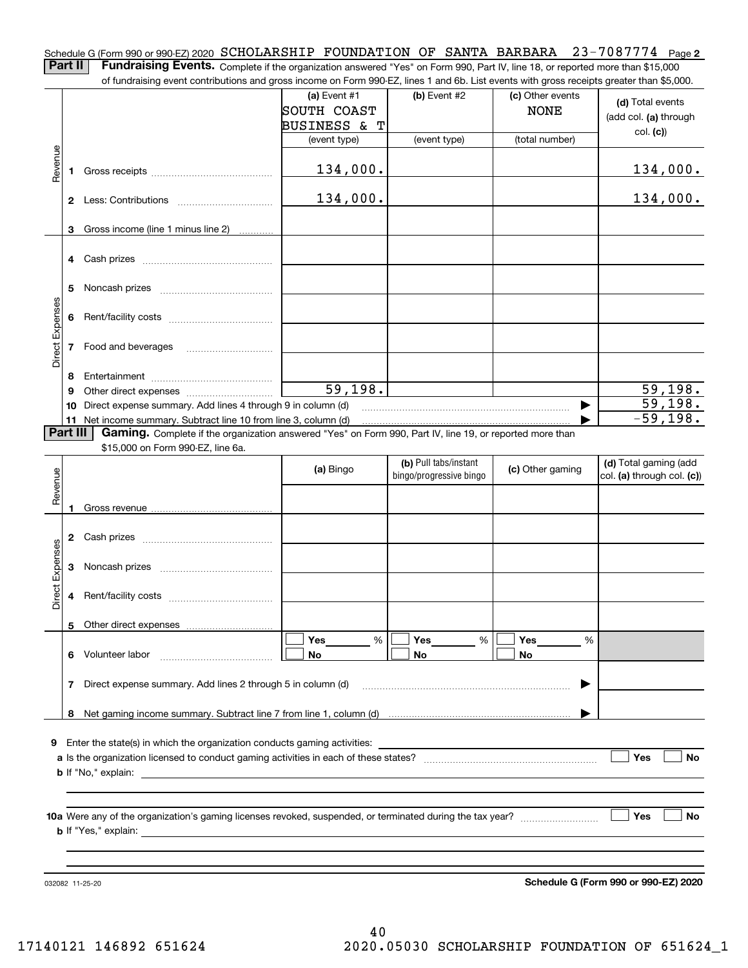23-7087774 Page 2 Schedule G (Form 990 or 990-EZ) 2020 SCHOLARSHIP FOUNDATION OF SANTA BARBARA 23-7087774 Page **Part II** | Fundraising Events. Complete if the organization answered "Yes" on Form 990, Part IV, line 18, or reported more than \$15,000

of fundraising event contributions and gross income on Form 990-EZ, lines 1 and 6b. List events with gross receipts greater than \$5,000. **(a)** Event #1  $\vert$  **(b)** Event #2 (c) Other events **(d)**  Total events SOUTH COAST NONE (add col. **(a)** through BUSINESS & T col. **(c)**) (event type) (event type) (total number) Revenue Revenue 134,000. 134,000. **1**Gross receipts ~~~~~~~~~~~~~~134,000. 134,000. **2** Less: Contributions ................................ Gross income (line 1 minus line 2) **3**. . . . . . . . . . . . **4** Cash prizes <sub>……………………………………</sub> **5** Noncash prizes \_\_\_\_\_\_\_\_\_\_\_\_\_\_\_\_\_\_\_\_\_\_\_\_\_\_\_\_ Direct Expenses Direct Expense **6**Rent/facility costs ~~~~~~~~~~~~**7**Food and beverages **8**Entertainment ~~~~~~~~~~~~~~ 59,198. 59,198. Other direct expenses ~~~~~~~~~~ **9**59,198.  $\blacktriangleright$ **10** Direct expense summary. Add lines 4 through 9 in column (d) -59,198. …… ▶ **11** Net income summary. Subtract line 10 from line 3, column (d) **Part III | Gaming.** Complete if the organization answered "Yes" on Form 990, Part IV, line 19, or reported more than \$15,000 on Form 990-EZ, line 6a. **(b)**  Pull tabs/instant **(d)**  Total gaming (add **(a)**  Revenue Bingo **Contract of Contract Contract Contract Contract Contract Contract Contract Contract Contract Contract Contract Contract Contract Contract Contract Contract Contract Contract Contract Contract Contract Contract Contr** Revenue bingo/progressive bingo col. **(a)** through col. **(c)**) **1**Gross revenue **2** Cash prizes <sub>……………………………………</sub> Direct Expenses Direct Expenses **3**Noncash prizes <sub>………………………………</sub>… **4**Rent/facility costs ~~~~~~~~~~~~**5**Other direct expenses  $\boxed{\Box}$  Yes \_\_\_\_\_\_\_ %  $\boxed{\Box}$  Yes \_\_\_\_\_\_\_ %  $\boxed{\Box}$  $\mathcal{L}^{\text{max}}$ %**Yes Yes Yes** % %  $\mathcal{L}^{\text{max}}$ **6** Volunteer labor **No No No**  $\overline{\phantom{a}}$ **7**Direct expense summary. Add lines 2 through 5 in column (d) ~~~~~~~~~~~~~~~~~~~~~~~~ | …… ▶ **8**Net gaming income summary. Subtract line 7 from line 1, column (d) **9**Enter the state(s) in which the organization conducts gaming activities: **Yes**  $\mathcal{L}^{\text{max}}$ **a**Is the organization licensed to conduct gaming activities in each of these states? ~~~~~~~~~~~~~~~~~~~~ **No b**If "No," explain: **Yes No 10a**Were any of the organization's gaming licenses revoked, suspended, or terminated during the tax year? **b** If "Yes," explain: 032082 11-25-20

**Schedule G (Form 990 or 990-EZ) 2020**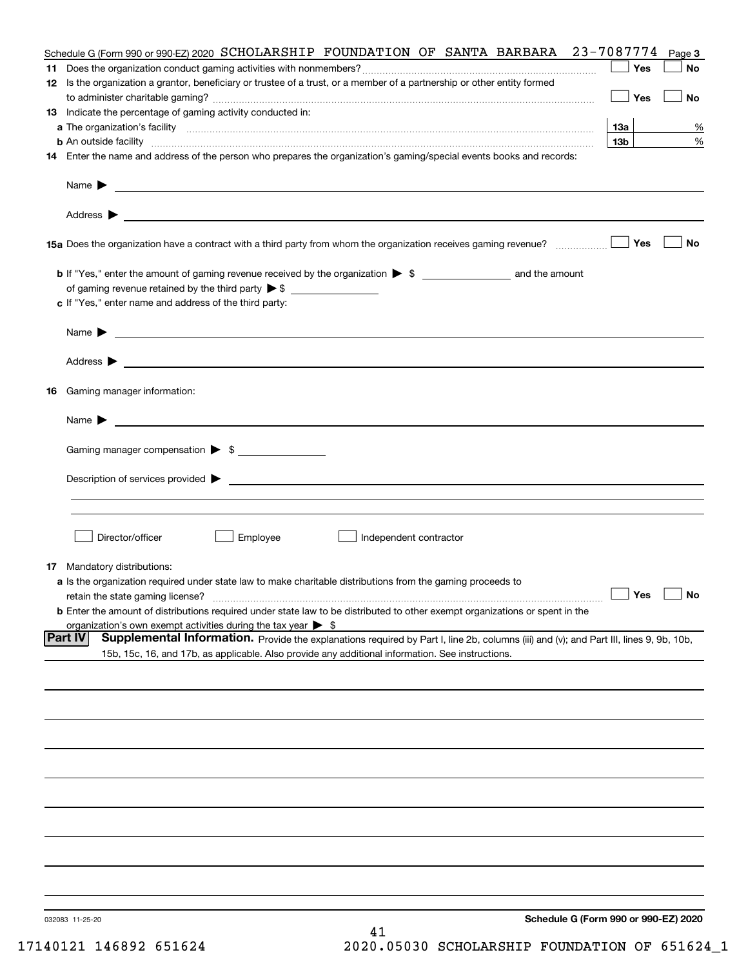| Schedule G (Form 990 or 990-EZ) 2020 SCHOLARSHIP FOUNDATION OF SANTA BARBARA 23-7087774 Page 3                                                                                                  |                 |    |
|-------------------------------------------------------------------------------------------------------------------------------------------------------------------------------------------------|-----------------|----|
|                                                                                                                                                                                                 | Yes             | No |
| 12 Is the organization a grantor, beneficiary or trustee of a trust, or a member of a partnership or other entity formed                                                                        |                 |    |
|                                                                                                                                                                                                 | Yes             | No |
| 13 Indicate the percentage of gaming activity conducted in:                                                                                                                                     |                 |    |
|                                                                                                                                                                                                 | <u>13a</u>      | %  |
| <b>b</b> An outside facility <i>www.communicality www.communicality.communicality www.communicality www.communicality.communicality www.communicality.com</i>                                   | 13 <sub>b</sub> | %  |
| 14 Enter the name and address of the person who prepares the organization's gaming/special events books and records:                                                                            |                 |    |
|                                                                                                                                                                                                 |                 |    |
|                                                                                                                                                                                                 |                 |    |
|                                                                                                                                                                                                 |                 |    |
| 15a Does the organization have a contract with a third party from whom the organization receives gaming revenue?                                                                                | Yes             | No |
|                                                                                                                                                                                                 |                 |    |
| <b>b</b> If "Yes," enter the amount of gaming revenue received by the organization $\triangleright$ \$ ____________________ and the amount                                                      |                 |    |
| c If "Yes," enter name and address of the third party:                                                                                                                                          |                 |    |
|                                                                                                                                                                                                 |                 |    |
| Name $\blacktriangleright$ $\_\_$                                                                                                                                                               |                 |    |
|                                                                                                                                                                                                 |                 |    |
|                                                                                                                                                                                                 |                 |    |
| 16 Gaming manager information:                                                                                                                                                                  |                 |    |
|                                                                                                                                                                                                 |                 |    |
| Name $\triangleright$ $\square$                                                                                                                                                                 |                 |    |
| Gaming manager compensation > \$                                                                                                                                                                |                 |    |
|                                                                                                                                                                                                 |                 |    |
| Description of services provided $\blacktriangleright$ $\_\_$                                                                                                                                   |                 |    |
|                                                                                                                                                                                                 |                 |    |
|                                                                                                                                                                                                 |                 |    |
| Director/officer<br>Employee<br>Independent contractor                                                                                                                                          |                 |    |
|                                                                                                                                                                                                 |                 |    |
| <b>17</b> Mandatory distributions:                                                                                                                                                              |                 |    |
| a Is the organization required under state law to make charitable distributions from the gaming proceeds to                                                                                     |                 |    |
| $\Box$ Yes $\Box$ No<br>retain the state gaming license?<br><b>b</b> Enter the amount of distributions required under state law to be distributed to other exempt organizations or spent in the |                 |    |
| organization's own exempt activities during the tax year $\triangleright$ \$                                                                                                                    |                 |    |
| <b>Part IV</b><br>Supplemental Information. Provide the explanations required by Part I, line 2b, columns (iii) and (v); and Part III, lines 9, 9b, 10b,                                        |                 |    |
| 15b, 15c, 16, and 17b, as applicable. Also provide any additional information. See instructions.                                                                                                |                 |    |
|                                                                                                                                                                                                 |                 |    |
|                                                                                                                                                                                                 |                 |    |
|                                                                                                                                                                                                 |                 |    |
|                                                                                                                                                                                                 |                 |    |
|                                                                                                                                                                                                 |                 |    |
|                                                                                                                                                                                                 |                 |    |
|                                                                                                                                                                                                 |                 |    |
|                                                                                                                                                                                                 |                 |    |
|                                                                                                                                                                                                 |                 |    |
|                                                                                                                                                                                                 |                 |    |
|                                                                                                                                                                                                 |                 |    |
|                                                                                                                                                                                                 |                 |    |
|                                                                                                                                                                                                 |                 |    |
| Schedule G (Form 990 or 990-EZ) 2020<br>032083 11-25-20<br>41                                                                                                                                   |                 |    |

17140121 146892 651624 2020.05030 SCHOLARSHIP FOUNDATION OF 651624\_1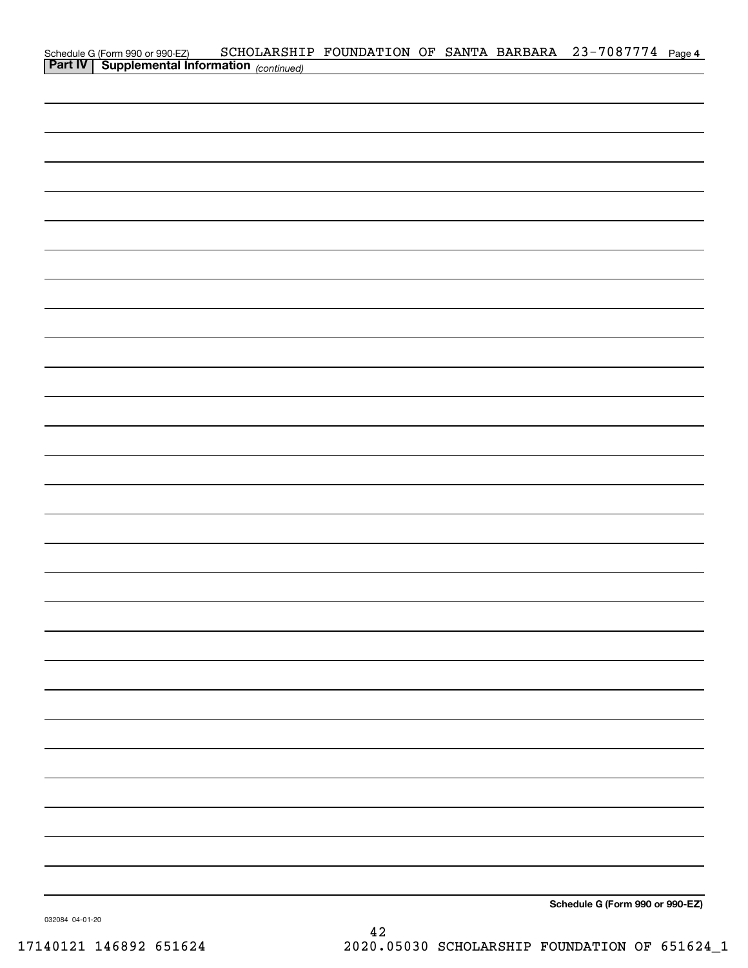| Schedule G (Form 990 or 990-EZ) SCHOLARSHI |  |  | SCHOLARSHIP FOUNDATION OF SANTA BARBARA 23-7087774 Page 4 |  |
|--------------------------------------------|--|--|-----------------------------------------------------------|--|
|                                            |  |  |                                                           |  |
|                                            |  |  |                                                           |  |
|                                            |  |  |                                                           |  |
|                                            |  |  |                                                           |  |
|                                            |  |  |                                                           |  |
|                                            |  |  |                                                           |  |
|                                            |  |  |                                                           |  |
|                                            |  |  |                                                           |  |
|                                            |  |  |                                                           |  |
|                                            |  |  |                                                           |  |
|                                            |  |  |                                                           |  |
|                                            |  |  |                                                           |  |
|                                            |  |  |                                                           |  |
|                                            |  |  |                                                           |  |
|                                            |  |  |                                                           |  |
|                                            |  |  |                                                           |  |
|                                            |  |  |                                                           |  |
|                                            |  |  |                                                           |  |
|                                            |  |  |                                                           |  |
|                                            |  |  |                                                           |  |
|                                            |  |  |                                                           |  |
|                                            |  |  |                                                           |  |
|                                            |  |  |                                                           |  |
|                                            |  |  |                                                           |  |
|                                            |  |  |                                                           |  |
|                                            |  |  |                                                           |  |
|                                            |  |  |                                                           |  |
|                                            |  |  |                                                           |  |
|                                            |  |  |                                                           |  |
|                                            |  |  |                                                           |  |
|                                            |  |  |                                                           |  |
|                                            |  |  |                                                           |  |
|                                            |  |  |                                                           |  |
|                                            |  |  |                                                           |  |
|                                            |  |  |                                                           |  |
|                                            |  |  |                                                           |  |
|                                            |  |  |                                                           |  |
|                                            |  |  |                                                           |  |
|                                            |  |  |                                                           |  |
|                                            |  |  |                                                           |  |
|                                            |  |  |                                                           |  |
|                                            |  |  |                                                           |  |
|                                            |  |  |                                                           |  |
|                                            |  |  |                                                           |  |
|                                            |  |  |                                                           |  |
|                                            |  |  |                                                           |  |
|                                            |  |  |                                                           |  |
|                                            |  |  |                                                           |  |
|                                            |  |  |                                                           |  |
|                                            |  |  | Schedule G (Form 990 or 990-EZ)                           |  |

032084 04-01-20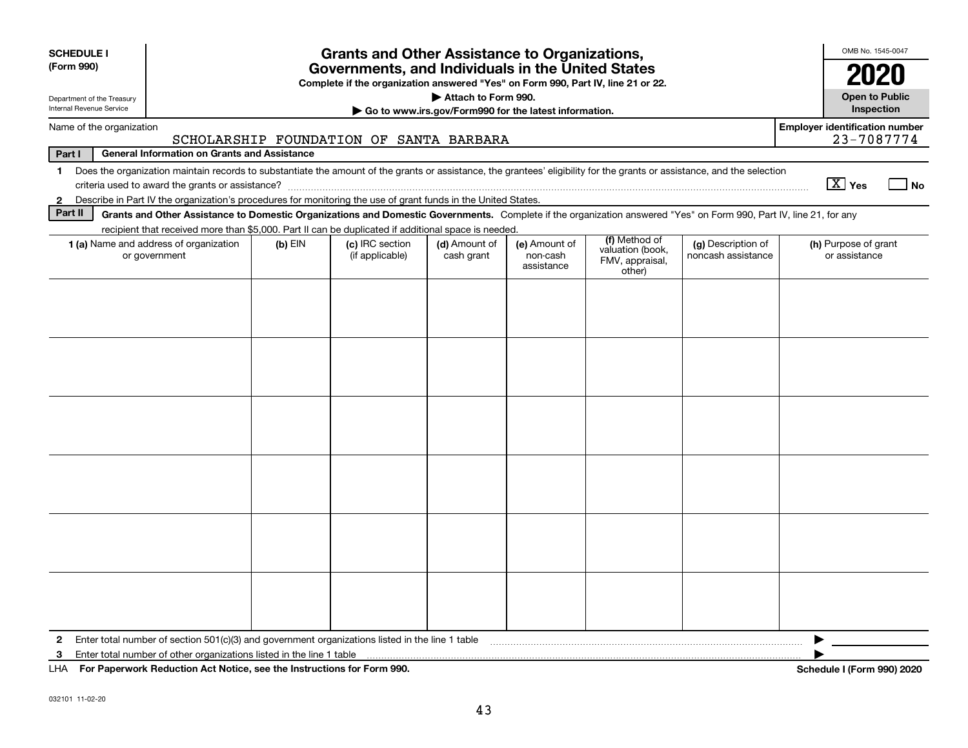| <b>SCHEDULE I</b><br>(Form 990)                        | <b>Grants and Other Assistance to Organizations,</b><br>Governments, and Individuals in the United States<br>Complete if the organization answered "Yes" on Form 990, Part IV, line 21 or 22.<br>Attach to Form 990.                                                                |         |                                         |                                                       |                                         |                                                                |                                          |                                                     |  |
|--------------------------------------------------------|-------------------------------------------------------------------------------------------------------------------------------------------------------------------------------------------------------------------------------------------------------------------------------------|---------|-----------------------------------------|-------------------------------------------------------|-----------------------------------------|----------------------------------------------------------------|------------------------------------------|-----------------------------------------------------|--|
| Department of the Treasury<br>Internal Revenue Service |                                                                                                                                                                                                                                                                                     |         |                                         | Go to www.irs.gov/Form990 for the latest information. |                                         |                                                                |                                          | <b>Open to Public</b><br>Inspection                 |  |
| Name of the organization                               |                                                                                                                                                                                                                                                                                     |         | SCHOLARSHIP FOUNDATION OF SANTA BARBARA |                                                       |                                         |                                                                |                                          | <b>Employer identification number</b><br>23-7087774 |  |
| Part I                                                 | <b>General Information on Grants and Assistance</b>                                                                                                                                                                                                                                 |         |                                         |                                                       |                                         |                                                                |                                          |                                                     |  |
| $\mathbf 1$                                            | Does the organization maintain records to substantiate the amount of the grants or assistance, the grantees' eligibility for the grants or assistance, and the selection                                                                                                            |         |                                         |                                                       |                                         |                                                                |                                          | $X$ Yes<br>l No                                     |  |
| $\mathbf{2}$<br>Part II                                | Describe in Part IV the organization's procedures for monitoring the use of grant funds in the United States.<br>Grants and Other Assistance to Domestic Organizations and Domestic Governments. Complete if the organization answered "Yes" on Form 990, Part IV, line 21, for any |         |                                         |                                                       |                                         |                                                                |                                          |                                                     |  |
|                                                        | recipient that received more than \$5,000. Part II can be duplicated if additional space is needed.                                                                                                                                                                                 |         |                                         |                                                       |                                         |                                                                |                                          |                                                     |  |
|                                                        | 1 (a) Name and address of organization<br>or government                                                                                                                                                                                                                             | (b) EIN | (c) IRC section<br>(if applicable)      | (d) Amount of<br>cash grant                           | (e) Amount of<br>non-cash<br>assistance | (f) Method of<br>valuation (book,<br>FMV, appraisal,<br>other) | (g) Description of<br>noncash assistance | (h) Purpose of grant<br>or assistance               |  |
|                                                        |                                                                                                                                                                                                                                                                                     |         |                                         |                                                       |                                         |                                                                |                                          |                                                     |  |
|                                                        |                                                                                                                                                                                                                                                                                     |         |                                         |                                                       |                                         |                                                                |                                          |                                                     |  |
|                                                        |                                                                                                                                                                                                                                                                                     |         |                                         |                                                       |                                         |                                                                |                                          |                                                     |  |
|                                                        |                                                                                                                                                                                                                                                                                     |         |                                         |                                                       |                                         |                                                                |                                          |                                                     |  |
|                                                        |                                                                                                                                                                                                                                                                                     |         |                                         |                                                       |                                         |                                                                |                                          |                                                     |  |
|                                                        |                                                                                                                                                                                                                                                                                     |         |                                         |                                                       |                                         |                                                                |                                          |                                                     |  |
| $\mathbf{2}$                                           | Enter total number of section $501(c)(3)$ and government organizations listed in the line 1 table                                                                                                                                                                                   |         |                                         |                                                       |                                         |                                                                |                                          |                                                     |  |
| 3                                                      | Enter total number of other organizations listed in the line 1 table<br>LHA For Paperwork Reduction Act Notice, see the Instructions for Form 990.                                                                                                                                  |         |                                         |                                                       |                                         |                                                                |                                          | <b>Schedule I (Form 990) 2020</b>                   |  |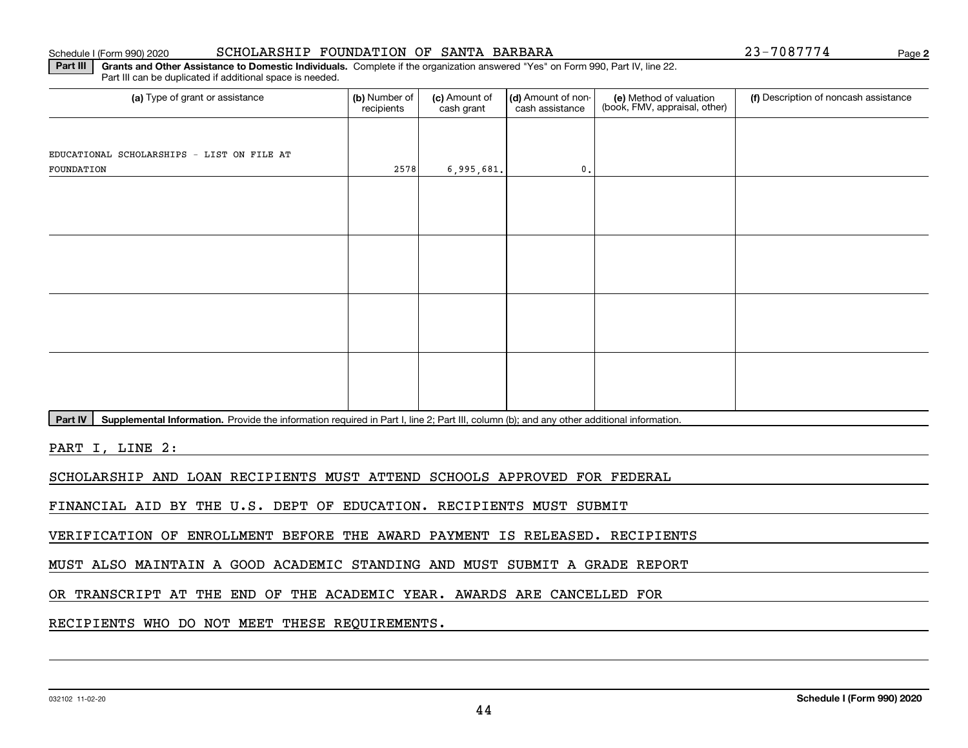#### Schedule I (Form 990) 2020 SCHOLARSHIP FOUNDATION OF SANTA BARBARA 2 3-7 0 8 7 7 7 4 Page

Part III can be duplicated if additional space is needed.

**Part III | Grants and Other Assistance to Domestic Individuals. Complete if the organization answered "Yes" on Form 990, Part IV, line 22.** 

(a) Type of grant or assistance **Audity Commet Audio Commet Commet Commet Commet Commet Commet Commet Commet Comme** (e) Method of valuation (book, FMV, appraisal, other) recipients(c) Amount of cash grant (d) Amount of noncash assistance **(f)** Description of noncash assistance EDUCATIONAL SCHOLARSHIPS - LIST ON FILE AT FOUNDATION2578 6,995,681. 0.

Part IV | Supplemental Information. Provide the information required in Part I, line 2; Part III, column (b); and any other additional information.

PART I, LINE 2:

SCHOLARSHIP AND LOAN RECIPIENTS MUST ATTEND SCHOOLS APPROVED FOR FEDERAL

FINANCIAL AID BY THE U.S. DEPT OF EDUCATION. RECIPIENTS MUST SUBMIT

VERIFICATION OF ENROLLMENT BEFORE THE AWARD PAYMENT IS RELEASED. RECIPIENTS

MUST ALSO MAINTAIN A GOOD ACADEMIC STANDING AND MUST SUBMIT A GRADE REPORT

OR TRANSCRIPT AT THE END OF THE ACADEMIC YEAR. AWARDS ARE CANCELLED FOR

RECIPIENTS WHO DO NOT MEET THESE REQUIREMENTS.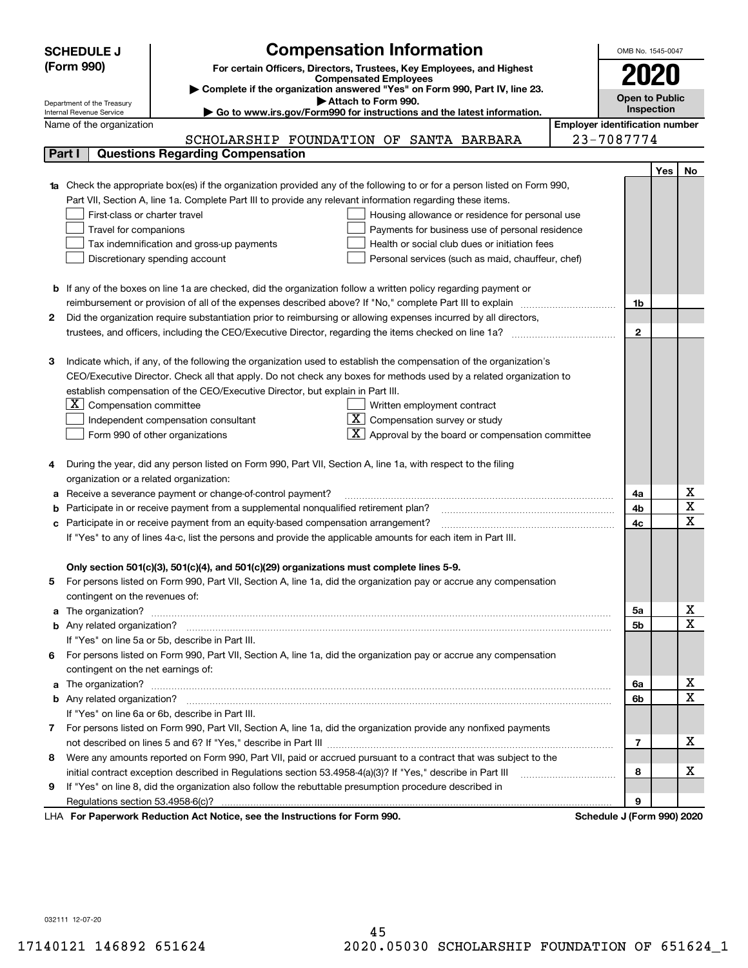|                                                                                  | <b>SCHEDULE J</b>                                                                   | <b>Compensation Information</b>                                                                                           |                 | OMB No. 1545-0047     |                                       |                         |  |
|----------------------------------------------------------------------------------|-------------------------------------------------------------------------------------|---------------------------------------------------------------------------------------------------------------------------|-----------------|-----------------------|---------------------------------------|-------------------------|--|
|                                                                                  | (Form 990)                                                                          | For certain Officers, Directors, Trustees, Key Employees, and Highest                                                     |                 |                       |                                       |                         |  |
|                                                                                  |                                                                                     | <b>Compensated Employees</b>                                                                                              |                 | 2020                  |                                       |                         |  |
|                                                                                  |                                                                                     | Complete if the organization answered "Yes" on Form 990, Part IV, line 23.                                                |                 | <b>Open to Public</b> |                                       |                         |  |
|                                                                                  | Department of the Treasury<br>Internal Revenue Service                              | Attach to Form 990.<br>Go to www.irs.gov/Form990 for instructions and the latest information.                             |                 | Inspection            |                                       |                         |  |
|                                                                                  | Name of the organization                                                            |                                                                                                                           |                 |                       | <b>Employer identification number</b> |                         |  |
|                                                                                  |                                                                                     | SCHOLARSHIP FOUNDATION OF SANTA BARBARA                                                                                   | 23-7087774      |                       |                                       |                         |  |
|                                                                                  | <b>Questions Regarding Compensation</b><br>Part I                                   |                                                                                                                           |                 |                       |                                       |                         |  |
|                                                                                  |                                                                                     |                                                                                                                           |                 |                       | Yes                                   | No                      |  |
|                                                                                  |                                                                                     | 1a Check the appropriate box(es) if the organization provided any of the following to or for a person listed on Form 990, |                 |                       |                                       |                         |  |
|                                                                                  |                                                                                     | Part VII, Section A, line 1a. Complete Part III to provide any relevant information regarding these items.                |                 |                       |                                       |                         |  |
| First-class or charter travel<br>Housing allowance or residence for personal use |                                                                                     |                                                                                                                           |                 |                       |                                       |                         |  |
|                                                                                  | Travel for companions                                                               | Payments for business use of personal residence                                                                           |                 |                       |                                       |                         |  |
|                                                                                  | Tax indemnification and gross-up payments                                           | Health or social club dues or initiation fees                                                                             |                 |                       |                                       |                         |  |
|                                                                                  | Discretionary spending account                                                      | Personal services (such as maid, chauffeur, chef)                                                                         |                 |                       |                                       |                         |  |
|                                                                                  |                                                                                     |                                                                                                                           |                 |                       |                                       |                         |  |
|                                                                                  |                                                                                     | <b>b</b> If any of the boxes on line 1a are checked, did the organization follow a written policy regarding payment or    |                 |                       |                                       |                         |  |
|                                                                                  |                                                                                     | reimbursement or provision of all of the expenses described above? If "No," complete Part III to explain                  |                 | 1b                    |                                       |                         |  |
| 2                                                                                |                                                                                     | Did the organization require substantiation prior to reimbursing or allowing expenses incurred by all directors,          |                 |                       |                                       |                         |  |
|                                                                                  |                                                                                     | trustees, and officers, including the CEO/Executive Director, regarding the items checked on line 1a?                     |                 | $\mathbf{2}$          |                                       |                         |  |
|                                                                                  |                                                                                     |                                                                                                                           |                 |                       |                                       |                         |  |
| з                                                                                |                                                                                     | Indicate which, if any, of the following the organization used to establish the compensation of the organization's        |                 |                       |                                       |                         |  |
|                                                                                  |                                                                                     | CEO/Executive Director. Check all that apply. Do not check any boxes for methods used by a related organization to        |                 |                       |                                       |                         |  |
|                                                                                  | establish compensation of the CEO/Executive Director, but explain in Part III.      |                                                                                                                           |                 |                       |                                       |                         |  |
|                                                                                  | $X$ Compensation committee                                                          | Written employment contract                                                                                               |                 |                       |                                       |                         |  |
|                                                                                  | Independent compensation consultant                                                 | $X$ Compensation survey or study                                                                                          |                 |                       |                                       |                         |  |
|                                                                                  | Form 990 of other organizations                                                     | $\mathbf{X}$ Approval by the board or compensation committee                                                              |                 |                       |                                       |                         |  |
|                                                                                  |                                                                                     |                                                                                                                           |                 |                       |                                       |                         |  |
|                                                                                  |                                                                                     | During the year, did any person listed on Form 990, Part VII, Section A, line 1a, with respect to the filing              |                 |                       |                                       |                         |  |
|                                                                                  | organization or a related organization:                                             |                                                                                                                           |                 |                       |                                       |                         |  |
| а                                                                                | Receive a severance payment or change-of-control payment?                           |                                                                                                                           |                 | 4a                    |                                       | х                       |  |
| b                                                                                | Participate in or receive payment from a supplemental nonqualified retirement plan? |                                                                                                                           |                 | 4b                    |                                       | $\overline{\texttt{x}}$ |  |
| с                                                                                | Participate in or receive payment from an equity-based compensation arrangement?    |                                                                                                                           |                 | 4c                    |                                       | $\overline{\text{x}}$   |  |
|                                                                                  |                                                                                     | If "Yes" to any of lines 4a-c, list the persons and provide the applicable amounts for each item in Part III.             |                 |                       |                                       |                         |  |
|                                                                                  |                                                                                     |                                                                                                                           |                 |                       |                                       |                         |  |
|                                                                                  |                                                                                     | Only section 501(c)(3), 501(c)(4), and 501(c)(29) organizations must complete lines 5-9.                                  |                 |                       |                                       |                         |  |
|                                                                                  |                                                                                     | For persons listed on Form 990, Part VII, Section A, line 1a, did the organization pay or accrue any compensation         |                 |                       |                                       |                         |  |
|                                                                                  | contingent on the revenues of:                                                      |                                                                                                                           |                 |                       |                                       |                         |  |
| a                                                                                |                                                                                     |                                                                                                                           |                 | 5а                    |                                       | x                       |  |
|                                                                                  |                                                                                     |                                                                                                                           |                 | <b>5b</b>             |                                       | $\overline{\text{x}}$   |  |
|                                                                                  | If "Yes" on line 5a or 5b, describe in Part III.                                    |                                                                                                                           |                 |                       |                                       |                         |  |
| 6.                                                                               |                                                                                     | For persons listed on Form 990, Part VII, Section A, line 1a, did the organization pay or accrue any compensation         |                 |                       |                                       |                         |  |
|                                                                                  | contingent on the net earnings of:                                                  |                                                                                                                           |                 |                       |                                       |                         |  |
| a                                                                                |                                                                                     |                                                                                                                           |                 | 6a                    |                                       | x                       |  |
|                                                                                  |                                                                                     |                                                                                                                           |                 | 6b                    |                                       | $\overline{\text{x}}$   |  |
|                                                                                  | If "Yes" on line 6a or 6b, describe in Part III.                                    |                                                                                                                           |                 |                       |                                       |                         |  |
|                                                                                  |                                                                                     | 7 For persons listed on Form 990, Part VII, Section A, line 1a, did the organization provide any nonfixed payments        |                 |                       |                                       |                         |  |
|                                                                                  |                                                                                     |                                                                                                                           |                 | 7                     |                                       | х                       |  |
| 8                                                                                |                                                                                     | Were any amounts reported on Form 990, Part VII, paid or accrued pursuant to a contract that was subject to the           |                 |                       |                                       |                         |  |
|                                                                                  |                                                                                     | initial contract exception described in Regulations section 53.4958-4(a)(3)? If "Yes," describe in Part III               |                 | 8                     |                                       | х                       |  |
| 9                                                                                |                                                                                     | If "Yes" on line 8, did the organization also follow the rebuttable presumption procedure described in                    |                 |                       |                                       |                         |  |
|                                                                                  |                                                                                     |                                                                                                                           |                 | 9                     |                                       |                         |  |
|                                                                                  |                                                                                     | such Pediction Ast Notice, ass the Instructions for Form 000.                                                             | Calcadola, 1784 |                       |                                       |                         |  |

LHA For Paperwork Reduction Act Notice, see the Instructions for Form 990. Schedule J (Form 990) 2020

032111 12-07-20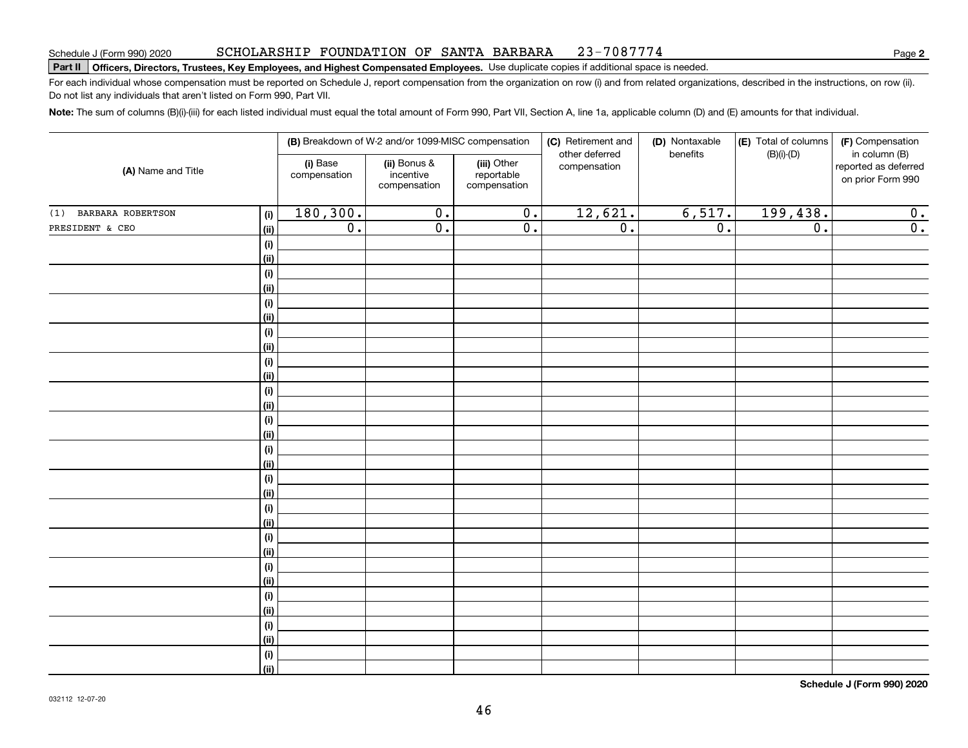#### SCHOLARSHIP FOUNDATION OF SANTA BARBARA 23-7087774

**2**

# **Part II Officers, Directors, Trustees, Key Employees, and Highest Compensated Employees.**  Schedule J (Form 990) 2020 Page Use duplicate copies if additional space is needed.

For each individual whose compensation must be reported on Schedule J, report compensation from the organization on row (i) and from related organizations, described in the instructions, on row (ii). Do not list any individuals that aren't listed on Form 990, Part VII.

**Note:**  The sum of columns (B)(i)-(iii) for each listed individual must equal the total amount of Form 990, Part VII, Section A, line 1a, applicable column (D) and (E) amounts for that individual.

| (A) Name and Title    |                    |                          | (B) Breakdown of W-2 and/or 1099-MISC compensation |                                           | (C) Retirement and<br>other deferred | (D) Nontaxable<br>benefits | (E) Total of columns | (F) Compensation<br>in column (B)         |
|-----------------------|--------------------|--------------------------|----------------------------------------------------|-------------------------------------------|--------------------------------------|----------------------------|----------------------|-------------------------------------------|
|                       |                    | (i) Base<br>compensation | (ii) Bonus &<br>incentive<br>compensation          | (iii) Other<br>reportable<br>compensation | compensation                         |                            | $(B)(i)$ - $(D)$     | reported as deferred<br>on prior Form 990 |
| (1) BARBARA ROBERTSON | (i)                | 180, 300.                | $\overline{0}$ .                                   | $\overline{\mathbf{0}}$ .                 | 12,621.                              | 6,517.                     | 199,438.             | $\overline{0}$ .                          |
| PRESIDENT & CEO       | (ii)               | $\overline{0}$ .         | $\overline{0}$ .                                   | $\overline{0}$ .                          | $\overline{0}$ .                     | $\overline{0}$ .           | $\overline{0}$ .     | $\overline{\mathbf{0}}$ .                 |
|                       | $(\sf{i})$         |                          |                                                    |                                           |                                      |                            |                      |                                           |
|                       | (ii)               |                          |                                                    |                                           |                                      |                            |                      |                                           |
|                       | (i)                |                          |                                                    |                                           |                                      |                            |                      |                                           |
|                       | (ii)               |                          |                                                    |                                           |                                      |                            |                      |                                           |
|                       | $(\sf{i})$         |                          |                                                    |                                           |                                      |                            |                      |                                           |
|                       | (ii)               |                          |                                                    |                                           |                                      |                            |                      |                                           |
|                       | $(\sf{i})$         |                          |                                                    |                                           |                                      |                            |                      |                                           |
|                       | (ii)               |                          |                                                    |                                           |                                      |                            |                      |                                           |
|                       | $(\sf{i})$         |                          |                                                    |                                           |                                      |                            |                      |                                           |
|                       | (ii)               |                          |                                                    |                                           |                                      |                            |                      |                                           |
|                       | $(\sf{i})$         |                          |                                                    |                                           |                                      |                            |                      |                                           |
|                       | (ii)               |                          |                                                    |                                           |                                      |                            |                      |                                           |
|                       | (i)                |                          |                                                    |                                           |                                      |                            |                      |                                           |
|                       | (ii)<br>$(\sf{i})$ |                          |                                                    |                                           |                                      |                            |                      |                                           |
|                       | (ii)               |                          |                                                    |                                           |                                      |                            |                      |                                           |
|                       | $(\sf{i})$         |                          |                                                    |                                           |                                      |                            |                      |                                           |
|                       | (ii)               |                          |                                                    |                                           |                                      |                            |                      |                                           |
|                       | $(\sf{i})$         |                          |                                                    |                                           |                                      |                            |                      |                                           |
|                       | (ii)               |                          |                                                    |                                           |                                      |                            |                      |                                           |
|                       | (i)                |                          |                                                    |                                           |                                      |                            |                      |                                           |
|                       | (ii)               |                          |                                                    |                                           |                                      |                            |                      |                                           |
|                       | (i)                |                          |                                                    |                                           |                                      |                            |                      |                                           |
|                       | (ii)               |                          |                                                    |                                           |                                      |                            |                      |                                           |
|                       | (i)                |                          |                                                    |                                           |                                      |                            |                      |                                           |
|                       | (ii)               |                          |                                                    |                                           |                                      |                            |                      |                                           |
|                       | (i)                |                          |                                                    |                                           |                                      |                            |                      |                                           |
|                       | (ii)               |                          |                                                    |                                           |                                      |                            |                      |                                           |
|                       | $(\sf{i})$         |                          |                                                    |                                           |                                      |                            |                      |                                           |
|                       | (ii)               |                          |                                                    |                                           |                                      |                            |                      |                                           |

**Schedule J (Form 990) 2020**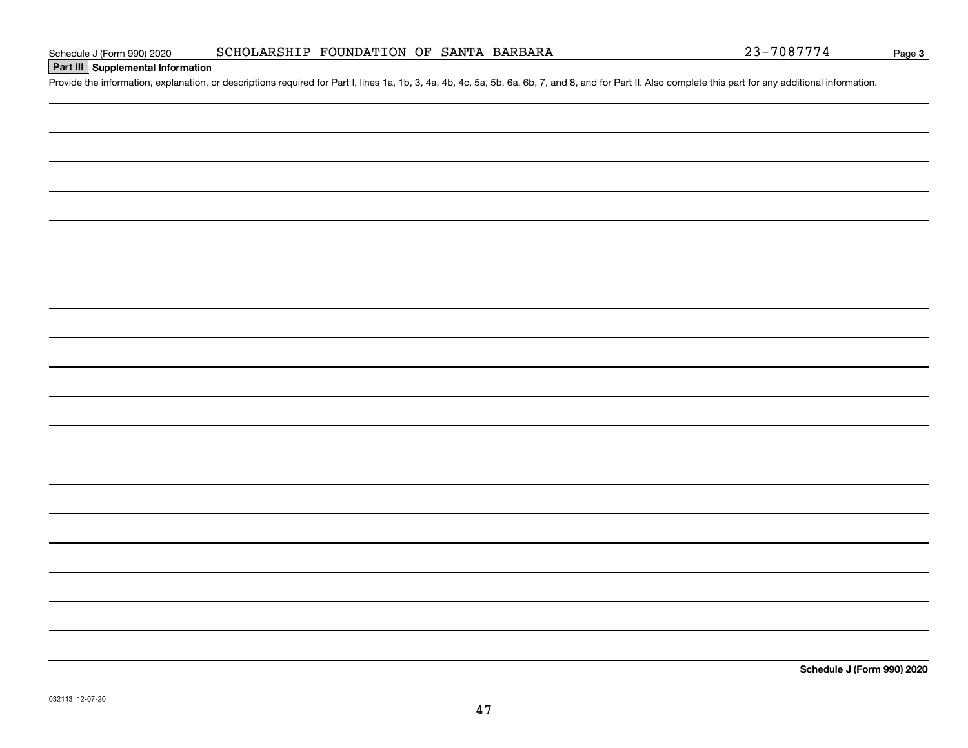032113 12-07-20

Schedule J (Form 990) 2020 SCHOLARSHIP FOUNDATION OF SANTA BARBARA<br>Part III Supplemental Information<br>Provide the information, explanation, or descriptions required for Part I, lines 1a, 1b, 3, 4a, 4b, 4c, 5a, 5b, 6a, 6b, 7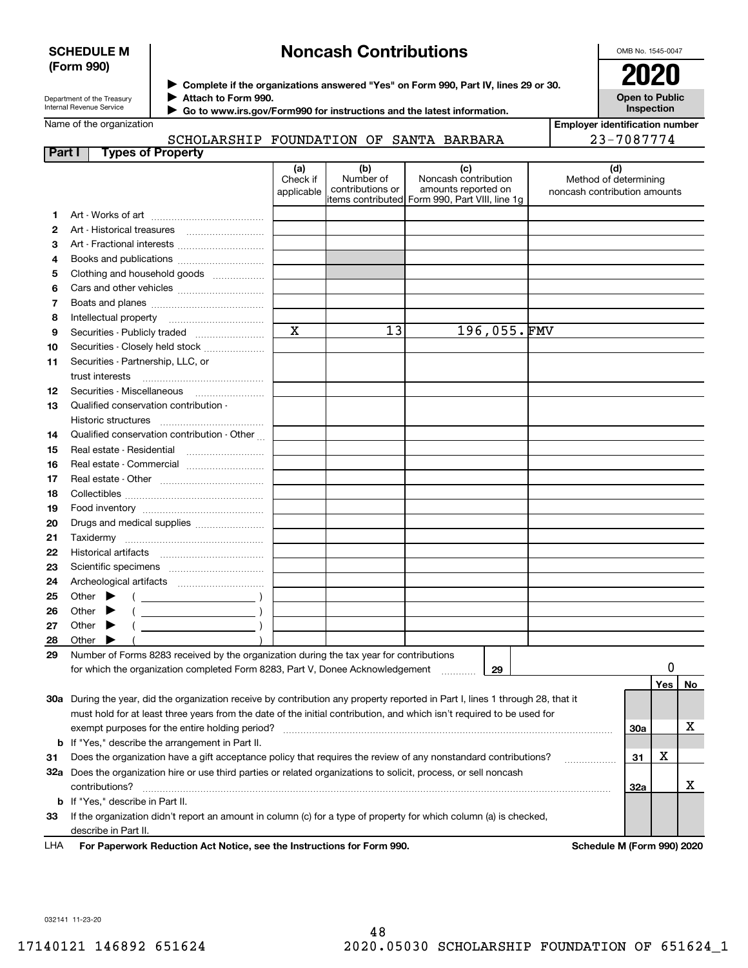#### **SCHEDULE M (Form 990)**

# **Noncash Contributions**

OMB No. 1545-0047

| Department of the Treasury |
|----------------------------|
| Internal Revenue Service   |

**Complete if the organizations answered "Yes" on Form 990, Part IV, lines 29 or 30.** <sup>J</sup>**2020 Attach to Form 990.** J

**Open to Public Inspection**

| Internal Revenue Service | Go to www.irs.gov/Form990 for instructions and the latest information. |
|--------------------------|------------------------------------------------------------------------|
| Name of the organization |                                                                        |

Historic structures ~~~~~~~~~~~~ Qualified conservation contribution - Other ....<br>Real estate - Residential ,........................... Real estate - Commercial ~~~~~~~~~ Real estate - Other ~~~~~~~~~~~~ Collectibles ~~~~~~~~~~~~~~~~ Food inventory ~~~~~~~~~~~~~~ Drugs and medical supplies  $_{\ldots\ldots\ldots\ldots\ldots\ldots\ldots\ldots}$ Taxidermy ~~~~~~~~~~~~~~~~ Historical artifacts ~~~~~~~~~~~~ Scientific specimens ~~~~~~~~~~~ Archeological artifacts ~~~~~~~~~~

| <b>Employer identification number</b> |  |
|---------------------------------------|--|
| $22 - 7087771$                        |  |

| 23-7087774<br>SCHOLARSHIP FOUNDATION OF SANTA BARBARA |                                       |                               |                                      |                                                                                                       |                                                              |  |  |
|-------------------------------------------------------|---------------------------------------|-------------------------------|--------------------------------------|-------------------------------------------------------------------------------------------------------|--------------------------------------------------------------|--|--|
| Part I                                                | <b>Types of Property</b>              |                               |                                      |                                                                                                       |                                                              |  |  |
|                                                       |                                       | (a)<br>Check if<br>applicable | (b)<br>Number of<br>contributions or | (c)<br>Noncash contribution<br>amounts reported on<br>litems contributed Form 990, Part VIII, line 1q | (d)<br>Method of determining<br>noncash contribution amounts |  |  |
|                                                       |                                       |                               |                                      |                                                                                                       |                                                              |  |  |
|                                                       |                                       |                               |                                      |                                                                                                       |                                                              |  |  |
| 3                                                     | Art - Fractional interests            |                               |                                      |                                                                                                       |                                                              |  |  |
| 4                                                     |                                       |                               |                                      |                                                                                                       |                                                              |  |  |
| 5                                                     | Clothing and household goods          |                               |                                      |                                                                                                       |                                                              |  |  |
| 6                                                     |                                       |                               |                                      |                                                                                                       |                                                              |  |  |
|                                                       |                                       |                               |                                      |                                                                                                       |                                                              |  |  |
| 8                                                     | Intellectual property                 |                               |                                      |                                                                                                       |                                                              |  |  |
| 9                                                     | Securities - Publicly traded          | X                             | 13                                   | 196,055.FMV                                                                                           |                                                              |  |  |
| 10                                                    | Securities - Closely held stock       |                               |                                      |                                                                                                       |                                                              |  |  |
| 11                                                    | Securities - Partnership, LLC, or     |                               |                                      |                                                                                                       |                                                              |  |  |
|                                                       | trust interests                       |                               |                                      |                                                                                                       |                                                              |  |  |
| 12                                                    | Securities - Miscellaneous            |                               |                                      |                                                                                                       |                                                              |  |  |
| 13                                                    | Qualified conservation contribution - |                               |                                      |                                                                                                       |                                                              |  |  |

| 25  | Other                                                                                                                      |  |    |            |     |                            |
|-----|----------------------------------------------------------------------------------------------------------------------------|--|----|------------|-----|----------------------------|
| 26  | Other                                                                                                                      |  |    |            |     |                            |
| 27  | Other                                                                                                                      |  |    |            |     |                            |
| 28  | Other                                                                                                                      |  |    |            |     |                            |
| 29  | Number of Forms 8283 received by the organization during the tax year for contributions                                    |  |    |            |     |                            |
|     | 29<br>for which the organization completed Form 8283, Part V, Donee Acknowledgement                                        |  |    |            |     |                            |
|     |                                                                                                                            |  |    |            | Yes | No.                        |
| 30a | During the year, did the organization receive by contribution any property reported in Part I, lines 1 through 28, that it |  |    |            |     |                            |
|     | must hold for at least three years from the date of the initial contribution, and which isn't required to be used for      |  |    |            |     |                            |
|     | exempt purposes for the entire holding period?                                                                             |  |    | <b>30a</b> |     | х                          |
|     | <b>b</b> If "Yes," describe the arrangement in Part II.                                                                    |  |    |            |     |                            |
| 31  | Does the organization have a gift acceptance policy that requires the review of any nonstandard contributions?             |  | 31 | x          |     |                            |
| 32a | Does the organization hire or use third parties or related organizations to solicit, process, or sell noncash              |  |    |            |     |                            |
|     | contributions?                                                                                                             |  |    | 32a        |     | х                          |
|     | <b>b</b> If "Yes," describe in Part II.                                                                                    |  |    |            |     |                            |
| 33  | If the organization didn't report an amount in column (c) for a type of property for which column (a) is checked,          |  |    |            |     |                            |
|     | describe in Part II.                                                                                                       |  |    |            |     |                            |
| LHA | For Paperwork Reduction Act Notice, see the Instructions for Form 990.                                                     |  |    |            |     | Schedule M (Form 990) 2020 |

032141 11-23-20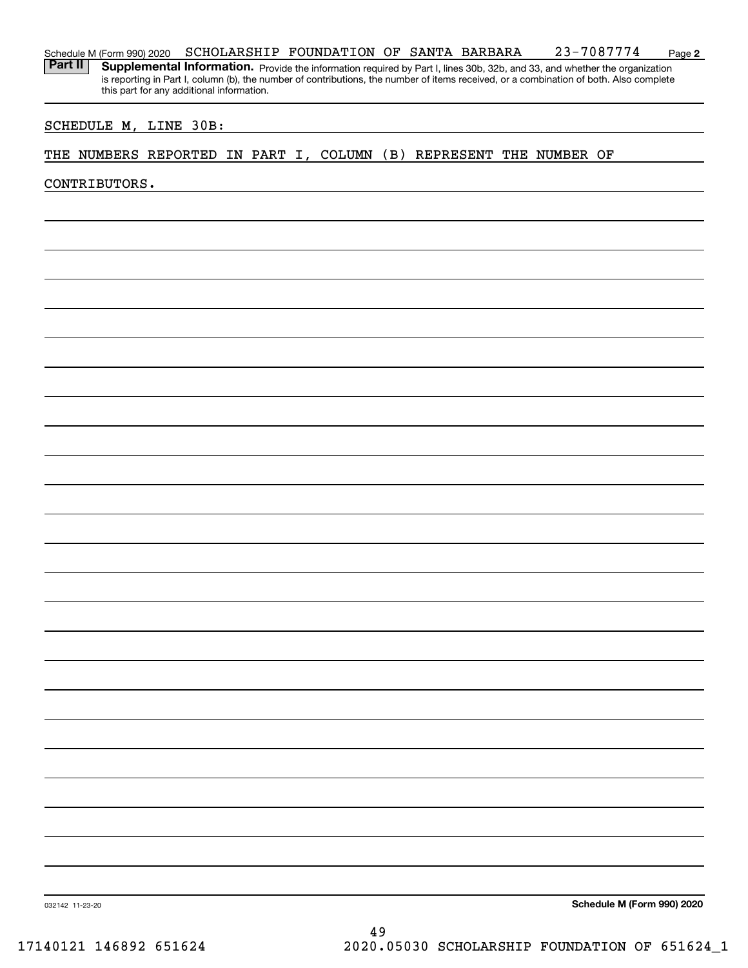#### **2** Schedule M (Form 990) 2020 Page SCHOLARSHIP FOUNDATION OF SANTA BARBARA 23-7087774

Part II | Supplemental Information. Provide the information required by Part I, lines 30b, 32b, and 33, and whether the organization is reporting in Part I, column (b), the number of contributions, the number of items received, or a combination of both. Also complete this part for any additional information.

### SCHEDULE M, LINE 30B:

### THE NUMBERS REPORTED IN PART I, COLUMN (B) REPRESENT THE NUMBER OF

CONTRIBUTORS.

**Schedule M (Form 990) 2020**

032142 11-23-20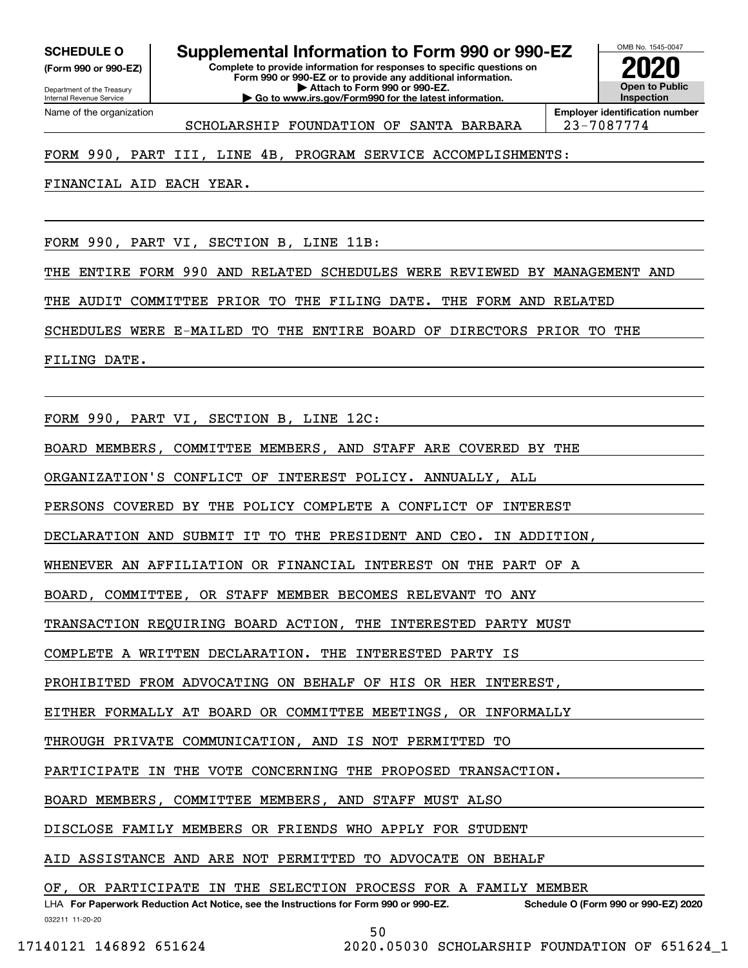**(Form 990 or 990-EZ)**

Department of the Treasury Internal Revenue Service Name of the organization

# **SCHEDULE O Supplemental Information to Form 990 or 990-EZ**

**Complete to provide information for responses to specific questions on Form 990 or 990-EZ or to provide any additional information. | Attach to Form 990 or 990-EZ. | Go to www.irs.gov/Form990 for the latest information.**



SCHOLARSHIP FOUNDATION OF SANTA BARBARA | 23-7087774

## FORM 990, PART III, LINE 4B, PROGRAM SERVICE ACCOMPLISHMENTS:

FINANCIAL AID EACH YEAR.

FORM 990, PART VI, SECTION B, LINE 11B:

THE ENTIRE FORM 990 AND RELATED SCHEDULES WERE REVIEWED BY MANAGEMENT AND

THE AUDIT COMMITTEE PRIOR TO THE FILING DATE. THE FORM AND RELATED

SCHEDULES WERE E-MAILED TO THE ENTIRE BOARD OF DIRECTORS PRIOR TO THE

FILING DATE.

FORM 990, PART VI, SECTION B, LINE 12C:

BOARD MEMBERS, COMMITTEE MEMBERS, AND STAFF ARE COVERED BY THE

ORGANIZATION'S CONFLICT OF INTEREST POLICY. ANNUALLY, ALL

PERSONS COVERED BY THE POLICY COMPLETE A CONFLICT OF INTEREST

DECLARATION AND SUBMIT IT TO THE PRESIDENT AND CEO. IN ADDITION,

WHENEVER AN AFFILIATION OR FINANCIAL INTEREST ON THE PART OF A

BOARD, COMMITTEE, OR STAFF MEMBER BECOMES RELEVANT TO ANY

TRANSACTION REQUIRING BOARD ACTION, THE INTERESTED PARTY MUST

COMPLETE A WRITTEN DECLARATION. THE INTERESTED PARTY IS

PROHIBITED FROM ADVOCATING ON BEHALF OF HIS OR HER INTEREST,

EITHER FORMALLY AT BOARD OR COMMITTEE MEETINGS, OR INFORMALLY

THROUGH PRIVATE COMMUNICATION, AND IS NOT PERMITTED TO

PARTICIPATE IN THE VOTE CONCERNING THE PROPOSED TRANSACTION.

BOARD MEMBERS, COMMITTEE MEMBERS, AND STAFF MUST ALSO

DISCLOSE FAMILY MEMBERS OR FRIENDS WHO APPLY FOR STUDENT

AID ASSISTANCE AND ARE NOT PERMITTED TO ADVOCATE ON BEHALF

OF, OR PARTICIPATE IN THE SELECTION PROCESS FOR A FAMILY MEMBER

032211 11-20-20 LHA For Paperwork Reduction Act Notice, see the Instructions for Form 990 or 990-EZ. Schedule O (Form 990 or 990-EZ) 2020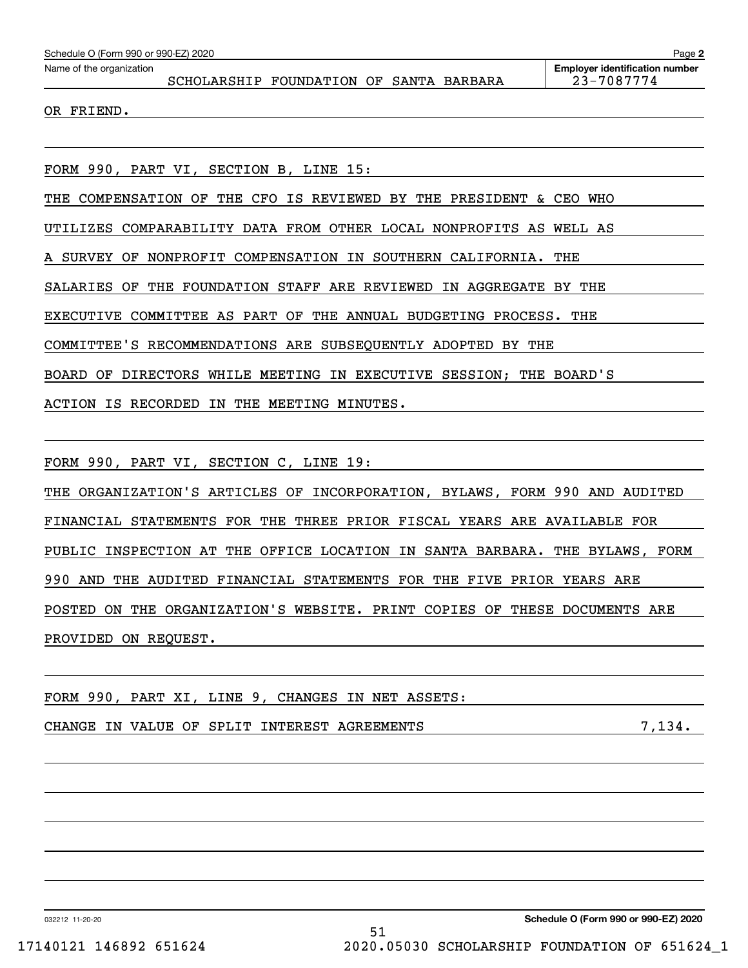| Schedule O (Form 990 or 990-EZ) 2020                                        | Page 2                                              |
|-----------------------------------------------------------------------------|-----------------------------------------------------|
| Name of the organization<br>SCHOLARSHIP FOUNDATION OF SANTA BARBARA         | <b>Employer identification number</b><br>23-7087774 |
| OR FRIEND.                                                                  |                                                     |
|                                                                             |                                                     |
| FORM 990, PART VI, SECTION B, LINE 15:                                      |                                                     |
| THE COMPENSATION OF THE CFO IS REVIEWED BY THE PRESIDENT & CEO WHO          |                                                     |
| UTILIZES COMPARABILITY DATA FROM OTHER LOCAL NONPROFITS AS WELL AS          |                                                     |
| A SURVEY OF NONPROFIT COMPENSATION IN SOUTHERN CALIFORNIA.                  | THE                                                 |
| THE FOUNDATION STAFF ARE REVIEWED IN AGGREGATE BY THE<br>SALARIES OF        |                                                     |
| EXECUTIVE COMMITTEE AS PART OF THE ANNUAL BUDGETING PROCESS. THE            |                                                     |
| COMMITTEE'S RECOMMENDATIONS ARE SUBSEQUENTLY ADOPTED BY THE                 |                                                     |
| DIRECTORS WHILE MEETING IN EXECUTIVE SESSION; THE BOARD'S<br>BOARD OF       |                                                     |
| ACTION IS RECORDED IN THE MEETING MINUTES.                                  |                                                     |
|                                                                             |                                                     |
| FORM 990, PART VI, SECTION C, LINE 19:                                      |                                                     |
| THE ORGANIZATION'S ARTICLES OF INCORPORATION, BYLAWS, FORM 990 AND AUDITED  |                                                     |
| FINANCIAL STATEMENTS FOR THE THREE PRIOR FISCAL YEARS ARE AVAILABLE FOR     |                                                     |
| PUBLIC INSPECTION AT THE OFFICE LOCATION IN SANTA BARBARA. THE BYLAWS, FORM |                                                     |
| 990 AND THE AUDITED FINANCIAL STATEMENTS FOR THE FIVE PRIOR YEARS ARE       |                                                     |
| POSTED ON THE ORGANIZATION'S WEBSITE. PRINT COPIES OF THESE DOCUMENTS ARE   |                                                     |
| PROVIDED ON REQUEST.                                                        |                                                     |
|                                                                             |                                                     |
| FORM 990, PART XI, LINE 9, CHANGES IN NET ASSETS:                           |                                                     |

CHANGE IN VALUE OF SPLIT INTEREST AGREEMENTS 7,134.

032212 11-20-20